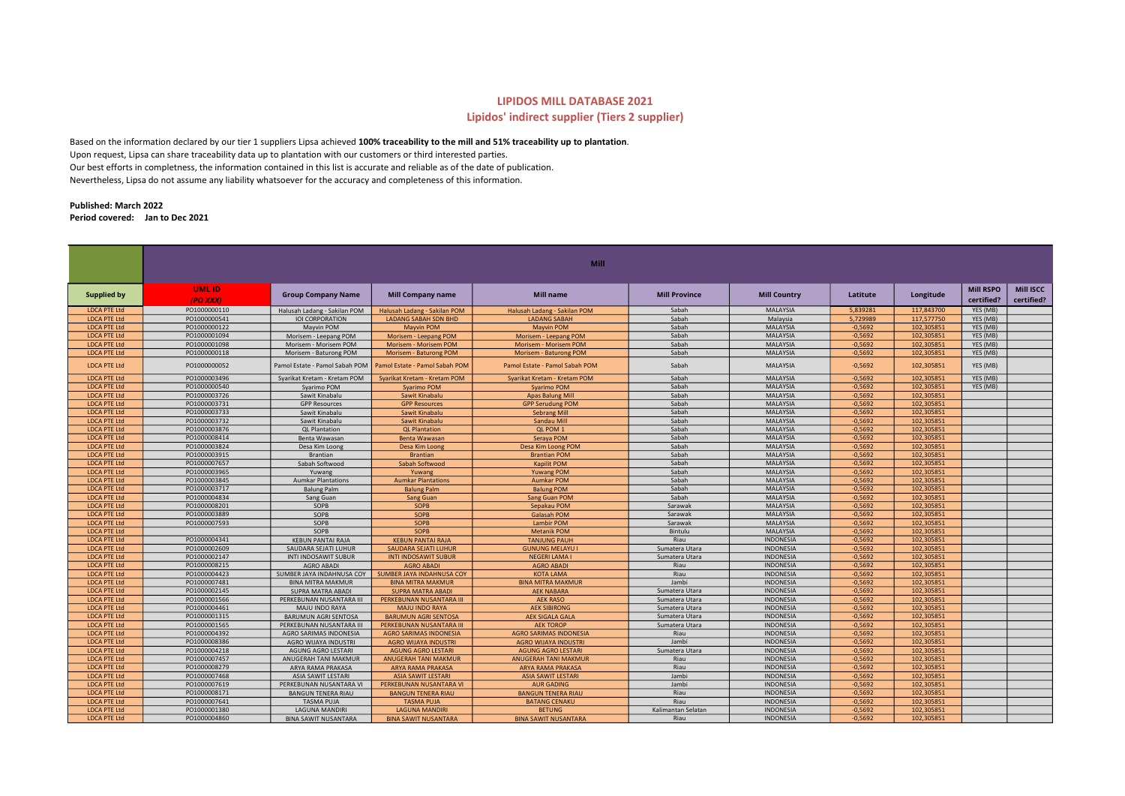## LIPIDOS MILL DATABASE 2021

## Lipidos' indirect supplier (Tiers 2 supplier)

Based on the information declared by our tier 1 suppliers Lipsa achieved 100% traceability to the mill and 51% traceability up to plantation. Upon request, Lipsa can share traceability data up to plantation with our customers or third interested parties. Our best efforts in completness, the information contained in this list is accurate and reliable as of the date of publication. Nevertheless, Lipsa do not assume any liability whatsoever for the accuracy and completeness of this information.

## Published: March 2022 Period covered: Jan to Dec 2021

|                                            |                              |                                                      |                                                         | <b>Mill</b>                            |                      |                                      |                        |                          |                                |                                |
|--------------------------------------------|------------------------------|------------------------------------------------------|---------------------------------------------------------|----------------------------------------|----------------------|--------------------------------------|------------------------|--------------------------|--------------------------------|--------------------------------|
|                                            |                              |                                                      |                                                         |                                        |                      |                                      |                        |                          |                                |                                |
| <b>Supplied by</b>                         | <b>UMLID</b><br>(PO XXX)     | <b>Group Company Name</b>                            | <b>Mill Company name</b>                                | <b>Mill name</b>                       | <b>Mill Province</b> | <b>Mill Country</b>                  | Latitute               | Longitude                | <b>Mill RSPO</b><br>certified? | <b>Mill ISCC</b><br>certified? |
| <b>LDCA PTE Ltd</b>                        | PO1000000110                 | Halusah Ladang - Sakilan POM                         | Halusah Ladang - Sakilan POM                            | Halusah Ladang - Sakilan POM           | Sabah                | <b>MALAYSIA</b>                      | 5,839281               | 117,843700               | YES (MB)                       |                                |
| <b>LDCA PTE Ltd</b>                        | PO1000000541                 | <b>IOI CORPORATION</b>                               | <b>LADANG SABAH SDN BHD</b>                             | <b>LADANG SABAH</b>                    | Sabah                | Malaysia                             | 5,729989               | 117,577750               | YES (MB)                       |                                |
| <b>LDCA PTE Ltd</b>                        | PO1000000122                 | Mayvin POM                                           | <b>Mayvin POM</b>                                       | <b>Mayvin POM</b>                      | Sabah                | <b>MALAYSIA</b>                      | $-0,5692$              | 102,305851               | YES (MB)                       |                                |
| <b>LDCA PTE Ltd</b>                        | PO1000001094                 | Morisem - Leepang POM                                | Morisem - Leepang POM                                   | Morisem - Leepang POM                  | Sabah                | <b>MALAYSIA</b>                      | $-0,5692$              | 102,305851               | YES (MB)                       |                                |
| <b>LDCA PTE Ltd</b>                        | PO1000001098                 | Morisem - Morisem POM                                | <b>Morisem - Morisem POM</b>                            | Morisem - Morisem POM                  | Sabah                | <b>MALAYSIA</b>                      | $-0,5692$              | 102,305851               | YES (MB)                       |                                |
| <b>LDCA PTE Ltd</b>                        | PO1000000118                 | Morisem - Baturong POM                               | Morisem - Baturong POM                                  | Morisem - Baturong POM                 | Sabah                | <b>MALAYSIA</b>                      | $-0,5692$              | 102,305851               | YES (MB)                       |                                |
| <b>LDCA PTE Ltd</b>                        | PO1000000052                 | Pamol Estate - Pamol Sabah POM                       | Pamol Estate - Pamol Sabah POM                          | Pamol Estate - Pamol Sabah POM         | Sabah                | <b>MALAYSIA</b>                      | $-0,5692$              | 102,305851               | YES (MB)                       |                                |
| <b>LDCA PTE Ltd</b>                        | PO1000003496                 | Syarikat Kretam - Kretam POM                         | Svarikat Kretam - Kretam POM                            | Svarikat Kretam - Kretam POM           | Sabah                | <b>MALAYSIA</b>                      | $-0,5692$              | 102,305851               | YES (MB)                       |                                |
| <b>LDCA PTE Ltd</b>                        | PO1000000540                 | Syarimo POM                                          | <b>Syarimo POM</b>                                      | <b>Syarimo POM</b>                     | Sabah                | <b>MALAYSIA</b>                      | $-0,5692$              | 102,305851               | YES (MB)                       |                                |
| <b>LDCA PTE Ltd</b>                        | PO1000003726                 | Sawit Kinabalu                                       | Sawit Kinabalu                                          | <b>Apas Balung Mill</b>                | Sabah                | <b>MALAYSIA</b>                      | $-0,5692$              | 102,305851               |                                |                                |
| <b>LDCA PTE Ltd</b>                        | PO1000003731                 | <b>GPP Resources</b>                                 | <b>GPP Resources</b>                                    | <b>GPP Serudung POM</b>                | Sabah                | <b>MALAYSIA</b>                      | $-0,5692$              | 102,305851               |                                |                                |
| <b>LDCA PTE Ltd</b>                        | PO1000003733                 | Sawit Kinabalu                                       | Sawit Kinabalu                                          | <b>Sebrang Mill</b>                    | Sabah                | <b>MALAYSIA</b>                      | $-0,5692$              | 102,305851               |                                |                                |
| <b>LDCA PTE Ltd</b>                        | PO1000003732                 | Sawit Kinabalu                                       | Sawit Kinabalu                                          | Sandau Mill                            | Sabah                | <b>MALAYSIA</b>                      | $-0,5692$              | 102,305851               |                                |                                |
| <b>LDCA PTE Ltd</b>                        | PO1000003876                 | <b>QL Plantation</b>                                 | <b>QL Plantation</b>                                    | QL POM 1                               | Sabah                | <b>MALAYSIA</b>                      | $-0,5692$              | 102,305851               |                                |                                |
| <b>LDCA PTE Ltd</b>                        | PO1000008414                 | Benta Wawasan                                        | <b>Benta Wawasan</b>                                    | Seraya POM                             | Sabah                | <b>MALAYSIA</b>                      | $-0,5692$              | 102,305851               |                                |                                |
| <b>LDCA PTE Ltd</b>                        | PO1000003824                 | Desa Kim Loong                                       | Desa Kim Loong                                          | Desa Kim Loong POM                     | Sabah                | MALAYSIA                             | $-0,5692$              | 102,305851               |                                |                                |
| <b>LDCA PTE Ltd</b>                        | PO1000003915                 | Brantian                                             | <b>Brantian</b>                                         | <b>Brantian POM</b>                    | Sabah                | <b>MALAYSIA</b>                      | $-0,5692$              | 102,305851               |                                |                                |
| <b>LDCA PTE Ltd</b>                        | PO1000007657                 | Sabah Softwood                                       | Sabah Softwood                                          | <b>Kapilit POM</b>                     | Sabah                | <b>MALAYSIA</b>                      | $-0,5692$              | 102,305851               |                                |                                |
| <b>LDCA PTE Ltd</b>                        | PO1000003965                 | Yuwang                                               | Yuwang                                                  | <b>Yuwang POM</b>                      | Sabah                | <b>MALAYSIA</b>                      | $-0.5692$              | 102.305851               |                                |                                |
| <b>LDCA PTE Ltd</b>                        | PO1000003845                 | <b>Aumkar Plantations</b>                            | <b>Aumkar Plantations</b>                               | <b>Aumkar POM</b>                      | Sabah                | <b>MALAYSIA</b>                      | $-0,5692$              | 102,305851               |                                |                                |
| <b>LDCA PTE Ltd</b>                        | PO1000003717                 | <b>Balung Palm</b>                                   | <b>Balung Palm</b>                                      | <b>Balung POM</b>                      | Sabah                | <b>MALAYSIA</b>                      | $-0,5692$              | 102,305851               |                                |                                |
| <b>LDCA PTE Ltd</b>                        | PO1000004834                 | Sang Guan                                            | <b>Sang Guan</b>                                        | <b>Sang Guan POM</b>                   | Sabah                | <b>MALAYSIA</b>                      | $-0,5692$              | 102,305851               |                                |                                |
| <b>LDCA PTE Ltd</b>                        | PO1000008201                 | SOPB                                                 | <b>SOPB</b>                                             | Sepakau POM                            | Sarawak              | <b>MALAYSIA</b>                      | $-0,5692$              | 102,305851               |                                |                                |
| <b>LDCA PTE Ltd</b>                        | PO1000003889                 | SOPB                                                 | <b>SOPB</b>                                             | Galasah POM                            | Sarawak              | <b>MALAYSIA</b>                      | $-0,5692$              | 102,305851               |                                |                                |
| <b>LDCA PTE Ltd</b>                        | PO1000007593                 | SOPB                                                 | SOPB                                                    | <b>Lambir POM</b>                      | Sarawak              | <b>MALAYSIA</b>                      | $-0,5692$              | 102,305851               |                                |                                |
| <b>LDCA PTE Ltd</b>                        |                              | SOPB                                                 | <b>SOPB</b>                                             | <b>Metanik POM</b>                     | Bintulu              | <b>MALAYSIA</b>                      | $-0,5692$              | 102,305851               |                                |                                |
| <b>LDCA PTE Ltd</b>                        | PO1000004341                 | <b>KEBUN PANTAI RAJA</b>                             | <b>KEBUN PANTAI RAJA</b>                                | <b>TANJUNG PAUH</b>                    | Riau                 | INDONESIA                            | $-0,5692$              | 102,305851               |                                |                                |
| <b>LDCA PTE Ltd</b>                        | PO1000002609                 | SAUDARA SEJATI LUHUR                                 | <b>SAUDARA SEJATI LUHUR</b>                             | <b>GUNUNG MELAYU</b>                   | Sumatera Utara       | INDONESIA                            | $-0,5692$              | 102,305851               |                                |                                |
| <b>LDCA PTE Ltd</b>                        | PO1000002147                 | INTI INDOSAWIT SUBUR                                 | <b>INTI INDOSAWIT SUBUR</b>                             | <b>NEGERI LAMA I</b>                   | Sumatera Utara       | <b>INDONESIA</b>                     | $-0,5692$              | 102,305851               |                                |                                |
| <b>LDCA PTE Ltd</b><br><b>LDCA PTE Ltd</b> | PO1000008215                 | <b>AGRO ABADI</b>                                    | <b>AGRO ABADI</b>                                       | <b>AGRO ABADI</b>                      | Riau<br>Riau         | INDONESIA<br><b>INDONESIA</b>        | $-0,5692$<br>$-0,5692$ | 102,305851               |                                |                                |
|                                            | PO1000004423                 | SUMBER JAYA INDAHNUSA COY                            | SUMBER JAYA INDAHNUSA COY                               | <b>KOTA LAMA</b>                       | Jambi                |                                      |                        | 102,305851               |                                |                                |
| <b>LDCA PTE Ltd</b><br><b>LDCA PTE Ltd</b> | PO1000007481<br>PO1000002145 | <b>BINA MITRA MAKMUR</b><br><b>SUPRA MATRA ABADI</b> | <b>BINA MITRA MAKMUR</b>                                | <b>BINA MITRA MAKMUR</b>               | Sumatera Utara       | <b>INDONESIA</b><br><b>INDONESIA</b> | $-0,5692$<br>$-0,5692$ | 102,305851<br>102,305851 |                                |                                |
| <b>LDCA PTE Ltd</b>                        | PO1000001566                 |                                                      | <b>SUPRA MATRA ABADI</b>                                | <b>AEK NABARA</b>                      | Sumatera Utara       | INDONESIA                            | $-0,5692$              | 102,305851               |                                |                                |
| <b>LDCA PTE Ltd</b>                        | PO1000004461                 | PERKEBUNAN NUSANTARA III<br><b>MAJU INDO RAYA</b>    | PERKEBUNAN NUSANTARA III<br><b>MAJU INDO RAYA</b>       | <b>AEK RASO</b><br><b>AEK SIBIRONG</b> | Sumatera Utara       | <b>INDONESIA</b>                     | $-0,5692$              | 102,305851               |                                |                                |
| <b>LDCA PTE Ltd</b>                        | PO1000001315                 | <b>BARUMUN AGRI SENTOSA</b>                          |                                                         | <b>AEK SIGALA GALA</b>                 | Sumatera Utara       | INDONESIA                            | $-0,5692$              | 102,305851               |                                |                                |
| <b>LDCA PTE Ltd</b>                        | PO1000001565                 | PERKEBUNAN NUSANTARA III                             | <b>BARUMUN AGRI SENTOSA</b><br>PERKEBUNAN NUSANTARA III | <b>AEK TOROP</b>                       | Sumatera Utara       | INDONESIA                            | $-0,5692$              | 102,305851               |                                |                                |
| <b>LDCA PTE Ltd</b>                        | PO1000004392                 | AGRO SARIMAS INDONESIA                               | <b>AGRO SARIMAS INDONESIA</b>                           | <b>AGRO SARIMAS INDONESIA</b>          | Riau                 | <b>INDONESIA</b>                     | $-0,5692$              | 102,305851               |                                |                                |
| <b>LDCA PTE Ltd</b>                        | PO1000008386                 | AGRO WIJAYA INDUSTRI                                 | <b>AGRO WIJAYA INDUSTRI</b>                             | <b>AGRO WIJAYA INDUSTRI</b>            | Jambi                | INDONESIA                            | $-0,5692$              | 102,305851               |                                |                                |
| <b>LDCA PTE Ltd</b>                        | PO1000004218                 | <b>AGUNG AGRO LESTARI</b>                            | <b>AGUNG AGRO LESTARI</b>                               | <b>AGUNG AGRO LESTARI</b>              | Sumatera Utara       | <b>INDONESIA</b>                     | $-0,5692$              | 102,305851               |                                |                                |
| <b>LDCA PTE Ltd</b>                        | PO1000007457                 | ANUGERAH TANI MAKMUR                                 | <b>ANUGERAH TANI MAKMUR</b>                             | <b>ANUGERAH TANI MAKMUR</b>            | Riau                 | <b>INDONESIA</b>                     | $-0,5692$              | 102,305851               |                                |                                |
| <b>LDCA PTE Ltd</b>                        | PO1000008279                 | ARYA RAMA PRAKASA                                    | <b>ARYA RAMA PRAKASA</b>                                | <b>ARYA RAMA PRAKASA</b>               | Riau                 | <b>INDONESIA</b>                     | $-0,5692$              | 102,305851               |                                |                                |
| <b>LDCA PTE Ltd</b>                        | PO1000007468                 | ASIA SAWIT LESTARI                                   | <b>ASIA SAWIT LESTARI</b>                               | <b>ASIA SAWIT LESTARI</b>              | Jambi                | INDONESIA                            | $-0,5692$              | 102,305851               |                                |                                |
| <b>LDCA PTE Ltd</b>                        | PO1000007619                 | PERKEBUNAN NUSANTARA VI                              | PERKEBUNAN NUSANTARA VI                                 | <b>AUR GADING</b>                      | Jambi                | <b>INDONESIA</b>                     | $-0,5692$              | 102,305851               |                                |                                |
| <b>LDCA PTE Ltd</b>                        | PO1000008171                 | <b>BANGUN TENERA RIAU</b>                            | <b>BANGUN TENERA RIAU</b>                               | <b>BANGUN TENERA RIAU</b>              | Riau                 | INDONESIA                            | $-0,5692$              | 102,305851               |                                |                                |
| <b>LDCA PTE Ltd</b>                        | PO1000007641                 | TASMA PUJA                                           | <b>TASMA PUJA</b>                                       | <b>BATANG CENAKU</b>                   | Riau                 | <b>INDONESIA</b>                     | $-0,5692$              | 102,305851               |                                |                                |
| <b>LDCA PTE Ltd</b>                        | PO1000001380                 | <b>LAGUNA MANDIRI</b>                                | <b>LAGUNA MANDIRI</b>                                   | <b>BETUNG</b>                          | Kalimantan Selatan   | <b>INDONESIA</b>                     | $-0,5692$              | 102,305851               |                                |                                |
| <b>LDCA PTE Ltd</b>                        | PO1000004860                 | <b>BINA SAWIT NUSANTARA</b>                          | <b>BINA SAWIT NUSANTARA</b>                             | <b>BINA SAWIT NUSANTARA</b>            | Riau                 | <b>INDONESIA</b>                     | $-0.5692$              | 102.305851               |                                |                                |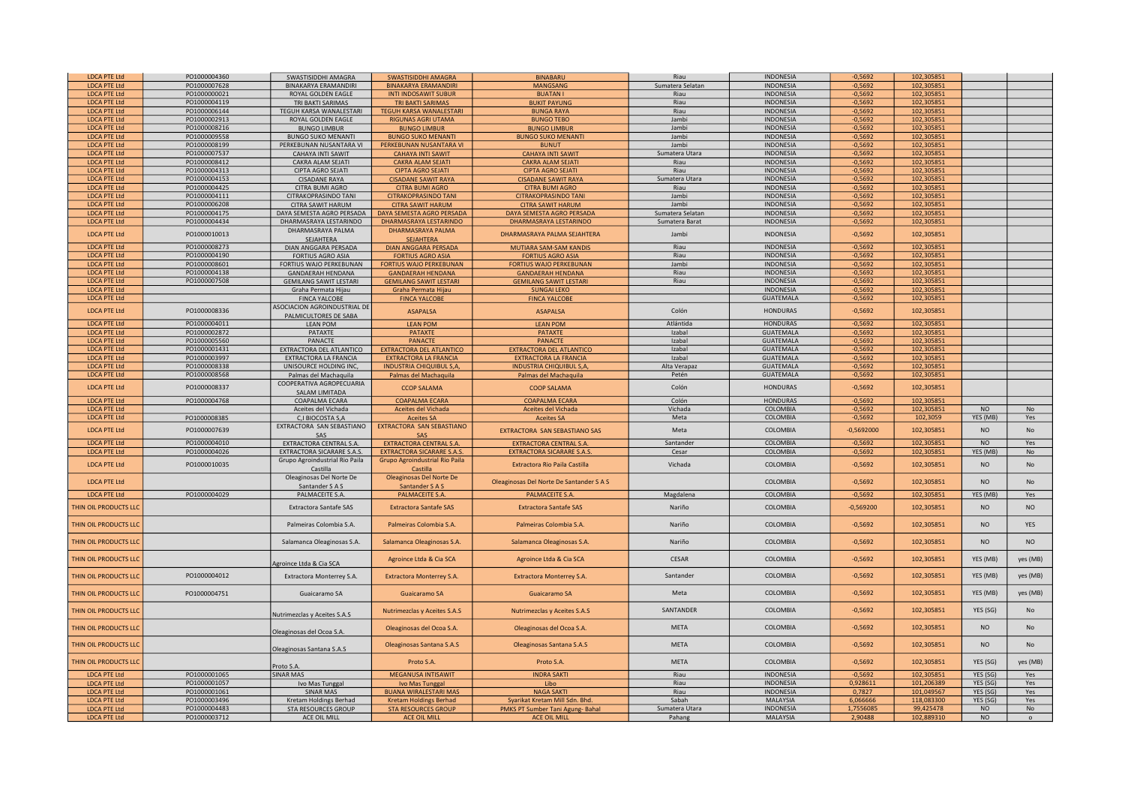| <b>IDCA PTF Itd</b>                        | PO1000004360                 | SWASTISIDDHI AMAGRA                 | <b>SWASTISIDDHI AMAGRA</b>                        | <b>BINABARU</b>                                  | Riau                     | <b>INDONESIA</b>                    | $-0,5692$            | 102,305851              |                             |                |
|--------------------------------------------|------------------------------|-------------------------------------|---------------------------------------------------|--------------------------------------------------|--------------------------|-------------------------------------|----------------------|-------------------------|-----------------------------|----------------|
| <b>LDCA PTE Ltd</b>                        | PO1000007628                 | <b>BINAKARYA ERAMANDIRI</b>         | <b>BINAKARYA ERAMANDIRI</b>                       | <b>MANGSANG</b>                                  | Sumatera Selatan         | INDONESIA                           | $-0,5692$            | 102,305851              |                             |                |
| <b>LDCA PTE Ltd</b>                        | PO1000000021                 | ROYAL GOLDEN EAGLE                  | <b>INTI INDOSAWIT SUBUR</b>                       | <b>BUATAN I</b>                                  | Riau                     | INDONESIA                           | $-0,5692$            | 102,305851              |                             |                |
| <b>LDCA PTE Ltd</b>                        | PO1000004119                 | TRI BAKTI SARIMAS                   | <b>TRI BAKTI SARIMAS</b>                          | <b>BUKIT PAYUNG</b>                              | Riau                     | <b>INDONESIA</b>                    | $-0,5692$            | 102,305851              |                             |                |
| <b>LDCA PTE Ltd</b>                        | PO1000006144                 | TEGUH KARSA WANALESTARI             | <b>TEGUH KARSA WANALESTARI</b>                    | <b>BUNGA RAYA</b>                                | Riau                     | <b>INDONESIA</b>                    | $-0,5692$            | 102,305851              |                             |                |
| <b>LDCA PTE Ltd</b>                        | PO1000002913                 | ROYAL GOLDEN EAGLE                  | <b>RIGUNAS AGRI UTAMA</b>                         | <b>BUNGO TEBO</b>                                | Jambi                    | <b>INDONESIA</b>                    | $-0,5692$            | 102,305851              |                             |                |
| <b>LDCA PTE Ltd</b>                        | PO1000008216                 | <b>BUNGO LIMBUR</b>                 | <b>BUNGO LIMBUR</b>                               | <b>BUNGO LIMBUR</b>                              | Jambi                    | <b>INDONESIA</b>                    | $-0,5692$            | 102,305851              |                             |                |
| <b>LDCA PTE Ltd</b>                        | PO1000009558                 | <b>BUNGO SUKO MENANTI</b>           | <b>BUNGO SUKO MENANTI</b>                         | <b>BUNGO SUKO MENANTI</b>                        | Jambi                    | <b>INDONESIA</b>                    | $-0,5692$            | 102,305851              |                             |                |
| <b>LDCA PTE Ltd</b>                        | PO1000008199                 | PERKEBUNAN NUSANTARA VI             | PERKEBUNAN NUSANTARA VI                           | <b>BUNUT</b>                                     | Jambi                    | <b>INDONESIA</b>                    | $-0,5692$            | 102,305851              |                             |                |
| <b>LDCA PTE Ltd</b>                        | PO1000007537                 | CAHAYA INTI SAWIT                   | <b>CAHAYA INTI SAWIT</b>                          | <b>CAHAYA INTI SAWIT</b>                         | Sumatera Utara           | <b>INDONESIA</b>                    | $-0,5692$            | 102,305851              |                             |                |
| <b>LDCA PTE Ltd</b>                        | PO1000008412                 | CAKRA ALAM SEJATI                   | <b>CAKRA ALAM SEJATI</b>                          | <b>CAKRA ALAM SEJATI</b>                         | Riau                     | <b>INDONESIA</b>                    | $-0,5692$            | 102.305851              |                             |                |
| <b>LDCA PTE Ltd</b>                        | PO1000004313                 | CIPTA AGRO SEJATI                   | <b>CIPTA AGRO SEJATI</b>                          | <b>CIPTA AGRO SEJATI</b>                         | Riau                     | <b>INDONESIA</b>                    | $-0,5692$            | 102,305851              |                             |                |
| <b>LDCA PTE Ltd</b>                        | PO1000004153                 | <b>CISADANE RAYA</b>                | <b>CISADANE SAWIT RAYA</b>                        | <b>CISADANE SAWIT RAYA</b>                       | Sumatera Utara           | <b>INDONESIA</b>                    | $-0,5692$            | 102,305851              |                             |                |
| <b>LDCA PTE Ltd</b>                        | PO1000004425                 | CITRA BUMI AGRO                     | <b>CITRA BUMI AGRO</b>                            | <b>CITRA BUMI AGRO</b>                           | Riau                     | INDONESIA                           | $-0,5692$            | 102,305851              |                             |                |
| <b>LDCA PTE Ltd</b>                        | PO1000004111                 | CITRAKOPRASINDO TANI                | <b>CITRAKOPRASINDO TANI</b>                       | CITRAKOPRASINDO TANI                             | Jambi                    | <b>INDONESIA</b>                    | $-0,5692$            | 102,305851              |                             |                |
| <b>LDCA PTE Ltd</b>                        | PO1000006208                 | CITRA SAWIT HARUM                   | <b>CITRA SAWIT HARUM</b>                          | <b>CITRA SAWIT HARUM</b>                         | Jambi                    | <b>INDONESIA</b>                    | $-0,5692$            | 102,305851              |                             |                |
| <b>LDCA PTE Ltd</b>                        | PO1000004175                 | DAYA SEMESTA AGRO PERSADA           | DAYA SEMESTA AGRO PERSADA                         | DAYA SEMESTA AGRO PERSADA                        | Sumatera Selatan         | <b>INDONESIA</b>                    | $-0,5692$            | 102,305851              |                             |                |
| <b>LDCA PTE Ltd</b>                        | PO1000004434                 | DHARMASRAYA LESTARINDO              | DHARMASRAYA LESTARINDO                            | DHARMASRAYA LESTARINDO                           | Sumatera Barat           | <b>INDONESIA</b>                    | $-0,5692$            | 102,305851              |                             |                |
| <b>LDCA PTE Ltd</b>                        | PO1000010013                 | DHARMASRAYA PALMA                   | DHARMASRAYA PALMA                                 |                                                  | Jambi                    | INDONESIA                           | $-0,5692$            | 102,305851              |                             |                |
|                                            |                              | SEJAHTERA                           | <b>SEJAHTERA</b>                                  | DHARMASRAYA PALMA SEJAHTERA                      |                          |                                     |                      |                         |                             |                |
| <b>LDCA PTE Ltd</b>                        | PO1000008273                 | <b>DIAN ANGGARA PERSADA</b>         | <b>DIAN ANGGARA PERSADA</b>                       | MUTIARA SAM-SAM KANDIS                           | Riau                     | <b>INDONESIA</b>                    | $-0,5692$            | 102,305851              |                             |                |
| <b>LDCA PTE Ltd</b>                        | PO1000004190                 | <b>FORTIUS AGRO ASIA</b>            | <b>FORTIUS AGRO ASIA</b>                          | <b>FORTIUS AGRO ASIA</b>                         | Riau                     | <b>INDONESIA</b>                    | $-0.5692$            | 102.305851              |                             |                |
| <b>LDCA PTE Ltd</b>                        | PO1000008601                 | FORTIUS WAJO PERKEBUNAN             | <b>FORTIUS WAJO PERKEBUNAN</b>                    | <b>FORTIUS WAJO PERKEBUNAN</b>                   | Jambi                    | <b>INDONESIA</b>                    | $-0,5692$            | 102,305851              |                             |                |
| <b>LDCA PTE Ltd</b>                        | PO1000004138                 | <b>GANDAERAH HENDANA</b>            | <b>GANDAERAH HENDANA</b>                          | <b>GANDAERAH HENDANA</b>                         | Riau                     | INDONESIA                           | $-0,5692$            | 102,305851              |                             |                |
| <b>LDCA PTE Ltd</b>                        | PO1000007508                 | <b>GEMILANG SAWIT LESTARI</b>       | <b>GEMILANG SAWIT LESTARI</b>                     | <b>GEMILANG SAWIT LESTARI</b>                    | Riau                     | <b>INDONESIA</b>                    | $-0,5692$            | 102,305851              |                             |                |
| <b>LDCA PTE Ltd</b>                        |                              | Graha Permata Hijau                 | Graha Permata Hijau                               | <b>SUNGAI LEKO</b>                               |                          | INDONESIA                           | $-0,5692$            | 102,305851              |                             |                |
| <b>LDCA PTE Ltd</b>                        |                              | <b>FINCA YALCOBE</b>                | <b>FINCA YALCOBE</b>                              | <b>FINCA YALCOBE</b>                             |                          | <b>GUATEMALA</b>                    | $-0,5692$            | 102,305851              |                             |                |
| <b>LDCA PTE Ltd</b>                        | PO1000008336                 | ASOCIACION AGROINDUSTRIAL DE        |                                                   |                                                  | Colón                    | HONDURAS                            | $-0,5692$            | 102,305851              |                             |                |
|                                            |                              | PALMICULTORES DE SABA               | <b>ASAPALSA</b>                                   | <b>ASAPALSA</b>                                  |                          |                                     |                      |                         |                             |                |
| <b>LDCA PTE Ltd</b>                        | PO1000004011                 | LEAN POM                            | <b>LEAN POM</b>                                   | <b>LEAN POM</b>                                  | Atlántida                | <b>HONDURAS</b>                     | $-0,5692$            | 102,305851              |                             |                |
| <b>LDCA PTE Ltd</b>                        | PO1000002872                 | PATAXTE                             | <b>PATAXTE</b>                                    | <b>PATAXTE</b>                                   | Izabal                   | <b>GUATEMALA</b>                    | $-0,5692$            | 102,305851              |                             |                |
| <b>LDCA PTE Ltd</b>                        | PO1000005560                 | PANACTE                             | <b>PANACTE</b>                                    | <b>PANACTE</b>                                   | Izabal                   | <b>GUATEMALA</b>                    | $-0,5692$            | 102,305851              |                             |                |
| <b>LDCA PTE Ltd</b>                        | PO1000001431                 | EXTRACTORA DEL ATLANTICO            | <b>EXTRACTORA DEL ATLANTICO</b>                   | <b>EXTRACTORA DEL ATLANTICO</b>                  | Izabal                   | <b>GUATEMALA</b>                    | $-0,5692$            | 102,305851              |                             |                |
| <b>LDCA PTE Ltd</b>                        | PO1000003997                 | EXTRACTORA LA FRANCIA               | <b>EXTRACTORA LA FRANCIA</b>                      | <b>EXTRACTORA LA FRANCIA</b>                     | Izabal                   | <b>GUATEMALA</b>                    | $-0,5692$            | 102.305851              |                             |                |
| <b>LDCA PTE Ltd</b>                        | PO1000008338                 | UNISOURCE HOLDING INC.              | <b>INDUSTRIA CHIQUIBUL S,A,</b>                   | <b>INDUSTRIA CHIQUIBUL S,A,</b>                  | Alta Verapaz             | <b>GUATEMALA</b>                    | $-0,5692$            | 102,305851              |                             |                |
| <b>LDCA PTE Ltd</b>                        | PO1000008568                 | Palmas del Machaquila               | Palmas del Machaquila                             | Palmas del Machaquila                            | Petén                    | <b>GUATEMALA</b>                    | $-0,5692$            | 102,305851              |                             |                |
| <b>LDCA PTE Ltd</b>                        | PO1000008337                 | COOPERATIVA AGROPECUARIA            | <b>CCOP SALAMA</b>                                | <b>COOP SALAMA</b>                               | Colón                    | <b>HONDURAS</b>                     | $-0,5692$            | 102,305851              |                             |                |
|                                            |                              | SALAM LIMITADA                      |                                                   |                                                  |                          |                                     |                      |                         |                             |                |
|                                            |                              |                                     |                                                   |                                                  |                          |                                     |                      |                         |                             |                |
| <b>LDCA PTE Ltd</b>                        | PO1000004768                 | COAPALMA ECARA                      | <b>COAPALMA ECARA</b>                             | <b>COAPALMA ECARA</b>                            | Colón                    | <b>HONDURAS</b>                     | $-0,5692$            | 102,305851              |                             |                |
| <b>LDCA PTE Ltd</b>                        |                              | Aceites del Vichada                 | Aceites del Vichada                               | Aceites del Vichada                              | Vichada                  | COLOMBIA                            | $-0,5692$            | 102,305851              | <b>NO</b>                   | No             |
| <b>LDCA PTE Ltd</b>                        | PO1000008385                 | C,I BIOCOSTA S,A                    | <b>Aceites SA</b>                                 | <b>Aceites SA</b>                                | Meta                     | COLOMBIA                            | $-0,5692$            | 102,3059                | YES (MB)                    | Yes            |
|                                            |                              | EXTRACTORA SAN SEBASTIANO           | EXTRACTORA SAN SEBASTIANO                         |                                                  |                          |                                     |                      |                         |                             |                |
| <b>LDCA PTE Ltd</b>                        | PO1000007639                 |                                     |                                                   | EXTRACTORA SAN SEBASTIANO SAS                    | Meta                     | COLOMBIA                            | $-0,5692000$         | 102,305851              | N <sub>O</sub>              | <b>No</b>      |
| <b>LDCA PTE Ltd</b>                        | PO1000004010                 | EXTRACTORA CENTRAL S.A.             | <b>EXTRACTORA CENTRAL S.A.</b>                    | <b>EXTRACTORA CENTRAL S.A.</b>                   | Santander                | COLOMBIA                            | $-0,5692$            | 102,305851              | N <sub>O</sub>              | Yes            |
| <b>LDCA PTE Ltd</b>                        | PO1000004026                 | <b>EXTRACTORA SICARARE S.A.S.</b>   | <b>EXTRACTORA SICARARE S.A.S.</b>                 | <b>EXTRACTORA SICARARE S.A.S.</b>                | Cesar                    | COLOMBIA                            | $-0,5692$            | 102,305851              | YES (MB)                    | N <sub>0</sub> |
|                                            |                              | Grupo Agroindustrial Rio Paila      | Grupo Agroindustrial Rio Paila                    |                                                  |                          |                                     |                      |                         |                             |                |
| <b>LDCA PTE Ltd</b>                        | PO1000010035                 | Castilla                            | Castilla                                          | <b>Extractora Rio Paila Castilla</b>             | Vichada                  | COLOMBIA                            | $-0,5692$            | 102,305851              | N <sub>O</sub>              | N <sub>0</sub> |
|                                            |                              | Oleaginosas Del Norte De            | Oleaginosas Del Norte De                          |                                                  |                          |                                     |                      |                         |                             |                |
| <b>LDCA PTE Ltd</b>                        |                              | Santander S A S                     | Santander S A S                                   | Oleaginosas Del Norte De Santander S A S         |                          | COLOMBIA                            | $-0,5692$            | 102,305851              | <b>NO</b>                   | <b>No</b>      |
| <b>LDCA PTE Ltd</b>                        | PO1000004029                 | PALMACEITE S.A.                     | PALMACEITE S.A.                                   | PALMACEITE S.A.                                  | Magdalena                | COLOMBIA                            | $-0,5692$            | 102,305851              | YES (MB)                    | Yes            |
|                                            |                              |                                     |                                                   |                                                  |                          |                                     |                      |                         |                             |                |
| THIN OIL PRODUCTS LLC                      |                              | <b>Extractora Santafe SAS</b>       | <b>Extractora Santafe SAS</b>                     | <b>Extractora Santafe SAS</b>                    | Nariño                   | COLOMBIA                            | $-0,569200$          | 102,305851              | N <sub>O</sub>              | NO             |
|                                            |                              |                                     |                                                   |                                                  |                          |                                     |                      |                         |                             |                |
| THIN OIL PRODUCTS LLC                      |                              | Palmeiras Colombia S.A.             | Palmeiras Colombia S.A.                           | Palmeiras Colombia S.A.                          | Nariño                   | COLOMBIA                            | $-0,5692$            | 102,305851              | N <sub>O</sub>              | <b>YES</b>     |
|                                            |                              |                                     |                                                   |                                                  |                          |                                     |                      |                         |                             |                |
| THIN OIL PRODUCTS LLC                      |                              | Salamanca Oleaginosas S.A.          | Salamanca Oleaginosas S.A.                        | Salamanca Oleaginosas S.A.                       | Nariño                   | COLOMBIA                            | $-0,5692$            | 102,305851              | N <sub>O</sub>              | N <sub>O</sub> |
|                                            |                              |                                     |                                                   |                                                  |                          |                                     |                      |                         |                             |                |
| THIN OIL PRODUCTS LLC                      |                              | groince Ltda & Cia SCA              | Agroince Ltda & Cia SCA                           | Agroince Ltda & Cia SCA                          | CESAR                    | COLOMBIA                            | $-0,5692$            | 102.305851              | YES (MB)                    | yes (MB)       |
|                                            |                              |                                     |                                                   |                                                  |                          |                                     |                      |                         |                             |                |
| THIN OIL PRODUCTS LLC                      | PO1000004012                 | Extractora Monterrey S.A.           | <b>Extractora Monterrey S.A.</b>                  | <b>Extractora Monterrey S.A.</b>                 | Santander                | COLOMBIA                            | $-0,5692$            | 102,305851              | YES (MB)                    | yes (MB)       |
|                                            |                              |                                     |                                                   |                                                  |                          |                                     |                      |                         |                             |                |
| THIN OIL PRODUCTS LLO                      | PO1000004751                 | Guaicaramo SA                       | Guaicaramo SA                                     | Guaicaramo SA                                    | Meta                     | COLOMBIA                            | $-0,5692$            | 102,305851              | YES (MB)                    | yes (MB)       |
|                                            |                              |                                     |                                                   |                                                  |                          |                                     |                      |                         |                             |                |
| THIN OIL PRODUCTS LLO                      |                              | <b>Nutrimezclas y Aceites S.A.S</b> | Nutrimezclas y Aceites S.A.S                      | Nutrimezclas y Aceites S.A.S                     | SANTANDER                | COLOMBIA                            | $-0,5692$            | 102,305851              | YES (SG)                    | N <sub>0</sub> |
|                                            |                              |                                     |                                                   |                                                  |                          |                                     |                      |                         |                             |                |
| THIN OIL PRODUCTS LLC                      |                              |                                     | Oleaginosas del Ocoa S.A.                         | Oleaginosas del Ocoa S.A.                        | <b>META</b>              | COLOMBIA                            | $-0,5692$            | 102,305851              | N <sub>O</sub>              | <b>No</b>      |
|                                            |                              | Oleaginosas del Ocoa S.A.           |                                                   |                                                  |                          |                                     |                      |                         |                             |                |
| THIN OIL PRODUCTS LLC                      |                              | Oleaginosas Santana S.A.S           | Oleaginosas Santana S.A.S                         | Oleaginosas Santana S.A.S                        | <b>META</b>              | COLOMBIA                            | $-0,5692$            | 102,305851              | N <sub>O</sub>              | <b>No</b>      |
|                                            |                              |                                     |                                                   |                                                  |                          |                                     |                      |                         |                             |                |
| THIN OIL PRODUCTS LLO                      |                              | Proto S.A.                          | Proto S.A.                                        | Proto S.A.                                       | <b>META</b>              | COLOMBIA                            | $-0,5692$            | 102,305851              | YES (SG)                    | yes (MB)       |
| <b>LDCA PTE Ltd</b>                        | PO1000001065                 | <b>SINAR MAS</b>                    | <b>MEGANUSA INTISAWIT</b>                         | <b>INDRA SAKTI</b>                               | Riau                     | <b>INDONESIA</b>                    | $-0,5692$            | 102,305851              | YES (SG)                    | Yes            |
| <b>LDCA PTE Ltd</b>                        | PO1000001057                 | Ivo Mas Tunggal                     | Ivo Mas Tunggal                                   | Libo                                             | Riau                     | <b>INDONESIA</b>                    | 0,928611             | 101,206389              | YES (SG)                    | Yes            |
| <b>LDCA PTE Ltd</b>                        | PO1000001061                 | <b>SINAR MAS</b>                    | <b>BUANA WIRALESTARI MAS</b>                      | <b>NAGA SAKTI</b>                                | Riau                     | INDONESIA                           | 0,7827               | 101,049567              | YES (SG)                    | Yes            |
| <b>LDCA PTE Ltd</b>                        | PO1000003496                 | Kretam Holdings Berhad              | <b>Kretam Holdings Berhad</b>                     | Syarikat Kretam Mill Sdn. Bhd                    | Sabah                    | <b>MALAYSIA</b>                     | 6,066666             | 118,083300              | YES (SG)                    | Yes            |
| <b>LDCA PTE Ltd</b><br><b>LDCA PTE Ltd</b> | PO1000004483<br>PO1000003712 | STA RESOURCES GROUP<br>ACE OIL MILL | <b>STA RESOURCES GROUP</b><br><b>ACE OIL MILL</b> | PMKS PT Sumber Tani Agung- Bahal<br>ACE OIL MILL | Sumatera Utara<br>Pahang | <b>INDONESIA</b><br><b>MALAYSIA</b> | 1,7556085<br>2.90488 | 99,425478<br>102,889310 | <b>NO</b><br>N <sub>O</sub> | $\mathsf{No}$  |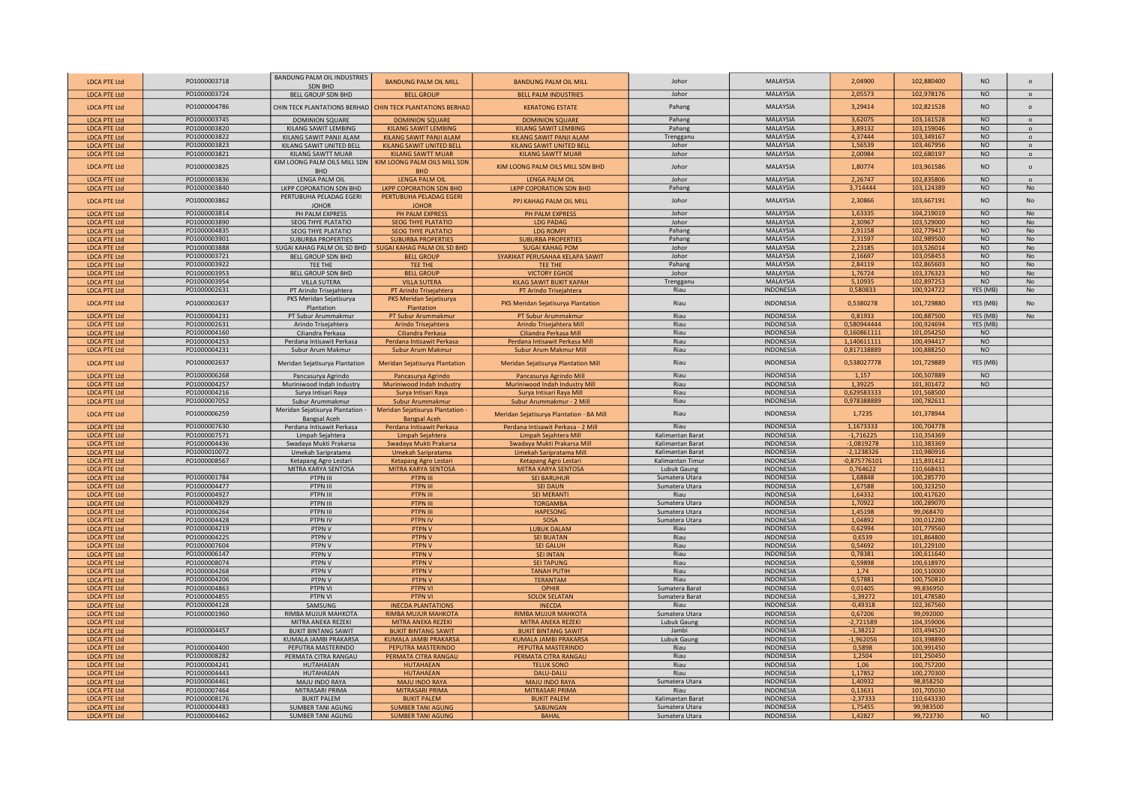| <b>LDCA PTE Ltd</b>                        | PO1000003718                 | BANDUNG PALM OIL INDUSTRIES<br><b>SDN BHD</b>           | <b>BANDUNG PALM OIL MILL</b>                                                         | <b>BANDUNG PALM OIL MILL</b>                        | Johor                            | <b>MALAYSIA</b>                      | 2,04900               | 102,880400               | <b>NO</b>                   | $\Omega$                    |
|--------------------------------------------|------------------------------|---------------------------------------------------------|--------------------------------------------------------------------------------------|-----------------------------------------------------|----------------------------------|--------------------------------------|-----------------------|--------------------------|-----------------------------|-----------------------------|
| <b>LDCA PTE Ltd</b>                        | PO1000003724                 | BELL GROUP SDN BHD                                      | <b>BELL GROUP</b>                                                                    | <b>BELL PALM INDUSTRIES</b>                         | Johor                            | MALAYSIA                             | 2,05573               | 102,978176               | <b>NO</b>                   | $\circ$                     |
| <b>LDCA PTE Ltd</b>                        | PO1000004786                 | CHIN TECK PLANTATIONS BERHAD                            | <b>CHIN TECK PLANTATIONS BERHAD</b>                                                  | <b>KERATONG ESTATE</b>                              | Pahang                           | <b>MALAYSIA</b>                      | 3,29414               | 102,821528               | N <sub>O</sub>              | $\circ$                     |
| <b>LDCA PTE Ltd</b>                        | PO1000003745                 | <b>DOMINION SQUARE</b>                                  | <b>DOMINION SQUARE</b>                                                               | <b>DOMINION SQUARE</b>                              | Pahang                           | <b>MALAYSIA</b>                      | 3,62075               | 103,161528               | NQ                          | $\Omega$                    |
| <b>LDCA PTE Ltd</b>                        | PO1000003820                 | KILANG SAWIT LEMBING                                    | <b>KILANG SAWIT LEMBING</b>                                                          | <b>KILANG SAWIT LEMBING</b>                         | Pahang                           | <b>MALAYSIA</b>                      | 3.89132               | 103.159046               | <b>NO</b>                   | $\Omega$                    |
| <b>LDCA PTE Ltd</b>                        | PO1000003822                 | KILANG SAWIT PANJI ALAM                                 | KILANG SAWIT PANJI ALAM                                                              | <b>KILANG SAWIT PANJI ALAM</b>                      | Trengganu                        | MALAYSIA                             | 4,37444               | 103,349167               | <b>NO</b>                   | $\circ$                     |
| <b>LDCA PTE Ltd</b>                        | PO1000003823                 | KILANG SAWIT UNITED BELL                                | <b>KILANG SAWIT UNITED BELL</b>                                                      | KILANG SAWIT UNITED BELI                            | Johor                            | <b>MALAYSIA</b>                      | 1,56539               | 103,467956               | <b>NO</b>                   | $\circ$                     |
| <b>LDCA PTE Ltd</b>                        | PO1000003821                 | KILANG SAWTT MUAR                                       | <b>KILANG SAWTT MUAR</b>                                                             | <b>KILANG SAWTT MUAR</b>                            | Johor                            | <b>MALAYSIA</b>                      | 2,00984               | 102,680197               | <b>NO</b>                   | $\Omega$                    |
| <b>LDCA PTE Ltd</b>                        | PO1000003825                 | KIM LOONG PALM OILS MILL SDN<br><b>BHD</b>              | KIM LOONG PALM OILS MILL SDN<br><b>BHD</b>                                           | KIM LOONG PALM OILS MILL SDN BHD                    | Johor                            | MALAYSIA                             | 1,80774               | 103,961586               | NO                          | $\circ$                     |
| <b>LDCA PTE Ltd</b>                        | PO1000003836                 | LENGA PALM OIL                                          | <b>LENGA PALM OIL</b>                                                                | <b>LENGA PALM OIL</b>                               | Johor                            | <b>MALAYSIA</b>                      | 2,26747               | 102,835806               | <b>NO</b>                   | $\circ$                     |
| <b>LDCA PTE Ltd</b>                        | PO1000003840                 | LKPP COPORATION SDN BHD                                 | <b>LKPP COPORATION SDN BHD</b>                                                       | LKPP COPORATION SDN BHD                             | Pahang                           | MALAYSIA                             | 3,714444              | 103,124389               | <b>NO</b>                   | No                          |
| <b>LDCA PTE Ltd</b>                        | PO1000003862                 | PERTUBUHA PELADAG EGERI<br><b>JOHOR</b>                 | PERTUBUHA PELADAG EGERI<br><b>JOHOR</b>                                              | PPJ KAHAG PALM OIL MILL                             | Johor                            | MALAYSIA                             | 2,30866               | 103,667191               | <b>NO</b>                   | No                          |
| <b>LDCA PTE Ltd</b>                        | PO1000003814                 | PH PALM EXPRESS                                         | PH PALM EXPRESS                                                                      | PH PALM EXPRESS                                     | Johor                            | <b>MALAYSIA</b>                      | 1,63335               | 104,219019               | <b>NO</b>                   | <b>No</b>                   |
| <b>LDCA PTE Ltd</b>                        | PO1000003890                 | <b>SEOG THYE PLATATIO</b>                               | <b>SEOG THYE PLATATIO</b>                                                            | <b>LDG PADAG</b>                                    | Johor                            | <b>MALAYSIA</b>                      | 2,30967               | 103,529000               | NO                          | <b>No</b>                   |
| <b>LDCA PTE Ltd</b>                        | PO1000004835<br>PO1000003901 | <b>SEOG THYE PLATATIO</b>                               | <b>SEOG THYE PLATATIO</b>                                                            | <b>LDG ROMPI</b>                                    | Pahang<br>Pahang                 | <b>MALAYSIA</b><br><b>MALAYSIA</b>   | 2,91158<br>2.31597    | 102,779417<br>102,989500 | <b>NO</b><br>N <sub>O</sub> | <b>No</b><br>N <sub>o</sub> |
| <b>LDCA PTE Ltd</b><br><b>LDCA PTE Ltd</b> | PO1000003888                 | <b>SUBURBA PROPERTIES</b>                               | <b>SUBURBA PROPERTIES</b><br>SUGAI KAHAG PALM OIL SD BHD SUGAI KAHAG PALM OIL SD BHD | <b>SUBURBA PROPERTIES</b><br><b>SUGAI KAHAG POM</b> | Johor                            | <b>MALAYSIA</b>                      | 2.23185               | 103.526014               | <b>NO</b>                   | <b>No</b>                   |
| <b>LDCA PTE Ltd</b>                        | PO1000003721                 | BELL GROUP SDN BHD                                      | <b>BELL GROUP</b>                                                                    | SYARIKAT PERUSAHAA KELAPA SAWIT                     | Johor                            | <b>MALAYSIA</b>                      | 2,16697               | 103,058453               | NO                          | No                          |
| <b>LDCA PTE Ltd</b>                        | PO1000003922                 | TEE THE                                                 | TEE THE                                                                              | <b>TFF THE</b>                                      | Pahang                           | <b>MALAYSIA</b>                      | 2,84119               | 102,865603               | NO                          | No                          |
| <b>LDCA PTE Ltd</b>                        | PO1000003953                 | <b>BELL GROUP SDN BHD</b>                               | <b>BELL GROUP</b>                                                                    | <b>VICTORY EGHOE</b>                                | Johor                            | <b>MALAYSIA</b>                      | 1,76724               | 103,376323               | <b>NO</b>                   | <b>No</b>                   |
| <b>LDCA PTE Ltd</b>                        | PO1000003954                 | <b>VILLA SUTERA</b>                                     | <b>VILLA SUTERA</b>                                                                  | <b>KILAG SAWIT BUKIT KAPAH</b>                      | Trengganu                        | MALAYSIA                             | 5,10935               | 102,897253               | <b>NO</b>                   | <b>No</b>                   |
| <b>LDCA PTE Ltd</b>                        | PO1000002631                 | PT Arindo Trisejahtera                                  | PT Arindo Trisejahtera                                                               | PT Arindo Trisejahtera                              | Riau                             | INDONESIA                            | 0,580833              | 100,924722               | YES (MB)                    | <b>No</b>                   |
| <b>LDCA PTE Ltd</b>                        | PO1000002637                 | PKS Meridan Sejatisurya<br>Plantation                   | PKS Meridan Sejatisurya<br>Plantation                                                | PKS Meridan Sejatisurya Plantation                  | Riau                             | INDONESIA                            | 0,5380278             | 101,729880               | YES (MB)                    | <b>No</b>                   |
| <b>LDCA PTE Ltd</b>                        | PO1000004231                 | PT Subur Arummakmur                                     | PT Subur Arummakmur                                                                  | PT Subur Arummakmur                                 | Riau                             | <b>INDONESIA</b>                     | 0,81933               | 100,887500               | YES (MB)                    | No                          |
| <b>LDCA PTE Ltd</b>                        | PO1000002631                 | Arindo Trisejahtera                                     | Arindo Trisejahtera                                                                  | Arindo Trisejahtera Mill                            | Riau                             | INDONESIA                            | 0,580944444           | 100,924694               | YES (MB)                    |                             |
| <b>LDCA PTE Ltd</b>                        | PO1000004160                 | Ciliandra Perkasa                                       | Ciliandra Perkasa                                                                    | Ciliandra Perkasa Mill                              | Riau                             | <b>INDONESIA</b>                     | 0,160861111           | 101,054250               | N <sub>O</sub>              |                             |
| <b>LDCA PTE Ltd</b>                        | PO1000004253                 | Perdana Intisawit Perkasa                               | Perdana Intisawit Perkasa                                                            | Perdana Intisawit Perkasa Mill                      | Riau                             | INDONESIA                            | 1,140611111           | 100,494417               | <b>NO</b>                   |                             |
| <b>LDCA PTE Ltd</b>                        | PO1000004231                 | Subur Arum Makmur                                       | Subur Arum Makmur                                                                    | Subur Arum Makmur Mill                              | Riau                             | <b>INDONESIA</b>                     | 0,817138889           | 100,888250               | N <sub>O</sub>              |                             |
| <b>LDCA PTE Ltd</b>                        | PO1000002637                 | Meridan Sejatisurya Plantation                          | Meridan Sejatisurya Plantation                                                       | Meridan Sejatisurya Plantation Mill                 | Riau                             | INDONESIA                            | 0,538027778           | 101,729889               | YES (MB)                    |                             |
| <b>LDCA PTE Ltd</b>                        | PO1000006268                 | Pancasurya Agrindo                                      | Pancasurya Agrindo                                                                   | Pancasurya Agrindo Mill                             | Riau                             | <b>INDONESIA</b>                     | 1,157                 | 100,507889               | <b>NO</b>                   |                             |
| <b>LDCA PTE Ltd</b>                        | PO1000004257                 | Muriniwood Indah Industry                               | Muriniwood Indah Industry                                                            | Muriniwood Indah Industry Mill                      | Riau                             | INDONESIA                            | 1,39225               | 101,301472               | <b>NO</b>                   |                             |
| <b>LDCA PTE Ltd</b>                        | PO1000004216                 | Surya Intisari Raya                                     | Surya Intisari Raya                                                                  | Surya Intisari Raya Mill                            | Riau                             | <b>INDONESIA</b>                     | 0,629583333           | 101,568500               |                             |                             |
| <b>LDCA PTE Ltd</b>                        | PO1000007052                 | Subur Arummakmur                                        | Subur Arummakmur                                                                     | Subur Arummakmur - 2 Mill                           | Riau                             | INDONESIA                            | 0,978388889           | 100,782611               |                             |                             |
| <b>LDCA PTE Ltd</b>                        | PO1000006259                 | Meridan Sejatisurya Plantation -<br><b>Bangsal Aceh</b> | Meridan Sejatisurya Plantation<br><b>Bangsal Aceh</b>                                | Meridan Sejatisurya Plantation - BA Mill            | Riau                             | INDONESIA                            | 1,7235                | 101,378944               |                             |                             |
| <b>LDCA PTE Ltd</b>                        | PO1000007630                 | Perdana Intisawit Perkasa                               | Perdana Intisawit Perkasa                                                            | Perdana Intisawit Perkasa - 2 Mill                  | Riau                             | <b>INDONESIA</b>                     | 1,1673333             | 100,704778               |                             |                             |
| <b>LDCA PTE Ltd</b>                        | PO1000007571                 | Limpah Sejahtera                                        | Limpah Sejahtera                                                                     | Limpah Sejahtera Mill                               | Kalimantan Barat                 | <b>INDONESIA</b>                     | $-1,716225$           | 110,354369               |                             |                             |
| <b>LDCA PTE Ltd</b>                        | PO1000004436                 | Swadaya Mukti Prakarsa                                  | Swadaya Mukti Prakarsa                                                               | Swadaya Mukti Prakarsa Mill                         | Kalimantan Barat                 | INDONESIA                            | $-1,0819278$          | 110,383369               |                             |                             |
| <b>LDCA PTE Ltd</b>                        | PO1000010072                 | Umekah Saripratama                                      | Umekah Saripratama                                                                   | Umekah Saripratama Mill                             | Kalimantan Barat                 | <b>INDONESIA</b>                     | $-2,1238326$          | 110,980916               |                             |                             |
| <b>LDCA PTE Ltd</b>                        | PO1000008567                 | Ketapang Agro Lestari                                   | Ketapang Agro Lestari                                                                | Ketapang Agro Lestari                               | Kalimantan Timur                 | INDONESIA                            | $-0,875776101$        | 115,891412               |                             |                             |
| <b>LDCA PTE Ltd</b><br><b>LDCA PTE Ltd</b> | PO1000001784                 | MITRA KARYA SENTOSA<br>PTPN III                         | MITRA KARYA SENTOSA<br>PTPN III                                                      | <b>MITRA KARYA SENTOSA</b><br><b>SEI BARUHUR</b>    | Lubuk Gaung<br>Sumatera Utara    | <b>INDONESIA</b><br><b>INDONESIA</b> | 0,764622<br>1.68848   | 110,668431<br>100.285770 |                             |                             |
| <b>LDCA PTE Ltd</b>                        | PO1000004477                 | PTPN III                                                | PTPN III                                                                             | <b>SEI DAUN</b>                                     | Sumatera Utara                   | <b>INDONESIA</b>                     | 1.67588               | 100.323250               |                             |                             |
| <b>LDCA PTE Ltd</b>                        | PO1000004927                 | PTPN III                                                | PTPN III                                                                             | <b>SEI MERANTI</b>                                  | Riau                             | INDONESIA                            | 1,64332               | 100,417620               |                             |                             |
| <b>LDCA PTE Ltd</b>                        | PO1000004929                 | PTPN III                                                | PTPN III                                                                             | <b>TORGAMBA</b>                                     | Sumatera Utara                   | INDONESIA                            | 1,70922               | 100,289070               |                             |                             |
| <b>LDCA PTE Ltd</b>                        | PO1000006264                 | PTPN III                                                | PTPN III                                                                             | <b>HAPESONG</b>                                     | Sumatera Utara                   | <b>INDONESIA</b>                     | 1,45198               | 99,068470                |                             |                             |
| <b>LDCA PTE Ltd</b>                        | PO1000004428                 | PTPN IV                                                 | PTPN IV                                                                              | SOSA                                                | Sumatera Utara                   | INDONESIA                            | 1,04892               | 100,012280               |                             |                             |
| <b>LDCA PTE Ltd</b>                        | PO1000004219                 | PTPN V                                                  | PTPN V                                                                               | <b>LUBUK DALAM</b>                                  | Riau                             | INDONESIA                            | 0,62994               | 101,779560               |                             |                             |
| <b>LDCA PTE Ltd</b>                        | PO1000004225                 | PTPN V                                                  | PTPN V                                                                               | <b>SEI BUATAN</b>                                   | Riau                             | INDONESIA                            | 0,6539                | 101,864800               |                             |                             |
| <b>LDCA PTE Ltd</b>                        | PO1000007604                 | PTPN V                                                  | <b>PTPN V</b>                                                                        | <b>SEI GALUH</b>                                    | Riau                             | <b>INDONESIA</b>                     | 0,54692               | 101,229100               |                             |                             |
| <b>LDCA PTE Ltd</b>                        | PO1000006147                 | PTPN V                                                  | PTPN V                                                                               | <b>SEI INTAN</b>                                    | Riau                             | INDONESIA                            | 0,78381               | 100,611640               |                             |                             |
| <b>LDCA PTE Ltd</b>                        | PO1000008074                 | PTPN V                                                  | PTPN V                                                                               | <b>SEI TAPUNG</b>                                   | Riau                             | INDONESIA                            | 0,59898               | 100,618970               |                             |                             |
| <b>LDCA PTE Ltd</b>                        | PO1000004268                 | PTPN V                                                  | <b>PTPN V</b>                                                                        | <b>TANAH PUTIH</b>                                  | Riau                             | INDONESIA                            | 1,74                  | 100,510000               |                             |                             |
| <b>LDCA PTE Ltd</b>                        | PO1000004206<br>PO1000004863 | PTPN V<br>PTPN VI                                       | <b>PTPNV</b><br><b>PTPN VI</b>                                                       | <b>TERANTAM</b><br><b>OPHIR</b>                     | Riau<br>Sumatera Barat           | <b>INDONESIA</b><br><b>INDONESIA</b> | 0,57881               | 100,750810               |                             |                             |
| <b>LDCA PTE Ltd</b><br><b>LDCA PTE Ltd</b> | PO1000004855                 | PTPN VI                                                 | <b>PTPN VI</b>                                                                       | <b>SOLOK SELATAN</b>                                | Sumatera Barat                   | <b>INDONESIA</b>                     | 0,01405<br>$-1,39272$ | 99,836950<br>101,478580  |                             |                             |
| <b>LDCA PTE Ltd</b>                        | PO1000004128                 | SAMSUNG                                                 | <b>INECDA PLANTATIONS</b>                                                            | <b>INECDA</b>                                       | Riau                             | <b>INDONESIA</b>                     | $-0,49318$            | 102,367560               |                             |                             |
| <b>LDCA PTE Ltd</b>                        | PO1000001960                 | RIMBA MUJUR MAHKOTA                                     | RIMBA MUJUR MAHKOTA                                                                  | RIMBA MUJUR MAHKOTA                                 | Sumatera Utara                   | INDONESIA                            | 0,67206               | 99,092000                |                             |                             |
| <b>LDCA PTE Ltd</b>                        |                              | MITRA ANEKA REZEKI                                      | MITRA ANEKA REZEKI                                                                   | <b>MITRA ANEKA REZEKI</b>                           | Lubuk Gaung                      | INDONESIA                            | $-2,721589$           | 104,359006               |                             |                             |
| <b>LDCA PTE Ltd</b>                        | PO1000004457                 | <b>BUKIT BINTANG SAWIT</b>                              | <b>BUKIT BINTANG SAWIT</b>                                                           | <b>BUKIT BINTANG SAWIT</b>                          | Jambi                            | <b>INDONESIA</b>                     | $-1,38212$            | 103,494520               |                             |                             |
| <b>LDCA PTE Ltd</b>                        |                              | KUMALA JAMBI PRAKARSA                                   | <b>KUMALA JAMBI PRAKARSA</b>                                                         | <b>KUMALA JAMBI PRAKARSA</b>                        | Lubuk Gaung                      | <b>INDONESIA</b>                     | $-1,962056$           | 103,398890               |                             |                             |
| <b>LDCA PTE Ltd</b>                        | PO1000004400                 | PEPUTRA MASTERINDO                                      | PEPUTRA MASTERINDO                                                                   | PEPUTRA MASTERINDO                                  | Riau                             | INDONESIA                            | 0,5898                | 100,991450               |                             |                             |
| <b>LDCA PTE Ltd</b>                        | PO1000008282                 | PERMATA CITRA RANGAU                                    | PERMATA CITRA RANGAU                                                                 | PERMATA CITRA RANGAU                                | Riau                             | INDONESIA                            | 1,2504                | 101,250450               |                             |                             |
| <b>LDCA PTE Ltd</b>                        | PO1000004241                 | HUTAHAEAN                                               | <b>HUTAHAEAN</b>                                                                     | <b>TELUK SONO</b>                                   | Riau                             | <b>INDONESIA</b>                     | 1,06                  | 100,757200               |                             |                             |
| <b>LDCA PTE Ltd</b>                        | PO1000004443                 | HUTAHAEAN                                               | <b>HUTAHAEAN</b>                                                                     | DALU-DALU                                           | Riau                             | INDONESIA                            | 1,17852               | 100,270300               |                             |                             |
| <b>LDCA PTE Ltd</b>                        | PO1000004461                 | MAJU INDO RAYA                                          | <b>MAJU INDO RAYA</b>                                                                | <b>MAJU INDO RAYA</b>                               | Sumatera Utara                   | <b>INDONESIA</b>                     | 1,40932               | 98.858250                |                             |                             |
| <b>LDCA PTE Ltd</b>                        | PO1000007464                 | MITRASARI PRIMA                                         | <b>MITRASARI PRIMA</b>                                                               | <b>MITRASARI PRIMA</b>                              | Riau                             | <b>INDONESIA</b>                     | 0.13631               | 101.705030               |                             |                             |
| <b>LDCA PTE Ltd</b>                        | PO1000008176                 | <b>BUKIT PALEM</b>                                      | <b>BUKIT PALEM</b>                                                                   | <b>BUKIT PALEM</b>                                  | Kalimantan Barat                 | <b>INDONESIA</b>                     | $-2.37333$            | 110.643330               |                             |                             |
| <b>LDCA PTE Ltd</b>                        | PO1000004483<br>PO1000004462 | <b>SUMBER TANI AGUNG</b><br><b>SUMBER TANI AGUNG</b>    | <b>SUMBER TANI AGUNG</b><br><b>SUMBER TANI AGUNG</b>                                 | <b>SABUNGAN</b><br><b>BAHAL</b>                     | Sumatera Utara<br>Sumatera Utara | INDONESIA<br>INDONESIA               | 1,75455<br>1,42827    | 99,983500<br>99,723730   | NO                          |                             |
| <b>LDCA PTE Ltd</b>                        |                              |                                                         |                                                                                      |                                                     |                                  |                                      |                       |                          |                             |                             |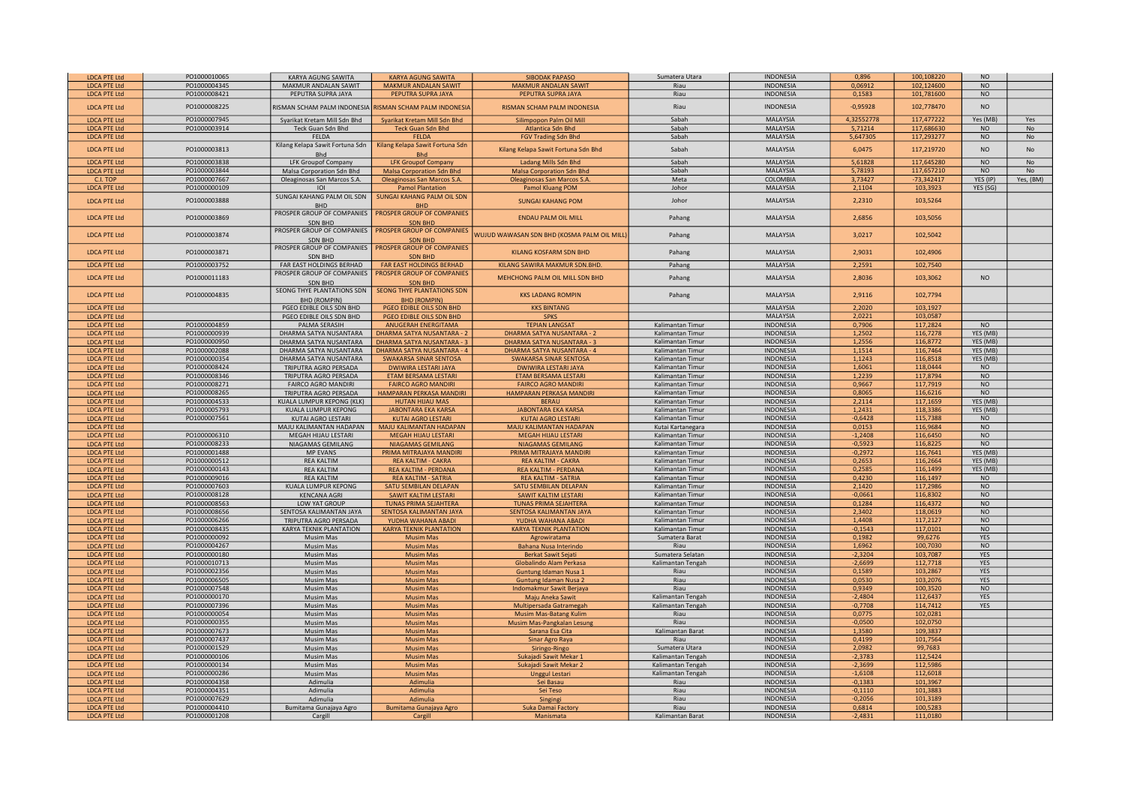| <b>LDCA PTE Ltd</b> | PO1000010065 | KARYA AGUNG SAWITA              | <b>KARYA AGUNG SAWITA</b>         | <b>SIBODAK PAPASO</b>                      | Sumatera Utara    | <b>INDONESIA</b> | 0,896      | 100,108220   | <b>NO</b>       |           |
|---------------------|--------------|---------------------------------|-----------------------------------|--------------------------------------------|-------------------|------------------|------------|--------------|-----------------|-----------|
| <b>LDCA PTE Ltd</b> | PO1000004345 | MAKMUR ANDALAN SAWIT            | <b>MAKMUR ANDALAN SAWIT</b>       | <b>MAKMUR ANDALAN SAWIT</b>                | Riau              | <b>INDONESIA</b> | 0,06912    | 102,124600   | <b>NO</b>       |           |
| <b>LDCA PTE Ltd</b> | PO1000008421 | PEPUTRA SUPRA JAYA              | PEPUTRA SUPRA JAYA                | PEPUTRA SUPRA JAYA                         | Riau              | <b>INDONESIA</b> | 0,1583     | 101,781600   | $\overline{NO}$ |           |
|                     |              |                                 |                                   |                                            |                   |                  |            |              |                 |           |
| <b>LDCA PTE Ltd</b> | PO1000008225 | RISMAN SCHAM PALM INDONESIA     | <b>ISMAN SCHAM PALM INDONESIA</b> | RISMAN SCHAM PALM INDONESIA                | Riau              | INDONESIA        | $-0,95928$ | 102,778470   | <b>NO</b>       |           |
| <b>LDCA PTE Ltd</b> | PO1000007945 | Syarikat Kretam Mill Sdn Bhd    | Syarikat Kretam Mill Sdn Bhd      | Silimpopon Palm Oil Mill                   | Sabah             | <b>MALAYSIA</b>  | 4,32552778 | 117,477222   | Yes (MB)        |           |
|                     |              |                                 |                                   |                                            |                   |                  |            |              |                 | Yes       |
| <b>LDCA PTE Ltd</b> | PO1000003914 | Teck Guan Sdn Bhd               | <b>Teck Guan Sdn Bhd</b>          | Atlantica Sdn Bhd                          | Sabah             | MALAYSIA         | 5,71214    | 117,686630   | <b>NO</b>       | No        |
| <b>LDCA PTE Ltd</b> |              | FELDA                           | <b>FELDA</b>                      | <b>FGV Trading Sdn Bhd</b>                 | Sabah             | MALAYSIA         | 5,647305   | 117,293277   | <b>NO</b>       | No        |
| <b>LDCA PTE Ltd</b> | PO1000003813 | Kilang Kelapa Sawit Fortuna Sdn | Kilang Kelapa Sawit Fortuna Sdn   | Kilang Kelapa Sawit Fortuna Sdn Bhd        | Sabah             | MALAYSIA         | 6,0475     | 117,219720   | <b>NO</b>       | No        |
|                     |              | <b>Bhd</b>                      | <b>Bhd</b>                        |                                            |                   |                  |            |              |                 |           |
| <b>LDCA PTE Ltd</b> | PO1000003838 | <b>LFK Groupof Company</b>      | <b>LFK Groupof Company</b>        | Ladang Mills Sdn Bhd                       | Sabah             | <b>MALAYSIA</b>  | 5,61828    | 117,645280   | <b>NO</b>       | No        |
| <b>LDCA PTE Ltd</b> | PO1000003844 | Malsa Corporation Sdn Bhd       | <b>Malsa Corporation Sdn Bhd</b>  | <b>Malsa Corporation Sdn Bhd</b>           | Sabah             | <b>MALAYSIA</b>  | 5,78193    | 117,657210   | <b>NO</b>       | No        |
| C.I. TOP            | PO1000007667 | Oleaginosas San Marcos S.A.     | Oleaginosas San Marcos S.A.       | <b>Oleaginosas San Marcos S.A</b>          | Meta              | COLOMBIA         | 3,73427    | $-73,342417$ | YES (IP)        | Yes, (BM) |
| <b>LDCA PTE Ltd</b> | PO1000000109 | IOI                             | <b>Pamol Plantation</b>           | Pamol Kluang POM                           | Johor             | <b>MALAYSIA</b>  | 2,1104     | 103,3923     | YES (SG)        |           |
|                     |              | SUNGAI KAHANG PALM OIL SDN      | <b>SUNGAI KAHANG PALM OIL SDN</b> |                                            |                   |                  |            |              |                 |           |
| <b>LDCA PTE Ltd</b> | PO1000003888 | <b>BHD</b>                      | <b>BHD</b>                        | <b>SUNGAI KAHANG POM</b>                   | Johor             | MALAYSIA         | 2,2310     | 103,5264     |                 |           |
|                     |              | PROSPER GROUP OF COMPANIES      | PROSPER GROUP OF COMPANIES        |                                            |                   |                  |            |              |                 |           |
| <b>LDCA PTE Ltd</b> | PO1000003869 | <b>SDN BHD</b>                  | <b>SDN BHD</b>                    | <b>ENDAU PALM OIL MILL</b>                 | Pahang            | MALAYSIA         | 2,6856     | 103,5056     |                 |           |
|                     |              | PROSPER GROUP OF COMPANIES      | PROSPER GROUP OF COMPANIES        |                                            |                   |                  |            |              |                 |           |
| <b>LDCA PTE Ltd</b> | PO1000003874 | SDN BHD                         | <b>SDN BHD</b>                    | WUJUD WAWASAN SDN BHD (KOSMA PALM OIL MILL | Pahang            | MALAYSIA         | 3,0217     | 102,5042     |                 |           |
|                     |              | PROSPER GROUP OF COMPANIES      | PROSPER GROUP OF COMPANIES        |                                            |                   |                  |            |              |                 |           |
| <b>LDCA PTE Ltd</b> | PO1000003871 |                                 |                                   | KILANG KOSFARM SDN BHD                     | Pahang            | MALAYSIA         | 2,9031     | 102,4906     |                 |           |
|                     |              | <b>SDN BHD</b>                  | <b>SDN BHD</b>                    |                                            |                   |                  |            |              |                 |           |
| <b>LDCA PTE Ltd</b> | PO1000003752 | FAR EAST HOLDINGS BERHAD        | <b>FAR EAST HOLDINGS BERHAD</b>   | KILANG SAWIRA MAKMUR SDN.BHD.              | Pahang            | MALAYSIA         | 2,2591     | 102,7540     |                 |           |
| <b>LDCA PTE Ltd</b> | PO1000011183 | PROSPER GROUP OF COMPANIES      | PROSPER GROUP OF COMPANIES        | MEHCHONG PALM OIL MILL SDN BHD             | Pahang            | MALAYSIA         | 2,8036     | 103,3062     | <b>NO</b>       |           |
|                     |              | <b>SDN BHD</b>                  | <b>SDN BHD</b>                    |                                            |                   |                  |            |              |                 |           |
| <b>LDCA PTE Ltd</b> | PO1000004835 | SEONG THYE PLANTATIONS SDN      | <b>SEONG THYE PLANTATIONS SDN</b> | <b>KKS LADANG ROMPIN</b>                   | Pahang            | <b>MALAYSIA</b>  | 2.9116     | 102.7794     |                 |           |
|                     |              | <b>BHD (ROMPIN)</b>             | <b>BHD (ROMPIN)</b>               |                                            |                   |                  |            |              |                 |           |
| <b>LDCA PTE Ltd</b> |              | PGEO EDIBLE OILS SDN BHD        | PGEO EDIBLE OILS SDN BHD          | <b>KKS BINTANG</b>                         |                   | <b>MALAYSIA</b>  | 2.2020     | 103.1927     |                 |           |
| <b>LDCA PTE Ltd</b> |              | PGEO EDIBLE OILS SDN BHD        | PGEO EDIBLE OILS SDN BHD          | <b>SPKS</b>                                |                   | <b>MALAYSIA</b>  | 2,0221     | 103,0587     |                 |           |
| <b>LDCA PTE Ltd</b> | PO1000004859 | PALMA SERASIH                   | ANUGERAH ENERGITAMA               | <b>TEPIAN LANGSAT</b>                      | Kalimantan Timur  | <b>INDONESIA</b> | 0,7906     | 117,2824     | <b>NO</b>       |           |
| <b>LDCA PTE Ltd</b> | PO1000000939 | DHARMA SATYA NUSANTARA          | <b>DHARMA SATYA NUSANTARA - 2</b> | <b>DHARMA SATYA NUSANTARA - 2</b>          | Kalimantan Timur  | <b>INDONESIA</b> | 1,2502     | 116,7278     | YES (MB)        |           |
| <b>LDCA PTE Ltd</b> | PO1000000950 | DHARMA SATYA NUSANTARA          | <b>DHARMA SATYA NUSANTARA - 3</b> | <b>DHARMA SATYA NUSANTARA - 3</b>          | Kalimantan Timur  | <b>INDONESIA</b> | 1,2556     | 116,8772     | YES (MB)        |           |
| <b>LDCA PTE Ltd</b> | PO1000002088 | DHARMA SATYA NUSANTARA          | DHARMA SATYA NUSANTARA - 4        | <b>DHARMA SATYA NUSANTARA - 4</b>          | Kalimantan Timur  | <b>INDONESIA</b> | 1,1514     | 116,7464     | YES (MB)        |           |
| <b>LDCA PTE Ltd</b> | PO1000000354 | DHARMA SATYA NUSANTARA          | SWAKARSA SINAR SENTOSA            | <b>SWAKARSA SINAR SENTOSA</b>              | Kalimantan Timur  | <b>INDONESIA</b> | 1,1243     | 116,8518     | YES (MB)        |           |
| <b>LDCA PTE Ltd</b> | PO1000008424 | TRIPUTRA AGRO PERSADA           | <b>DWIWIRA LESTARI JAYA</b>       | <b>DWIWIRA LESTARI JAYA</b>                | Kalimantan Timur  | INDONESIA        | 1,6061     | 118,0444     | <b>NO</b>       |           |
|                     | PO1000008346 | TRIPUTRA AGRO PERSADA           | <b>ETAM BERSAMA LESTARI</b>       | ETAM BERSAMA LESTARI                       |                   | INDONESIA        |            |              | <b>NO</b>       |           |
| <b>LDCA PTE Ltd</b> |              |                                 |                                   |                                            | Kalimantan Timur  |                  | 1,2239     | 117,8794     |                 |           |
| <b>LDCA PTE Ltd</b> | PO1000008271 | <b>FAIRCO AGRO MANDIRI</b>      | <b>FAIRCO AGRO MANDIRI</b>        | <b>FAIRCO AGRO MANDIRI</b>                 | Kalimantan Timur  | INDONESIA        | 0,9667     | 117,7919     | <b>NO</b>       |           |
| <b>LDCA PTE Ltd</b> | PO1000008265 | TRIPUTRA AGRO PERSADA           | <b>HAMPARAN PERKASA MANDIRI</b>   | HAMPARAN PERKASA MANDIRI                   | Kalimantan Timur  | INDONESIA        | 0,8065     | 116,6216     | <b>NO</b>       |           |
| <b>LDCA PTE Ltd</b> | PO1000004533 | KUALA LUMPUR KEPONG (KLK)       | HUTAN HIJAU MAS                   | <b>BERAU</b>                               | Kalimantan Timur  | <b>INDONESIA</b> | 2,2114     | 117,1659     | YES (MB)        |           |
| <b>LDCA PTE Ltd</b> | PO1000005793 | KUALA LUMPUR KEPONG             | <b>JABONTARA EKA KARSA</b>        | <b>JABONTARA EKA KARSA</b>                 | Kalimantan Timur  | <b>INDONESIA</b> | 1,2431     | 118,3386     | YES (MB)        |           |
| <b>LDCA PTE Ltd</b> | PO1000007561 | <b>KUTAI AGRO LESTARI</b>       | <b>KUTAI AGRO LESTARI</b>         | <b>KUTAI AGRO LESTARI</b>                  | Kalimantan Timur  | <b>INDONESIA</b> | $-0,6428$  | 115,7388     | N <sub>O</sub>  |           |
| <b>LDCA PTE Ltd</b> |              | MAJU KALIMANTAN HADAPAN         | <b>MAJU KALIMANTAN HADAPAN</b>    | <b>MAJU KALIMANTAN HADAPAN</b>             | Kutai Kartanegara | <b>INDONESIA</b> | 0,0153     | 116,9684     | <b>NO</b>       |           |
| <b>LDCA PTE Ltd</b> | PO1000006310 | MEGAH HIJAU LESTARI             | <b>MEGAH HIJAU LESTARI</b>        | <b>MEGAH HIJAU LESTARI</b>                 | Kalimantan Timur  | <b>INDONESIA</b> | $-1,2408$  | 116,6450     | <b>NO</b>       |           |
| <b>LDCA PTE Ltd</b> | PO1000008233 | NIAGAMAS GEMILANG               | <b>NIAGAMAS GEMILANG</b>          | <b>NIAGAMAS GEMILANG</b>                   | Kalimantan Timur  | <b>INDONESIA</b> | $-0,5923$  | 116,8225     | <b>NO</b>       |           |
| <b>LDCA PTE Ltd</b> | PO1000001488 | <b>MP EVANS</b>                 | PRIMA MITRAJAYA MANDIRI           | PRIMA MITRAJAYA MANDIRI                    | Kalimantan Timur  | <b>INDONESIA</b> | $-0,2972$  | 116,7641     | YES (MB)        |           |
| <b>LDCA PTE Ltd</b> | PO1000000512 | <b>REA KALTIM</b>               | REA KALTIM - CAKRA                | <b>REA KALTIM - CAKRA</b>                  | Kalimantan Timur  | <b>INDONESIA</b> | 0,2653     | 116,2664     | YES (MB)        |           |
| <b>LDCA PTE Ltd</b> | PO1000000143 | <b>REA KALTIM</b>               | <b>REA KALTIM - PERDANA</b>       | <b>REA KALTIM - PERDANA</b>                | Kalimantan Timur  | <b>INDONESIA</b> | 0,2585     | 116,1499     | YES (MB)        |           |
| <b>LDCA PTE Ltd</b> | PO1000009016 | <b>REA KALTIM</b>               | <b>REA KALTIM - SATRIA</b>        | <b>REA KALTIM - SATRIA</b>                 | Kalimantan Timur  | INDONESIA        | 0,4230     | 116,1497     | <b>NO</b>       |           |
| <b>LDCA PTE Ltd</b> | PO1000007603 | KUALA LUMPUR KEPONG             | SATU SEMBILAN DELAPAN             | SATU SEMBILAN DELAPAN                      | Kalimantan Timur  | <b>INDONESIA</b> | 2,1420     | 117,2986     | <b>NO</b>       |           |
| <b>LDCA PTE Ltd</b> | PO1000008128 | <b>KENCANA AGRI</b>             | SAWIT KALTIM LESTARI              | <b>SAWIT KALTIM LESTARI</b>                | Kalimantan Timur  | <b>INDONESIA</b> | $-0,0661$  | 116,8302     | <b>NO</b>       |           |
| <b>LDCA PTE Ltd</b> | PO1000008563 | <b>LOW YAT GROUP</b>            | <b>TUNAS PRIMA SEJAHTERA</b>      | <b>TUNAS PRIMA SEJAHTERA</b>               | Kalimantan Timur  | INDONESIA        | 0,1284     | 116,4372     | <b>NO</b>       |           |
| <b>LDCA PTE Ltd</b> | PO1000008656 | SENTOSA KALIMANTAN JAYA         | <b>SENTOSA KALIMANTAN JAYA</b>    | <b>SENTOSA KALIMANTAN JAYA</b>             | Kalimantan Timur  | <b>INDONESIA</b> | 2,3402     | 118,0619     | <b>NO</b>       |           |
| <b>LDCA PTE Ltd</b> | PO1000006266 | TRIPUTRA AGRO PERSADA           | YUDHA WAHANA ABADI                | YUDHA WAHANA ABADI                         | Kalimantan Timur  | <b>INDONESIA</b> | 1.4408     | 117,2127     | N <sub>O</sub>  |           |
| <b>LDCA PTE Ltd</b> | PO1000008435 | KARYA TEKNIK PLANTATION         | <b>KARYA TEKNIK PLANTATION</b>    | <b>KARYA TEKNIK PLANTATION</b>             | Kalimantan Timur  | <b>INDONESIA</b> | $-0.1543$  | 117,0101     | N <sub>O</sub>  |           |
| <b>LDCA PTE Ltd</b> | PO1000000092 | Musim Mas                       | <b>Musim Mas</b>                  | Agrowiratama                               | Sumatera Barat    | <b>INDONESIA</b> | 0,1982     | 99,6276      | <b>YES</b>      |           |
| <b>LDCA PTE Ltd</b> | PO1000004267 | <b>Musim Mas</b>                | <b>Musim Mas</b>                  | Bahana Nusa Interindo                      | Riau              | <b>INDONESIA</b> | 1,6962     | 100,7030     | <b>NO</b>       |           |
| <b>LDCA PTE Ltd</b> | PO1000000180 | <b>Musim Mas</b>                | <b>Musim Mas</b>                  | <b>Berkat Sawit Sejati</b>                 | Sumatera Selatan  | <b>INDONESIA</b> | $-2,3204$  | 103,7087     | <b>YES</b>      |           |
| <b>LDCA PTE Ltd</b> | PO1000010713 |                                 |                                   |                                            | Kalimantan Tengah | <b>INDONESIA</b> | $-2,6699$  | 112,7718     | <b>YES</b>      |           |
|                     |              | Musim Mas                       | <b>Musim Mas</b>                  | Globalindo Alam Perkasa                    |                   |                  |            |              |                 |           |
| <b>LDCA PTE Ltd</b> | PO1000002356 | Musim Mas                       | <b>Musim Mas</b>                  | Guntung Idaman Nusa 1                      | Riau              | INDONESIA        | 0,1589     | 103,2867     | YES             |           |
| <b>LDCA PTE Ltd</b> | PO1000006505 | Musim Mas                       | <b>Musim Mas</b>                  | Guntung Idaman Nusa 2                      | Riau              | INDONESIA        | 0,0530     | 103,2076     | YES             |           |
| <b>LDCA PTE Ltd</b> | PO1000007548 | Musim Mas                       | <b>Musim Mas</b>                  | Indomakmur Sawit Berjaya                   | Riau              | <b>INDONESIA</b> | 0,9349     | 100,3520     | <b>NO</b>       |           |
| <b>LDCA PTE Ltd</b> | PO1000000170 | Musim Mas                       | <b>Musim Mas</b>                  | Maju Aneka Sawit                           | Kalimantan Tengah | <b>INDONESIA</b> | $-2,4804$  | 112,6437     | <b>YES</b>      |           |
| <b>LDCA PTE Ltd</b> | PO1000007396 | Musim Mas                       | <b>Musim Mas</b>                  | Multipersada Gatramegah                    | Kalimantan Tengah | <b>INDONESIA</b> | $-0,7708$  | 114,7412     | <b>YES</b>      |           |
| <b>LDCA PTE Ltd</b> | PO1000000054 | Musim Mas                       | <b>Musim Mas</b>                  | <b>Musim Mas-Batang Kulim</b>              | Riau              | <b>INDONESIA</b> | 0,0775     | 102,0281     |                 |           |
| <b>LDCA PTE Ltd</b> | PO1000000355 | <b>Musim Mas</b>                | <b>Musim Mas</b>                  | Musim Mas-Pangkalan Lesung                 | Riau              | <b>INDONESIA</b> | $-0,0500$  | 102,0750     |                 |           |
| <b>LDCA PTE Ltd</b> | PO1000007673 | <b>Musim Mas</b>                | <b>Musim Mas</b>                  | Sarana Esa Cita                            | Kalimantan Barat  | <b>INDONESIA</b> | 1,3580     | 109,3837     |                 |           |
| <b>LDCA PTE Ltd</b> | PO1000007437 | <b>Musim Mas</b>                | <b>Musim Mas</b>                  | Sinar Agro Raya                            | Riau              | <b>INDONESIA</b> | 0,4199     | 101,7564     |                 |           |
| <b>LDCA PTE Ltd</b> | PO1000001529 | <b>Musim Mas</b>                | <b>Musim Mas</b>                  | Siringo-Ringo                              | Sumatera Utara    | <b>INDONESIA</b> | 2,0982     | 99,7683      |                 |           |
| <b>LDCA PTE Ltd</b> | PO1000000106 | <b>Musim Mas</b>                | <b>Musim Mas</b>                  | Sukajadi Sawit Mekar 1                     | Kalimantan Tengah | <b>INDONESIA</b> | $-2,3783$  | 112,5424     |                 |           |
| <b>LDCA PTE Ltd</b> | PO1000000134 | Musim Mas                       | <b>Musim Mas</b>                  | Sukajadi Sawit Mekar 2                     | Kalimantan Tengah | <b>INDONESIA</b> | $-2,3699$  | 112,5986     |                 |           |
| <b>LDCA PTE Ltd</b> | PO1000000286 | Musim Mas                       | <b>Musim Mas</b>                  | <b>Unggul Lestari</b>                      | Kalimantan Tengah | <b>INDONESIA</b> | $-1,6108$  | 112,6018     |                 |           |
| <b>LDCA PTE Ltd</b> | PO1000004358 | Adimulia                        | Adimulia                          | Sei Basau                                  | Riau              | <b>INDONESIA</b> | $-0,1383$  | 101,3967     |                 |           |
| <b>LDCA PTE Ltd</b> | PO1000004351 | Adimulia                        | Adimulia                          | Sei Teso                                   | Riau              | INDONESIA        | $-0,1110$  | 101,3883     |                 |           |
|                     | PO1000007629 |                                 |                                   |                                            |                   | INDONESIA        | $-0,2056$  | 101,3189     |                 |           |
| <b>LDCA PTE Ltd</b> | PO1000004410 | Adimulia                        | Adimulia                          | Singingi                                   | Riau              | <b>INDONESIA</b> | 0,6814     | 100,5283     |                 |           |
| <b>LDCA PTE Ltd</b> |              | Bumitama Gunajaya Agro          | Bumitama Gunajaya Agro            | Suka Damai Factory                         | Riau              |                  | $-2,4831$  | 111,0180     |                 |           |
| <b>LDCA PTE Ltd</b> | PO1000001208 | Cargill                         | Cargill                           | Manismata                                  | Kalimantan Barat  | <b>INDONESIA</b> |            |              |                 |           |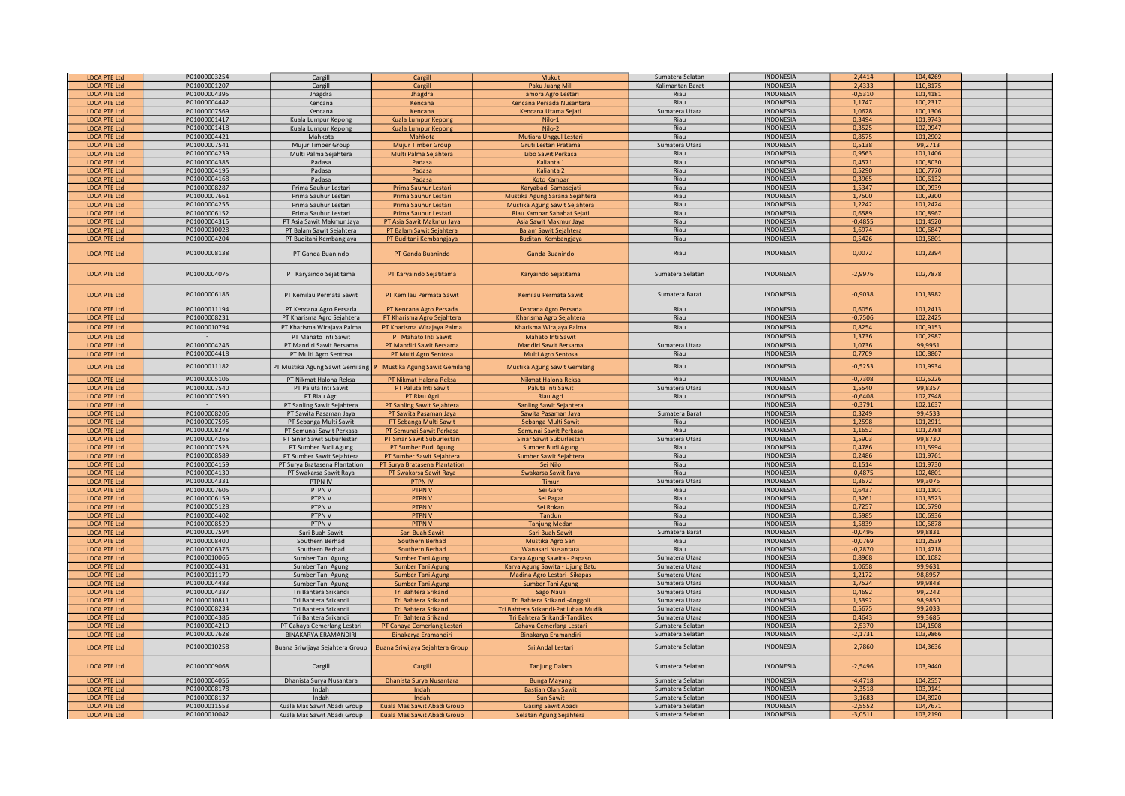| <b>LDCA PTE Ltd</b> | PO1000003254 | Cargill                                     | Cargill                         | Mukut                                | Sumatera Selatan | <b>INDONESIA</b> | $-2,4414$ | 104,4269 |  |
|---------------------|--------------|---------------------------------------------|---------------------------------|--------------------------------------|------------------|------------------|-----------|----------|--|
| <b>LDCA PTE Ltd</b> | PO1000001207 | Cargill                                     | Cargill                         | Paku Juang Mill                      | Kalimantan Barat | <b>INDONESIA</b> | $-2,4333$ | 110,8175 |  |
| <b>LDCA PTE Ltd</b> | PO1000004395 | Jhagdra                                     | Jhagdra                         | Tamora Agro Lestari                  | Riau             | <b>INDONESIA</b> | $-0,5310$ | 101,4181 |  |
| <b>LDCA PTE Ltd</b> | PO1000004442 | Kencana                                     | Kencana                         | Kencana Persada Nusantara            | Riau             | <b>INDONESIA</b> | 1,1747    | 100,2317 |  |
| <b>LDCA PTE Ltd</b> | PO1000007569 | Kencana                                     | Kencana                         | Kencana Utama Sejati                 | Sumatera Utara   | <b>INDONESIA</b> | 1,0628    | 100,1306 |  |
|                     | PO1000001417 |                                             |                                 |                                      | Riau             | <b>INDONESIA</b> | 0,3494    | 101,9743 |  |
| <b>LDCA PTE Ltd</b> | PO1000001418 | Kuala Lumpur Kepong                         | Kuala Lumpur Kepong             | $Nilo-1$                             | Riau             | INDONESIA        | 0,3525    | 102,0947 |  |
| <b>LDCA PTE Ltd</b> | PO1000004421 | Kuala Lumpur Kepong                         | Kuala Lumpur Kepong             | Nilo-2                               |                  |                  |           |          |  |
| <b>LDCA PTE Ltd</b> |              | Mahkota                                     | Mahkota                         | Mutiara Unggul Lestari               | Riau             | INDONESIA        | 0,8575    | 101,2902 |  |
| <b>LDCA PTE Ltd</b> | PO1000007541 | Mujur Timber Group                          | <b>Mujur Timber Group</b>       | Gruti Lestari Pratama                | Sumatera Utara   | <b>INDONESIA</b> | 0,5138    | 99,2713  |  |
| <b>LDCA PTE Ltd</b> | PO1000004239 | Multi Palma Sejahtera                       | Multi Palma Sejahtera           | Libo Sawit Perkasa                   | Riau             | <b>INDONESIA</b> | 0,9563    | 101,1406 |  |
| <b>LDCA PTE Ltd</b> | PO1000004385 | Padasa                                      | Padasa                          | Kalianta 1                           | Riau             | <b>INDONESIA</b> | 0,4571    | 100,8030 |  |
| <b>LDCA PTE Ltd</b> | PO1000004195 | Padasa                                      | Padasa                          | Kalianta <sub>2</sub>                | Riau             | <b>INDONESIA</b> | 0,5290    | 100,7770 |  |
| <b>LDCA PTE Ltd</b> | PO1000004168 | Padasa                                      | Padasa                          | <b>Koto Kampar</b>                   | Riau             | <b>INDONESIA</b> | 0,3965    | 100,6132 |  |
| <b>LDCA PTE Ltd</b> | PO1000008287 | Prima Sauhur Lestari                        | Prima Sauhur Lestari            | Karyabadi Samasejati                 | Riau             | <b>INDONESIA</b> | 1,5347    | 100,9939 |  |
| <b>LDCA PTE Ltd</b> | PO1000007661 | Prima Sauhur Lestari                        | Prima Sauhur Lestari            | Mustika Agung Sarana Sejahtera       | Riau             | <b>INDONESIA</b> | 1,7500    | 100,9300 |  |
| <b>LDCA PTE Ltd</b> | PO1000004255 | Prima Sauhur Lestari                        | Prima Sauhur Lestari            | Mustika Agung Sawit Sejahtera        | Riau             | <b>INDONESIA</b> | 1,2242    | 101,2424 |  |
| <b>LDCA PTE Ltd</b> | PO1000006152 | Prima Sauhur Lestari                        | Prima Sauhur Lestari            | Riau Kampar Sahabat Sejati           | Riau             | <b>INDONESIA</b> | 0,6589    | 100,8967 |  |
| <b>LDCA PTE Ltd</b> | PO1000004315 | PT Asia Sawit Makmur Jaya                   | PT Asia Sawit Makmur Jaya       | Asia Sawit Makmur Jaya               | Riau             | <b>INDONESIA</b> | $-0,4855$ | 101,4520 |  |
| <b>LDCA PTE Ltd</b> | PO1000010028 | PT Balam Sawit Sejahtera                    | PT Balam Sawit Sejahtera        | <b>Balam Sawit Sejahtera</b>         | Riau             | <b>INDONESIA</b> | 1,6974    | 100.6847 |  |
| <b>LDCA PTE Ltd</b> | PO1000004204 | PT Buditani Kembangjaya                     | PT Buditani Kembangjaya         | <b>Buditani Kembangjaya</b>          | Riau             | <b>INDONESIA</b> | 0,5426    | 101,5801 |  |
| <b>LDCA PTE Ltd</b> | PO1000008138 | PT Ganda Buanindo                           | PT Ganda Buanindo               | Ganda Buanindo                       | Riau             | <b>INDONESIA</b> | 0,0072    | 101,2394 |  |
|                     |              |                                             |                                 |                                      |                  |                  |           |          |  |
| <b>LDCA PTE Ltd</b> | PO1000004075 | PT Karyaindo Sejatitama                     | PT Karyaindo Sejatitama         | Karyaindo Sejatitama                 | Sumatera Selatan | <b>INDONESIA</b> | $-2,9976$ | 102,7878 |  |
| <b>LDCA PTE Ltd</b> | PO1000006186 | PT Kemilau Permata Sawit                    | PT Kemilau Permata Sawit        | Kemilau Permata Sawit                | Sumatera Barat   | INDONESIA        | $-0,9038$ | 101,3982 |  |
| <b>LDCA PTE Ltd</b> | PO1000011194 | PT Kencana Agro Persada                     | PT Kencana Agro Persada         | Kencana Agro Persada                 | Riau             | <b>INDONESIA</b> | 0,6056    | 101,2413 |  |
| <b>LDCA PTE Ltd</b> | PO1000008231 | PT Kharisma Agro Sejahtera                  | PT Kharisma Agro Sejahtera      | Kharisma Agro Sejahtera              | Riau             | <b>INDONESIA</b> | $-0,7506$ | 102,2425 |  |
| <b>LDCA PTE Ltd</b> | PO1000010794 | PT Kharisma Wirajaya Palma                  | PT Kharisma Wirajaya Palma      | Kharisma Wirajaya Palma              | Riau             | <b>INDONESIA</b> | 0,8254    | 100,9153 |  |
| <b>LDCA PTE Ltd</b> |              | PT Mahato Inti Sawit                        | PT Mahato Inti Sawit            | Mahato Inti Sawit                    |                  | <b>INDONESIA</b> | 1,3736    | 100,2987 |  |
| LDCA PTE Ltd        | PO1000004246 | PT Mandiri Sawit Bersama                    | PT Mandiri Sawit Bersama        | <b>Mandiri Sawit Bersama</b>         | Sumatera Utara   | <b>INDONESIA</b> | 1,0736    | 99,9951  |  |
| <b>LDCA PTE Ltd</b> | PO1000004418 | PT Multi Agro Sentosa                       | PT Multi Agro Sentosa           | Multi Agro Sentosa                   | Riau             | <b>INDONESIA</b> | 0,7709    | 100,8867 |  |
|                     |              |                                             |                                 |                                      |                  |                  |           |          |  |
| <b>LDCA PTE Ltd</b> | PO1000011182 | <sup>2</sup> T Mustika Agung Sawit Gemilang | PT Mustika Agung Sawit Gemilang | Mustika Agung Sawit Gemilang         | Riau             | <b>INDONESIA</b> | $-0,5253$ | 101,9934 |  |
| <b>LDCA PTE Ltd</b> | PO1000005106 | PT Nikmat Halona Reksa                      | PT Nikmat Halona Reksa          | Nikmat Halona Reksa                  | Riau             | <b>INDONESIA</b> | $-0,7308$ | 102,5226 |  |
| <b>LDCA PTE Ltd</b> | PO1000007540 | PT Paluta Inti Sawit                        | PT Paluta Inti Sawit            | Paluta Inti Sawit                    | Sumatera Utara   | <b>INDONESIA</b> | 1,5540    | 99,8357  |  |
| <b>LDCA PTE Ltd</b> | PO1000007590 | PT Riau Agri                                | PT Riau Agri                    | Riau Agri                            | Riau             | <b>INDONESIA</b> | $-0,6408$ | 102,7948 |  |
| <b>LDCA PTE Ltd</b> |              | PT Sanling Sawit Sejahtera                  | PT Sanling Sawit Sejahtera      | Sanling Sawit Sejahtera              |                  | <b>INDONESIA</b> | $-0,3791$ | 102,1637 |  |
| <b>LDCA PTE Ltd</b> | PO1000008206 | PT Sawita Pasaman Jaya                      | PT Sawita Pasaman Jaya          | Sawita Pasaman Jaya                  | Sumatera Barat   | <b>INDONESIA</b> | 0,3249    | 99,4533  |  |
| <b>LDCA PTE Ltd</b> | PO1000007595 | PT Sebanga Multi Sawit                      | PT Sebanga Multi Sawit          | Sebanga Multi Sawit                  | Riau             | <b>INDONESIA</b> | 1,2598    | 101,2911 |  |
| <b>LDCA PTE Ltd</b> | PO1000008278 | PT Semunai Sawit Perkasa                    | PT Semunai Sawit Perkasa        | Semunai Sawit Perkasa                | Riau             | <b>INDONESIA</b> | 1,1652    | 101,2788 |  |
| <b>LDCA PTE Ltd</b> | PO1000004265 | PT Sinar Sawit Suburlestari                 | PT Sinar Sawit Suburlestari     | <b>Sinar Sawit Suburlestar</b>       | Sumatera Utara   | INDONESIA        | 1,5903    | 99,8730  |  |
| <b>LDCA PTE Ltd</b> | PO1000007523 | PT Sumber Budi Agung                        | PT Sumber Budi Agung            | Sumber Budi Agung                    | Riau             | INDONESIA        | 0,4786    | 101,5994 |  |
| <b>LDCA PTE Ltd</b> | PO1000008589 | PT Sumber Sawit Sejahtera                   | PT Sumber Sawit Sejahtera       | Sumber Sawit Sejahtera               | Riau             | <b>INDONESIA</b> | 0.2486    | 101,9761 |  |
| <b>LDCA PTE Ltd</b> | PO1000004159 | PT Surya Bratasena Plantation               | PT Surya Bratasena Plantation   | Sei Nilo                             | Riau             | <b>INDONESIA</b> | 0,1514    | 101,9730 |  |
| <b>LDCA PTE Ltd</b> | PO1000004130 | PT Swakarsa Sawit Raya                      | PT Swakarsa Sawit Raya          | Swakarsa Sawit Raya                  | Riau             | <b>INDONESIA</b> | $-0,4875$ | 102,4801 |  |
| <b>LDCA PTE Ltd</b> | PO1000004331 | PTPN IV                                     | <b>PTPN IV</b>                  | Timur                                | Sumatera Utara   | <b>INDONESIA</b> | 0,3672    | 99,3076  |  |
| <b>LDCA PTE Ltd</b> | PO1000007605 | PTPN V                                      | <b>PTPN V</b>                   | Sei Garo                             | Riau             | <b>INDONESIA</b> | 0,6437    | 101,1101 |  |
| <b>LDCA PTE Ltd</b> | PO1000006159 | PTPN V                                      | <b>PTPN V</b>                   | Sei Pagar                            | Riau             | <b>INDONESIA</b> | 0,3261    | 101,3523 |  |
| <b>LDCA PTE Ltd</b> | PO1000005128 | PTPN V                                      | <b>PTPN V</b>                   | Sei Rokan                            | Riau             | <b>INDONESIA</b> | 0,7257    | 100,5790 |  |
| <b>LDCA PTE Ltd</b> | PO1000004402 | PTPN V                                      | PTPN V                          | Tandun                               | Riau             | <b>INDONESIA</b> | 0,5985    | 100,6936 |  |
| <b>LDCA PTE Ltd</b> | PO1000008529 | PTPN V                                      | PTPN V                          | <b>Tanjung Medan</b>                 | Riau             | <b>INDONESIA</b> | 1,5839    | 100,5878 |  |
| <b>LDCA PTE Ltd</b> | PO1000007594 | Sari Buah Sawit                             | Sari Buah Sawit                 | Sari Buah Sawit                      | Sumatera Barat   | <b>INDONESIA</b> | $-0,0496$ | 99,8831  |  |
| <b>LDCA PTE Ltd</b> | PO1000008400 | Southern Berhad                             | Southern Berhad                 | Mustika Agro Sari                    | Riau             | <b>INDONESIA</b> | $-0,0769$ | 101,2539 |  |
| <b>LDCA PTE Ltd</b> | PO1000006376 | Southern Berhad                             | Southern Berhad                 | Wanasari Nusantara                   | Riau             | <b>INDONESIA</b> | $-0,2870$ | 101,4718 |  |
| <b>LDCA PTE Ltd</b> | PO1000010065 | Sumber Tani Agung                           | <b>Sumber Tani Agung</b>        | Karya Agung Sawita - Papaso          | Sumatera Utara   | <b>INDONESIA</b> | 0,8968    | 100,1082 |  |
| <b>LDCA PTE Ltd</b> | PO1000004431 | Sumber Tani Agung                           | Sumber Tani Agung               | Karya Agung Sawita - Ujung Batu      | Sumatera Utara   | <b>INDONESIA</b> | 1,0658    | 99,9631  |  |
| <b>LDCA PTE Ltd</b> | PO1000011179 | Sumber Tani Agung                           | <b>Sumber Tani Agung</b>        | Madina Agro Lestari- Sikapas         | Sumatera Utara   | <b>INDONESIA</b> | 1,2172    | 98,8957  |  |
| <b>LDCA PTE Ltd</b> | PO1000004483 | Sumber Tani Agung                           | <b>Sumber Tani Agung</b>        | <b>Sumber Tani Agung</b>             | Sumatera Utara   | <b>INDONESIA</b> | 1,7524    | 99,9848  |  |
| <b>LDCA PTE Ltd</b> | PO1000004387 | Tri Bahtera Srikandi                        | Tri Bahtera Srikandi            | Sago Nauli                           | Sumatera Utara   | <b>INDONESIA</b> | 0,4692    | 99,2242  |  |
| <b>LDCA PTE Ltd</b> | PO1000010811 | Tri Bahtera Srikandi                        | Tri Bahtera Srikandi            | Tri Bahtera Srikandi-Anggoli         | Sumatera Utara   | <b>INDONESIA</b> | 1,5392    | 98,9850  |  |
| <b>LDCA PTE Ltd</b> | PO1000008234 | Tri Bahtera Srikandi                        | Tri Bahtera Srikandi            | Tri Bahtera Srikandi-Patiluban Mudik | Sumatera Utara   | <b>INDONESIA</b> | 0,5675    | 99,2033  |  |
| <b>LDCA PTE Ltd</b> | PO1000004386 | Tri Bahtera Srikandi                        | Tri Bahtera Srikandi            | Tri Bahtera Srikandi-Tandikek        | Sumatera Utara   | <b>INDONESIA</b> | 0,4643    | 99,3686  |  |
| <b>LDCA PTE Ltd</b> | PO1000004210 | PT Cahaya Cemerlang Lestari                 | PT Cahaya Cemerlang Lestari     | Cahaya Cemerlang Lestari             | Sumatera Selatan | <b>INDONESIA</b> | $-2,5370$ | 104,1508 |  |
| <b>LDCA PTE Ltd</b> | PO1000007628 | <b>BINAKARYA ERAMANDIRI</b>                 | Binakarya Eramandiri            | Binakarya Eramandiri                 | Sumatera Selatan | <b>INDONESIA</b> | $-2,1731$ | 103,9866 |  |
| <b>LDCA PTE Ltd</b> | PO1000010258 | Buana Sriwijaya Sejahtera Group             | Buana Sriwijaya Sejahtera Group | Sri Andal Lestari                    | Sumatera Selatan | <b>INDONESIA</b> | $-2,7860$ | 104,3636 |  |
| <b>LDCA PTE Ltd</b> | PO1000009068 | Cargill                                     | Cargill                         | <b>Tanjung Dalam</b>                 | Sumatera Selatan | <b>INDONESIA</b> | $-2,5496$ | 103,9440 |  |
| <b>LDCA PTE Ltd</b> | PO1000004056 | Dhanista Surya Nusantara                    | Dhanista Surya Nusantara        | <b>Bunga Mayang</b>                  | Sumatera Selatan | <b>INDONESIA</b> | $-4,4718$ | 104,2557 |  |
| <b>LDCA PTE Ltd</b> | PO1000008178 | Indah                                       | Indah                           | <b>Bastian Olah Sawit</b>            | Sumatera Selatan | <b>INDONESIA</b> | $-2,3518$ | 103,9141 |  |
| <b>LDCA PTE Ltd</b> | PO1000008137 | Indah                                       | Indah                           | Sun Sawit                            | Sumatera Selatan | <b>INDONESIA</b> | $-3,1683$ | 104,8920 |  |
| <b>LDCA PTE Ltd</b> | PO1000011553 | Kuala Mas Sawit Abadi Group                 | Kuala Mas Sawit Abadi Group     | <b>Gasing Sawit Abadi</b>            | Sumatera Selatan | <b>INDONESIA</b> | $-2,5552$ | 104,7671 |  |
| <b>LDCA PTE Ltd</b> | PO1000010042 | Kuala Mas Sawit Abadi Group                 | Kuala Mas Sawit Abadi Group     | Selatan Agung Sejahtera              | Sumatera Selatan | <b>INDONESIA</b> | $-3,0511$ | 103,2190 |  |
|                     |              |                                             |                                 |                                      |                  |                  |           |          |  |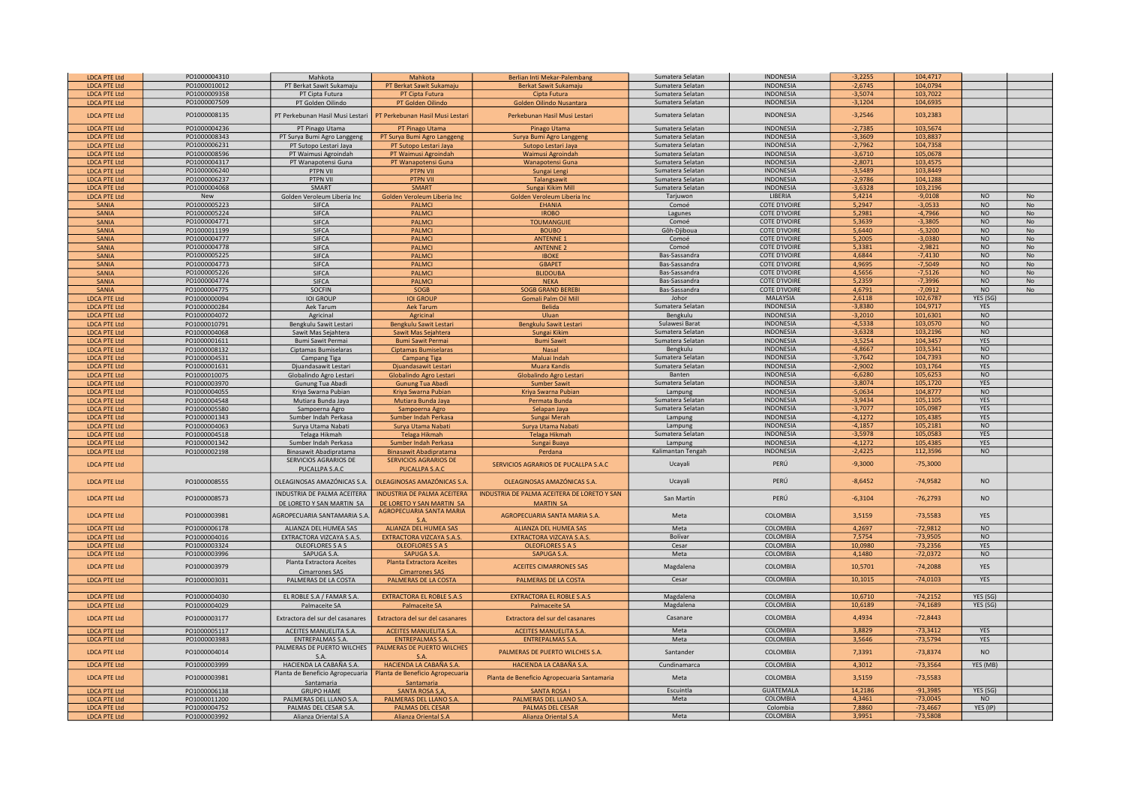| <b>LDCA PTE Ltd</b> | PO1000004310 | Mahkota                           | Mahkota                            | Berlian Inti Mekar-Palembang                | Sumatera Selatan  | <b>INDONESIA</b>     | $-3,2255$ | 104,4717   |                |           |
|---------------------|--------------|-----------------------------------|------------------------------------|---------------------------------------------|-------------------|----------------------|-----------|------------|----------------|-----------|
| <b>LDCA PTE Ltd</b> | PO1000010012 | PT Berkat Sawit Sukamaju          | PT Berkat Sawit Sukamaju           | Berkat Sawit Sukamaju                       | Sumatera Selatan  | <b>INDONESIA</b>     | $-2,6745$ | 104,0794   |                |           |
| <b>LDCA PTE Ltd</b> | PO1000009358 | PT Cipta Futura                   | PT Cipta Futura                    | Cipta Futura                                | Sumatera Selatan  | <b>INDONESIA</b>     | $-3,5074$ | 103,7022   |                |           |
| <b>LDCA PTE Ltd</b> | PO1000007509 | PT Golden Oilindo                 | PT Golden Oilindo                  | Golden Oilindo Nusantara                    | Sumatera Selatan  | <b>INDONESIA</b>     | $-3,1204$ | 104,6935   |                |           |
|                     |              |                                   |                                    |                                             |                   |                      |           |            |                |           |
| <b>LDCA PTE Ltd</b> | PO1000008135 | PT Perkebunan Hasil Musi Lestari  | PT Perkebunan Hasil Musi Lestar    | Perkebunan Hasil Musi Lestari               | Sumatera Selatan  | <b>INDONESIA</b>     | $-3,2546$ | 103,2383   |                |           |
|                     |              |                                   |                                    |                                             |                   |                      |           |            |                |           |
| <b>LDCA PTE Ltd</b> | PO1000004236 | PT Pinago Utama                   | PT Pinago Utama                    | Pinago Utama                                | Sumatera Selatan  | <b>INDONESIA</b>     | $-2,7385$ | 103,5674   |                |           |
| <b>LDCA PTE Ltd</b> | PO1000008343 | PT Surya Bumi Agro Langgeng       | PT Surya Bumi Agro Langgeng        | Surya Bumi Agro Langgeng                    | Sumatera Selatan  | <b>INDONESIA</b>     | $-3,3609$ | 103,8837   |                |           |
| <b>LDCA PTE Ltd</b> | PO1000006231 | PT Sutopo Lestari Jaya            | PT Sutopo Lestari Jaya             | Sutopo Lestari Jaya                         | Sumatera Selatan  | <b>INDONESIA</b>     | $-2,7962$ | 104,7358   |                |           |
| <b>LDCA PTE Ltd</b> | PO1000008596 | PT Waimusi Agroindah              | PT Waimusi Agroindah               | Waimusi Agroindah                           | Sumatera Selatan  | <b>INDONESIA</b>     | $-3,6710$ | 105,0678   |                |           |
| <b>LDCA PTE Ltd</b> | PO1000004317 | PT Wanapotensi Guna               | PT Wanapotensi Guna                | Wanapotensi Guna                            | Sumatera Selatan  | INDONESIA            | $-2,8071$ | 103,4575   |                |           |
| <b>LDCA PTE Ltd</b> | PO1000006240 | PTPN VII                          | PTPN VII                           | Sungai Lengi                                | Sumatera Selatan  | INDONESIA            | $-3,5489$ | 103,8449   |                |           |
| <b>LDCA PTE Ltd</b> | PO1000006237 | PTPN VII                          | <b>PTPN VII</b>                    | Talangsawit                                 | Sumatera Selatan  | <b>INDONESIA</b>     | $-2,9786$ | 104,1288   |                |           |
| <b>LDCA PTE Ltd</b> | PO1000004068 | SMART                             | SMART                              | Sungai Kikim Mill                           | Sumatera Selatan  | <b>INDONESIA</b>     | $-3,6328$ | 103,2196   |                |           |
|                     |              |                                   |                                    |                                             |                   | LIBERIA              | 5,4214    | $-9,0108$  | <b>NO</b>      | No        |
| <b>LDCA PTE Ltd</b> | New          | Golden Veroleum Liberia Inc       | Golden Veroleum Liberia Inc        | Golden Veroleum Liberia Inc                 | Tarjuwon          |                      |           |            |                |           |
| <b>SANIA</b>        | PO1000005223 | <b>SIFCA</b>                      | <b>PALMCI</b>                      | <b>EHANIA</b>                               | Comoé             | <b>COTE D'IVOIRE</b> | 5,2947    | $-3,0533$  | <b>NO</b>      | <b>No</b> |
| SANIA               | PO1000005224 | <b>SIFCA</b>                      | <b>PALMCI</b>                      | <b>IROBO</b>                                | Lagunes           | <b>COTE D'IVOIRE</b> | 5.2981    | $-4.7966$  | N <sub>O</sub> | <b>No</b> |
| SANIA               | PO1000004771 | <b>SIFCA</b>                      | <b>PALMC</b>                       | <b>TOUMANGUIE</b>                           | Comoé             | <b>COTE D'IVOIRE</b> | 5,3639    | $-3,3805$  | NO             | No        |
| SANIA               | PO1000011199 | <b>SIFCA</b>                      | <b>PALMCI</b>                      | <b>BOUBO</b>                                | Gôh-Djiboua       | <b>COTE D'IVOIRE</b> | 5,6440    | $-5,3200$  | NO             | No        |
| <b>SANIA</b>        | PO1000004777 | SIFCA                             | <b>PALMCI</b>                      | <b>ANTENNE 1</b>                            | Comoé             | <b>COTE D'IVOIRE</b> | 5,2005    | $-3,0380$  | <b>NO</b>      | No        |
| <b>SANIA</b>        | PO1000004778 | <b>SIFCA</b>                      | <b>PALMCI</b>                      | <b>ANTENNE 2</b>                            | Comoé             | <b>COTE D'IVOIRE</b> | 5,3381    | $-2,9821$  | N <sub>O</sub> | No        |
| <b>SANIA</b>        | PO1000005225 | <b>SIFCA</b>                      | <b>PALMCI</b>                      | <b>IBOKE</b>                                | Bas-Sassandra     | <b>COTE D'IVOIRE</b> | 4,6844    | $-7,4130$  | NO             | No        |
|                     |              |                                   |                                    |                                             |                   |                      |           |            | <b>NO</b>      | No        |
| <b>SANIA</b>        | PO1000004773 | <b>SIFCA</b>                      | <b>PALMCI</b>                      | <b>GBAPET</b>                               | Bas-Sassandra     | <b>COTE D'IVOIRE</b> | 4,9695    | $-7,5049$  |                |           |
| SANIA               | PO1000005226 | <b>SIFCA</b>                      | <b>PALMCI</b>                      | <b>BLIDOUBA</b>                             | Bas-Sassandra     | <b>COTE D'IVOIRE</b> | 4,5656    | $-7,5126$  | <b>NO</b>      | No        |
| <b>SANIA</b>        | PO1000004774 | <b>SIFCA</b>                      | <b>PALMCI</b>                      | <b>NEKA</b>                                 | Bas-Sassandra     | <b>COTE D'IVOIRE</b> | 5,2359    | $-7,3996$  | <b>NO</b>      | No        |
| SANIA               | PO1000004775 | SOCFIN                            | SOGB                               | <b>SOGB GRAND BEREBI</b>                    | Bas-Sassandra     | <b>COTE D'IVOIRE</b> | 4,6791    | $-7,0912$  | <b>NO</b>      | No        |
| <b>LDCA PTE Ltd</b> | PO1000000094 | <b>IOI GROUP</b>                  | <b>IOI GROUP</b>                   | Gomali Palm Oil Mill                        | Johor             | MALAYSIA             | 2,6118    | 102,6787   | YES (SG)       |           |
| <b>LDCA PTE Ltd</b> | PO1000000284 | Aek Tarum                         | <b>Aek Tarum</b>                   | Belida                                      | Sumatera Selatan  | <b>INDONESIA</b>     | $-3,8380$ | 104,9717   | YES            |           |
| <b>LDCA PTE Ltd</b> | PO1000004072 | Agricinal                         | Agricinal                          | Uluan                                       | Bengkulu          | <b>INDONESIA</b>     | $-3,2010$ | 101,6301   | <b>NO</b>      |           |
| <b>LDCA PTE Ltd</b> | PO1000010791 | Bengkulu Sawit Lestari            | Bengkulu Sawit Lestari             | Bengkulu Sawit Lestari                      | Sulawesi Barat    | <b>INDONESIA</b>     | $-4,5338$ | 103,0570   | N <sub>O</sub> |           |
| <b>LDCA PTE Ltd</b> | PO1000004068 | Sawit Mas Sejahtera               | Sawit Mas Sejahtera                | Sungai Kikim                                | Sumatera Selatan  | <b>INDONESIA</b>     | $-3,6328$ | 103,2196   | N <sub>O</sub> |           |
| <b>LDCA PTE Ltd</b> | PO1000001611 | Bumi Sawit Permai                 | <b>Bumi Sawit Permai</b>           | <b>Bumi Sawit</b>                           | Sumatera Selatan  | <b>INDONESIA</b>     |           | 104.3457   | <b>YES</b>     |           |
|                     |              |                                   |                                    |                                             |                   |                      | $-3,5254$ |            |                |           |
| <b>LDCA PTE Ltd</b> | PO1000008132 | Ciptamas Bumiselaras              | <b>Ciptamas Bumiselaras</b>        | <b>Nasal</b>                                | Bengkulu          | <b>INDONESIA</b>     | $-4,8667$ | 103,5341   | NO             |           |
| <b>LDCA PTE Ltd</b> | PO1000004531 | Campang Tiga                      | <b>Campang Tiga</b>                | Maluai Indah                                | Sumatera Selatan  | <b>INDONESIA</b>     | $-3,7642$ | 104,7393   | NO             |           |
| <b>LDCA PTE Ltd</b> | PO1000001631 | Djuandasawit Lestari              | Djuandasawit Lestari               | Muara Kandis                                | Sumatera Selatan  | <b>INDONESIA</b>     | $-2,9002$ | 103,1764   | <b>YES</b>     |           |
| <b>LDCA PTE Ltd</b> | PO1000010075 | Globalindo Agro Lestari           | Globalindo Agro Lestari            | Globalindo Agro Lestari                     | Banten            | <b>INDONESIA</b>     | $-6,6280$ | 105,6253   | NO             |           |
| <b>LDCA PTE Ltd</b> | PO1000003970 | Gunung Tua Abadi                  | <b>Gunung Tua Abadi</b>            | <b>Sumber Sawit</b>                         | Sumatera Selatan  | <b>INDONESIA</b>     | $-3,8074$ | 105,1720   | <b>YES</b>     |           |
| <b>LDCA PTE Ltd</b> | PO1000004055 | Kriya Swarna Pubian               | Kriya Swarna Pubian                | Kriya Swarna Pubian                         | Lampung           | <b>INDONESIA</b>     | $-5,0634$ | 104,8777   | <b>NO</b>      |           |
| <b>LDCA PTE Ltd</b> | PO1000004548 | Mutiara Bunda Jaya                | Mutiara Bunda Jaya                 | Permata Bunda                               | Sumatera Selatan  | <b>INDONESIA</b>     | $-3,9434$ | 105,1105   | YES            |           |
| <b>LDCA PTE Ltd</b> | PO1000005580 |                                   |                                    |                                             | Sumatera Selatan  | <b>INDONESIA</b>     | $-3,7077$ | 105,0987   | YES            |           |
|                     |              | Sampoerna Agro                    | Sampoerna Agro                     | Selapan Jaya                                | Lampung           | <b>INDONESIA</b>     | $-4,1272$ | 105.4385   | <b>YES</b>     |           |
| <b>LDCA PTE Ltd</b> | PO1000001343 | Sumber Indah Perkasa              | Sumber Indah Perkasa               | Sungai Merah                                |                   |                      |           |            |                |           |
| <b>LDCA PTE Ltd</b> | PO1000004063 | Surya Utama Nabati                | Surya Utama Nabati                 | Surva Utama Nabati                          | Lampung           | <b>INDONESIA</b>     | $-4.1857$ | 105.2181   | N <sub>O</sub> |           |
| <b>LDCA PTE Ltd</b> | PO1000004518 | Telaga Hikmah                     | Telaga Hikmah                      | Telaga Hikmah                               | Sumatera Selatan  | <b>INDONESIA</b>     | $-3,5978$ | 105,0583   | YES            |           |
| <b>LDCA PTE Ltd</b> | PO1000001342 | Sumber Indah Perkasa              | Sumber Indah Perkasa               | Sungai Buaya                                | Lampung           | <b>INDONESIA</b>     | $-4,1272$ | 105,4385   | YES            |           |
| <b>LDCA PTE Ltd</b> | PO1000002198 | Binasawit Abadipratama            | Binasawit Abadipratama             | Perdana                                     | Kalimantan Tengah | <b>INDONESIA</b>     | $-2,4225$ | 112,3596   | <b>NO</b>      |           |
|                     |              | SERVICIOS AGRARIOS DE             | <b>SERVICIOS AGRARIOS DE</b>       |                                             |                   |                      |           |            |                |           |
| <b>LDCA PTE Ltd</b> |              | PUCALLPA S.A.C.                   | PUCALLPA S.A.C                     | SERVICIOS AGRARIOS DE PUCALLPA S.A.C        | Ucavali           | PERÚ                 | $-9,3000$ | $-75,3000$ |                |           |
|                     |              |                                   |                                    |                                             |                   |                      |           |            |                |           |
| <b>LDCA PTE Ltd</b> | PO1000008555 | OLEAGINOSAS AMAZÓNICAS S.A.       | OLEAGINOSAS AMAZÓNICAS S.A         | OLEAGINOSAS AMAZÓNICAS S.A.                 | Ucayali           | PERÚ                 | $-8,6452$ | $-74,9582$ | <b>NO</b>      |           |
|                     |              |                                   |                                    |                                             |                   |                      |           |            |                |           |
| <b>LDCA PTE Ltd</b> | PO1000008573 | INDUSTRIA DE PALMA ACEITERA       | <b>INDUSTRIA DE PALMA ACEITERA</b> | INDUSTRIA DE PALMA ACEITERA DE LORETO Y SAN | San Martín        | PERÚ                 | $-6,3104$ | $-76,2793$ | <b>NO</b>      |           |
|                     |              | DE LORETO Y SAN MARTIN SA         | DE LORETO Y SAN MARTIN SA          | <b>MARTIN SA</b>                            |                   |                      |           |            |                |           |
|                     |              |                                   | AGROPECUARIA SANTA MARIA           |                                             |                   |                      |           |            |                |           |
| <b>LDCA PTE Ltd</b> | PO1000003981 | <b>GROPECUARIA SANTAMARIA S.A</b> |                                    | AGROPECUARIA SANTA MARIA S.A.               | Meta              | COLOMBIA             | 3,5159    | $-73,5583$ | <b>YES</b>     |           |
| <b>LDCA PTE Ltd</b> | PO1000006178 | ALIANZA DEL HUMEA SAS             | ALIANZA DEL HUMEA SAS              | ALIANZA DEL HUMEA SAS                       | Meta              | <b>COLOMBIA</b>      | 4,2697    | $-72,9812$ | <b>NO</b>      |           |
| <b>LDCA PTE Ltd</b> | PO1000004016 | EXTRACTORA VIZCAYA S.A.S.         | <b>EXTRACTORA VIZCAYA S.A.S.</b>   | <b>EXTRACTORA VIZCAYA S.A.S</b>             | Bolívar           | <b>COLOMBIA</b>      | 7,5754    | $-73,9505$ | <b>NO</b>      |           |
| <b>LDCA PTE Ltd</b> | PO1000003324 | OLEOFLORES S A S                  | <b>OLEOFLORES S A S</b>            | <b>OLEOFLORES S A S</b>                     | Cesar             | <b>COLOMBIA</b>      | 10,0980   | $-73,2356$ | YES            |           |
|                     |              |                                   |                                    |                                             |                   |                      |           |            |                |           |
| <b>LDCA PTE Ltd</b> | PO1000003996 | SAPUGA S.A.                       | SAPUGA S.A.                        | SAPUGA S.A.                                 | Meta              | COLOMBIA             | 4,1480    | $-72,0372$ | <b>NO</b>      |           |
| <b>LDCA PTE Ltd</b> | PO1000003979 | Planta Extractora Aceites         | <b>Planta Extractora Aceites</b>   | <b>ACEITES CIMARRONES SAS</b>               | Magdalena         | COLOMBIA             | 10,5701   | $-74,2088$ | <b>YES</b>     |           |
|                     |              | <b>Cimarrones SAS</b>             | <b>Cimarrones SAS</b>              |                                             |                   |                      |           |            |                |           |
| <b>LDCA PTE Ltd</b> | PO1000003031 | PALMERAS DE LA COSTA              | PALMERAS DE LA COSTA               | PALMERAS DE LA COSTA                        | Cesar             | <b>COLOMBIA</b>      | 10,1015   | $-74,0103$ | YES            |           |
|                     |              |                                   |                                    |                                             |                   |                      |           |            |                |           |
| <b>LDCA PTE Ltd</b> | PO1000004030 | EL ROBLE S.A / FAMAR S.A.         | <b>EXTRACTORA EL ROBLE S.A.S</b>   | <b>EXTRACTORA EL ROBLE S.A.S</b>            | Magdalena         | <b>COLOMBIA</b>      | 10,6710   | $-74,2152$ | YES (SG)       |           |
| <b>LDCA PTE Ltd</b> | PO1000004029 | Palmaceite SA                     | <b>Palmaceite SA</b>               | <b>Palmaceite SA</b>                        | Magdalena         | COLOMBIA             | 10,6189   | $-74,1689$ | YES (SG)       |           |
|                     |              |                                   |                                    |                                             |                   |                      |           |            |                |           |
| <b>LDCA PTE Ltd</b> | PO1000003177 | Extractora del sur del casanares  | Extractora del sur del casanares   | Extractora del sur del casanares            | Casanare          | COLOMBIA             | 4,4934    | $-72,8443$ |                |           |
|                     |              |                                   |                                    |                                             |                   |                      |           |            |                |           |
| <b>LDCA PTE Ltd</b> | PO1000005117 | ACEITES MANUELITA S.A.            | <b>ACEITES MANUELITA S.A.</b>      | <b>ACEITES MANUELITA S.A</b>                | Meta              | COLOMBIA             | 3,8829    | $-73,3412$ | <b>YES</b>     |           |
| <b>LDCA PTE Ltd</b> | PO1000003983 | ENTREPALMAS S.A.                  | <b>ENTREPALMAS S.A.</b>            | <b>ENTREPALMAS S.A.</b>                     | Meta              | COLOMBIA             | 3,5646    | $-73,5794$ | YES            |           |
|                     |              | PALMERAS DE PUERTO WILCHES        | PALMERAS DE PUERTO WILCHES         |                                             |                   | COLOMBIA             |           |            | N <sub>O</sub> |           |
| <b>LDCA PTE Ltd</b> | PO1000004014 |                                   | S.A                                | PALMERAS DE PUERTO WILCHES S.A.             | Santander         |                      | 7,3391    | $-73,8374$ |                |           |
| <b>LDCA PTE Ltd</b> | PO1000003999 | HACIENDA LA CABAÑA S.A.           | HACIENDA LA CABAÑA S.A.            | HACIENDA LA CABAÑA S.A.                     | Cundinamarca      | COLOMBIA             | 4,3012    | $-73,3564$ | YES (MB)       |           |
|                     |              | Planta de Beneficio Agropecuaria  | Planta de Beneficio Agropecuaria   |                                             |                   |                      |           |            |                |           |
| <b>LDCA PTE Ltd</b> | PO1000003981 |                                   |                                    | Planta de Beneficio Agropecuaria Santamaria | Meta              | COLOMBIA             | 3,5159    | $-73,5583$ |                |           |
|                     |              | Santamaria                        | Santamaria                         |                                             |                   |                      |           |            |                |           |
| <b>LDCA PTE Ltd</b> | PO1000006138 | <b>GRUPO HAME</b>                 | <b>SANTA ROSA S.A.</b>             | <b>SANTA ROSA I</b>                         | Escuintla         | <b>GUATEMALA</b>     | 14,2186   | $-91,3985$ | YES (SG)       |           |
| <b>LDCA PTE Ltd</b> | PO1000011200 | PALMERAS DEL LLANO S.A.           | PALMERAS DEL LLANO S.A.            | PALMERAS DEL LLANO S.A                      | Meta              | COLOMBIA             | 4,3461    | $-73.0045$ | <b>NO</b>      |           |
| <b>LDCA PTE Ltd</b> | PO1000004752 | PALMAS DEL CESAR S.A.             | <b>PALMAS DEL CESAR</b>            | <b>PALMAS DEL CESAR</b>                     |                   | Colombia             | 7,8860    | $-73,4667$ | YES (IP)       |           |
| <b>LDCA PTE Ltd</b> | PO1000003992 | Alianza Oriental S.A              | Alianza Oriental S.A               | Alianza Oriental S.A                        | Meta              | COLOMBIA             | 3.9951    | $-73.5808$ |                |           |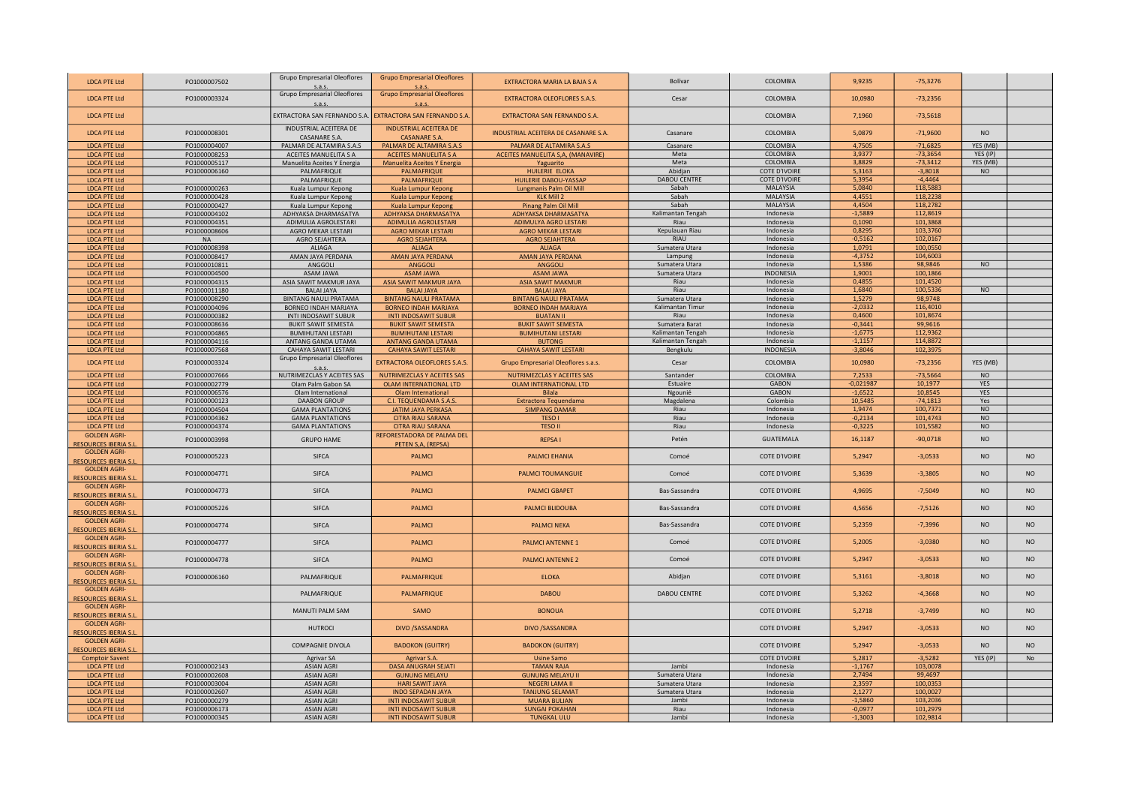| <b>LDCA PTE Ltd</b>                                | PO1000007502                 | Grupo Empresarial Oleoflores<br>S.a.S.                  | <b>Grupo Empresarial Oleoflores</b><br>S.A.9               | EXTRACTORA MARIA LA BAJA S A                         | <b>Bolívar</b>      | COLOMBIA                      | 9,9235                 | $-75,3276$             |                  |                |
|----------------------------------------------------|------------------------------|---------------------------------------------------------|------------------------------------------------------------|------------------------------------------------------|---------------------|-------------------------------|------------------------|------------------------|------------------|----------------|
| <b>LDCA PTE Ltd</b>                                | PO1000003324                 | <b>Grupo Empresarial Oleoflores</b>                     | <b>Grupo Empresarial Oleoflores</b>                        | <b>EXTRACTORA OLEOFLORES S.A.S.</b>                  | Cesar               | COLOMBIA                      | 10,0980                | $-73,2356$             |                  |                |
| <b>LDCA PTE Ltd</b>                                |                              | s.a.s.<br>EXTRACTORA SAN FERNANDO S.A                   | S.a.S.<br>EXTRACTORA SAN FERNANDO S.A.                     | <b>EXTRACTORA SAN FERNANDO S.A.</b>                  |                     | COLOMBIA                      | 7,1960                 | $-73,5618$             |                  |                |
| <b>LDCA PTE Ltd</b>                                | PO1000008301                 | INDUSTRIAL ACEITERA DE                                  | <b>INDUSTRIAL ACEITERA DE</b>                              | INDUSTRIAL ACEITERA DE CASANARE S.A.                 | Casanare            | COLOMBIA                      | 5,0879                 | $-71,9600$             | N <sub>O</sub>   |                |
| <b>LDCA PTE Ltd</b>                                | PO1000004007                 | CASANARE S.A.<br>PALMAR DE ALTAMIRA S.A.S               | <b>CASANARE S.A.</b><br>PALMAR DE ALTAMIRA S.A.S           | PALMAR DE ALTAMIRA S.A.S                             | Casanare            | <b>COLOMBIA</b>               | 4,7505                 | $-71,6825$             | YES (MB)         |                |
| <b>LDCA PTE Ltd</b>                                | PO1000008253                 | ACEITES MANUELITA S A                                   | <b>ACEITES MANUELITA S A</b>                               | ACEITES MANUELITA S,A, (MANAVIRE)                    | Meta                | <b>COLOMBIA</b>               | 3,9377                 | $-73,3654$             | YES (IP)         |                |
| <b>LDCA PTE Ltd</b>                                | PO1000005117                 | Manuelita Aceites Y Energia                             | Manuelita Aceites Y Energia                                | Yaguarito                                            | Meta                | COLOMBIA                      | 3,8829                 | $-73,3412$             | YES (MB)         |                |
| <b>LDCA PTE Ltd</b>                                | PO1000006160                 | PALMAFRIQUE                                             | <b>PALMAFRIQUE</b>                                         | HUILERIE ELOKA                                       | Abidjan             | <b>COTE D'IVOIRE</b>          | 5,3163                 | $-3,8018$              | N <sub>O</sub>   |                |
| <b>LDCA PTE Ltd</b>                                |                              | PALMAFRIQUE                                             | PALMAFRIQUE                                                | HUILERIE DABOU-YASSAP                                | <b>DABOU CENTRE</b> | <b>COTE D'IVOIRE</b>          | 5,3954                 | $-4,4464$              |                  |                |
| <b>LDCA PTE Ltd</b>                                | PO1000000263                 | Kuala Lumpur Kepong                                     | Kuala Lumpur Kepong                                        | Lungmanis Palm Oil Mill                              | Sabah               | <b>MALAYSIA</b>               | 5,0840                 | 118,5883               |                  |                |
| <b>LDCA PTE Ltd</b>                                | PO1000000428                 | Kuala Lumpur Kepong                                     | Kuala Lumpur Kepong                                        | <b>KLK Mill 2</b>                                    | Sabah               | <b>MALAYSIA</b>               | 4,4551                 | 118,2238               |                  |                |
| <b>LDCA PTE Ltd</b>                                | PO1000000427                 | Kuala Lumpur Kepong                                     | Kuala Lumpur Kepong                                        | Pinang Palm Oil Mill                                 | Sabah               | MALAYSIA                      | 4,4504                 | 118,2782               |                  |                |
| <b>LDCA PTE Ltd</b>                                | PO1000004102                 | ADHYAKSA DHARMASATYA                                    | <b>ADHYAKSA DHARMASATYA</b>                                | <b>ADHYAKSA DHARMASATYA</b>                          | Kalimantan Tengah   | Indonesia                     | $-1,5889$              | 112,8619               |                  |                |
| <b>LDCA PTE Ltd</b>                                | PO1000004351                 | ADIMULIA AGROLESTARI                                    | ADIMULIA AGROLESTARI                                       | <b>ADIMULYA AGRO LESTARI</b>                         | Riau                | Indonesia                     | 0,1090                 | 101,3868               |                  |                |
| <b>LDCA PTE Ltd</b>                                | PO1000008606                 | AGRO MEKAR LESTARI                                      | <b>AGRO MEKAR LESTARI</b>                                  | <b>AGRO MEKAR LESTARI</b>                            | Kepulauan Riau      | Indonesia                     | 0,8295                 | 103,3760               |                  |                |
| <b>LDCA PTE Ltd</b>                                | <b>NA</b>                    | AGRO SEJAHTERA                                          | AGRO SEJAHTERA                                             | <b>AGRO SEJAHTERA</b>                                | <b>RIAU</b>         | Indonesia                     | $-0,5162$              | 102,0167               |                  |                |
| <b>LDCA PTE Ltd</b>                                | PO1000008398                 | <b>ALIAGA</b>                                           | <b>ALIAGA</b>                                              | <b>ALIAGA</b>                                        | Sumatera Utara      | Indonesia                     | 1.0791                 | 100,0550               |                  |                |
| <b>LDCA PTE Ltd</b>                                | PO1000008417                 | AMAN JAYA PERDANA                                       | AMAN JAYA PERDANA                                          | AMAN JAYA PERDANA                                    | Lampung             | Indonesia                     | $-4.3752$              | 104.6003               |                  |                |
| <b>LDCA PTE Ltd</b>                                | PO1000010811                 | ANGGOLI                                                 | ANGGOLI                                                    | <b>ANGGOLI</b>                                       | Sumatera Utara      | Indonesia                     | 1,5386                 | 98,9846                | <b>NO</b>        |                |
| <b>LDCA PTE Ltd</b>                                | PO1000004500                 | <b>ASAM JAWA</b>                                        | <b>ASAM JAWA</b>                                           | <b>ASAM JAWA</b>                                     | Sumatera Utara      | INDONESIA                     | 1,9001                 | 100,1866               |                  |                |
| <b>LDCA PTE Ltd</b>                                | PO1000004315                 | ASIA SAWIT MAKMUR JAYA                                  | ASIA SAWIT MAKMUR JAYA                                     | <b>ASIA SAWIT MAKMUR</b>                             | Riau                | Indonesia                     | 0,4855                 | 101,4520               |                  |                |
| <b>LDCA PTE Ltd</b>                                | PO1000011180                 | <b>BALAI JAYA</b>                                       | <b>BALAI JAYA</b>                                          | <b>BALAI JAYA</b>                                    | Riau                | Indonesia                     | 1,6840                 | 100,5336               | <b>NO</b>        |                |
| <b>LDCA PTE Ltd</b>                                | PO1000008290                 | <b>BINTANG NAULI PRATAMA</b>                            | <b>BINTANG NAULI PRATAMA</b>                               | <b>BINTANG NAULI PRATAMA</b>                         | Sumatera Utara      | Indonesia                     | 1,5279                 | 98,9748                |                  |                |
| <b>LDCA PTE Ltd</b>                                | PO1000004096                 | BORNEO INDAH MARJAYA                                    | <b>BORNEO INDAH MARJAYA</b>                                | <b>BORNEO INDAH MARJAYA</b>                          | Kalimantan Timur    | Indonesia                     | $-2,0332$              | 116,4010               |                  |                |
| <b>LDCA PTE Ltd</b>                                | PO1000000382                 | INTI INDOSAWIT SUBUR                                    | <b>INTI INDOSAWIT SUBUR</b>                                | <b>BUATAN II</b>                                     | Riau                | Indonesia                     | 0,4600                 | 101,8674               |                  |                |
| <b>LDCA PTE Ltd</b>                                | PO1000008636<br>PO1000004865 | <b>BUKIT SAWIT SEMESTA</b><br><b>BUMIHUTANI LESTARI</b> | <b>BUKIT SAWIT SEMESTA</b><br><b>BUMIHUTANI LESTARI</b>    | <b>BUKIT SAWIT SEMESTA</b>                           | Sumatera Barat      | Indonesia                     | $-0,3441$              | 99,9616                |                  |                |
| <b>LDCA PTE Ltd</b>                                | PO1000004116                 | ANTANG GANDA UTAMA                                      | ANTANG GANDA UTAMA                                         | <b>BUMIHUTANI LESTARI</b>                            | Kalimantan Tengah   | Indonesia                     | $-1,6775$              | 112,9362               |                  |                |
| <b>LDCA PTE Ltd</b><br><b>LDCA PTE Ltd</b>         | PO1000007568                 | CAHAYA SAWIT LESTARI                                    | <b>CAHAYA SAWIT LESTARI</b>                                | <b>BUTONG</b><br><b>CAHAYA SAWIT LESTARI</b>         | Kalimantan Tengah   | Indonesia<br><b>INDONESIA</b> | $-1,1157$              | 114,8872<br>102,3975   |                  |                |
|                                                    |                              | <b>Grupo Empresarial Oleoflores</b>                     |                                                            |                                                      | Bengkulu            |                               | $-3,8046$              |                        |                  |                |
| <b>LDCA PTE Ltd</b>                                | PO1000003324                 | s.a.s                                                   | <b>EXTRACTORA OLEOFLORES S.A.S</b>                         | Grupo Empresarial Oleoflores s.a.s.                  | Cesar               | COLOMBIA                      | 10,0980                | $-73,2356$             | YES (MB)         |                |
| <b>LDCA PTE Ltd</b>                                | PO1000007666                 | NUTRIMEZCLAS Y ACEITES SAS                              | NUTRIMEZCLAS Y ACEITES SAS                                 | NUTRIMEZCLAS Y ACEITES SAS                           | Santander           | <b>COLOMBIA</b>               | 7,2533                 | $-73,5664$             | <b>NO</b>        |                |
| <b>LDCA PTE Ltd</b>                                | PO1000002779                 | Olam Palm Gabon SA                                      | <b>OLAM INTERNATIONAL LTD</b>                              | <b>OLAM INTERNATIONAL LTD</b>                        | Estuaire            | <b>GABON</b>                  | 0,021987               | 10,1977                | <b>YFS</b>       |                |
| <b>LDCA PTE Ltd</b>                                | PO1000006576                 | Olam International                                      | Olam International                                         | <b>Bilala</b>                                        | Ngounié             | <b>GABON</b>                  | $-1,6522$              | 10,8545                | YES              |                |
| <b>LDCA PTE Ltd</b><br><b>LDCA PTE Ltd</b>         | PO1000000123<br>PO1000004504 | <b>DAABON GROUP</b><br><b>GAMA PLANTATIONS</b>          | C.I. TEQUENDAMA S.A.S<br><b>JATIM JAYA PERKASA</b>         | <b>Extractora Tequendama</b><br><b>SIMPANG DAMAR</b> | Magdalena<br>Riau   | Colombia<br>Indonesia         | 10,5485<br>1,9474      | $-74,1813$<br>100,7371 | Yes<br><b>NO</b> |                |
| <b>LDCA PTE Ltd</b>                                | PO1000004362                 | <b>GAMA PLANTATIONS</b>                                 | <b>CITRA RIAU SARANA</b>                                   | <b>TESO I</b>                                        | Riau                | Indonesia                     | $-0,2134$              | 101,4743               | <b>NO</b>        |                |
| <b>LDCA PTE Ltd</b>                                | PO1000004374                 | <b>GAMA PLANTATIONS</b>                                 | <b>CITRA RIAU SARANA</b>                                   | <b>TESO II</b>                                       | Riau                | Indonesia                     | $-0,3225$              | 101,5582               | <b>NO</b>        |                |
| <b>GOLDEN AGRI-</b>                                |                              |                                                         | REFORESTADORA DE PALMA DEL                                 |                                                      |                     |                               |                        |                        |                  |                |
| <b>RESOURCES IBERIA S.</b>                         | PO1000003998                 | <b>GRUPO HAME</b>                                       | PETEN S,A, (REPSA)                                         | <b>REPSAI</b>                                        | Petén               | <b>GUATEMALA</b>              | 16,1187                | $-90,0718$             | <b>NO</b>        |                |
| <b>GOLDEN AGRI-</b><br><b>RESOURCES IBERIA S.</b>  | PO1000005223                 | SIFCA                                                   | <b>PALMCI</b>                                              | <b>PALMCI EHANIA</b>                                 | Comoé               | <b>COTE D'IVOIRE</b>          | 5,2947                 | $-3,0533$              | N <sub>O</sub>   | N <sub>O</sub> |
| <b>GOLDEN AGRI-</b><br><b>RESOURCES IBERIA S</b>   | PO1000004771                 | SIFCA                                                   | <b>PALMCI</b>                                              | <b>PALMCI TOUMANGUIE</b>                             | Comoé               | <b>COTE D'IVOIRE</b>          | 5,3639                 | $-3,3805$              | N <sub>O</sub>   | <b>NO</b>      |
| <b>GOLDEN AGRI-</b><br><b>RESOURCES IBERIA S.</b>  | PO1000004773                 | SIFCA                                                   | <b>PALMCI</b>                                              | <b>PAIMCLGBAPET</b>                                  | Bas-Sassandra       | <b>COTE D'IVOIRE</b>          | 4.9695                 | $-7.5049$              | <b>NO</b>        | <b>NO</b>      |
| <b>GOLDEN AGRI-</b>                                | PO1000005226                 | SIFCA                                                   |                                                            | <b>PALMCI BLIDOUBA</b>                               | Bas-Sassandra       | <b>COTE D'IVOIRE</b>          | 4,5656                 | $-7,5126$              | N <sub>O</sub>   | <b>NO</b>      |
| <b>RESOURCES IBERIA S.I</b>                        |                              |                                                         | <b>PALMCI</b>                                              |                                                      |                     |                               |                        |                        |                  |                |
| <b>GOLDEN AGRI-</b><br><b>RESOURCES IBERIA S.I</b> | PO1000004774                 | SIFCA                                                   | <b>PALMCI</b>                                              | <b>PALMCI NEKA</b>                                   | Bas-Sassandra       | <b>COTE D'IVOIRE</b>          | 5,2359                 | $-7,3996$              | N <sub>O</sub>   | NO.            |
| <b>GOLDEN AGRI-</b>                                | PO1000004777                 | SIFCA                                                   | <b>PALMCI</b>                                              | <b>PALMCI ANTENNE 1</b>                              | Comoé               | <b>COTE D'IVOIRE</b>          | 5,2005                 | $-3,0380$              | N <sub>O</sub>   | NO.            |
| <b>RESOURCES IBERIA S.</b><br><b>GOLDEN AGRI-</b>  | PO1000004778                 | SIFCA                                                   | <b>PALMCI</b>                                              | <b>PALMCI ANTENNE 2</b>                              | Comoé               | <b>COTE D'IVOIRE</b>          | 5,2947                 | $-3,0533$              | <b>NO</b>        | <b>NO</b>      |
| <b>RESOURCES IBERIA S.I</b><br><b>GOLDEN AGRI-</b> | PO1000006160                 | PALMAFRIQUE                                             | PALMAFRIQUE                                                | <b>ELOKA</b>                                         | Abidjan             | <b>COTE D'IVOIRE</b>          | 5,3161                 | $-3,8018$              | <b>NO</b>        | NO.            |
| <b>RESOURCES IBERIA S.I</b><br><b>GOLDEN AGRI-</b> |                              |                                                         |                                                            |                                                      | <b>DABOU CENTRE</b> | <b>COTE D'IVOIRE</b>          |                        | $-4.3668$              | <b>NO</b>        | <b>NO</b>      |
| <b>RESOURCES IBERIA S.I</b><br><b>GOLDEN AGRI-</b> |                              | PALMAFRIQUE                                             | PALMAFRIQUE                                                | <b>DABOU</b>                                         |                     |                               | 5,3262                 |                        |                  |                |
| <b>RESOURCES IBERIA S.I</b>                        |                              | MANUTI PALM SAM                                         | <b>SAMO</b>                                                | <b>BONOUA</b>                                        |                     | <b>COTE D'IVOIRE</b>          | 5,2718                 | $-3,7499$              | <b>NO</b>        | NO             |
| <b>GOLDEN AGRI-</b><br><b>RESOURCES IBERIA S.</b>  |                              | <b>HUTROCI</b>                                          | <b>DIVO /SASSANDRA</b>                                     | <b>DIVO / SASSANDRA</b>                              |                     | <b>COTE D'IVOIRE</b>          | 5,2947                 | $-3,0533$              | <b>NO</b>        | NO.            |
| <b>GOLDEN AGRI-</b>                                |                              |                                                         |                                                            | <b>BADOKON (GUITRY)</b>                              |                     | <b>COTE D'IVOIRE</b>          | 5,2947                 | $-3,0533$              | <b>NO</b>        | NO.            |
| RESOURCES IBERIA S.                                |                              | <b>COMPAGNIE DIVOLA</b>                                 | <b>BADOKON (GUITRY)</b>                                    |                                                      |                     |                               |                        |                        |                  |                |
| <b>Comptoir Savent</b>                             |                              | <b>Agrivar SA</b>                                       | <b>Agrivar S.A.</b>                                        | <b>Usine Samo</b>                                    |                     | <b>COTE D'IVOIRE</b>          | 5,2817                 | $-3,5282$              | YES (IP)         | N <sub>o</sub> |
| <b>LDCA PTE Ltd</b>                                | PO1000002143                 | <b>ASIAN AGRI</b>                                       | <b>DASA ANUGRAH SEJATI</b>                                 | <b>TAMAN RAJA</b>                                    | Jambi               | Indonesia                     | $-1,1767$              | 103.0078               |                  |                |
| <b>LDCA PTE Ltd</b>                                | PO1000002608                 | <b>ASIAN AGRI</b>                                       | <b>GUNUNG MELAYU</b>                                       | <b>GUNUNG MELAYU II</b>                              | Sumatera Utara      | Indonesia                     | 2,7494                 | 99,4697                |                  |                |
| <b>LDCA PTE Ltd</b>                                | PO1000003004                 | <b>ASIAN AGRI</b>                                       | <b>HARI SAWIT JAYA</b>                                     | <b>NEGERI LAMA II</b>                                | Sumatera Utara      | Indonesia                     | 2,3597                 | 100,0353               |                  |                |
| <b>LDCA PTE Ltd</b>                                | PO1000002607                 | <b>ASIAN AGRI</b>                                       | <b>INDO SEPADAN JAYA</b>                                   | TANJUNG SELAMAT                                      | Sumatera Utara      | Indonesia                     | 2,1277                 | 100,0027               |                  |                |
| <b>LDCA PTE Ltd</b>                                | PO1000000279                 | <b>ASIAN AGRI</b>                                       | <b>INTI INDOSAWIT SUBUR</b>                                | <b>MUARA BULIAN</b>                                  | Jambi               | Indonesia                     | $-1,5860$              | 103,203                |                  |                |
| <b>LDCA PTE Ltd</b><br><b>LDCA PTE Ltd</b>         | PO1000006173<br>PO1000000345 | <b>ASIAN AGRI</b><br><b>ASIAN AGRI</b>                  | <b>INTI INDOSAWIT SUBUR</b><br><b>INTI INDOSAWIT SUBUR</b> | <b>SUNGAI POKAHAN</b><br><b>TUNGKAL ULU</b>          | Riau<br>Jambi       | Indonesia<br>Indonesia        | $-0,0977$<br>$-1,3003$ | 101,2979<br>102,9814   |                  |                |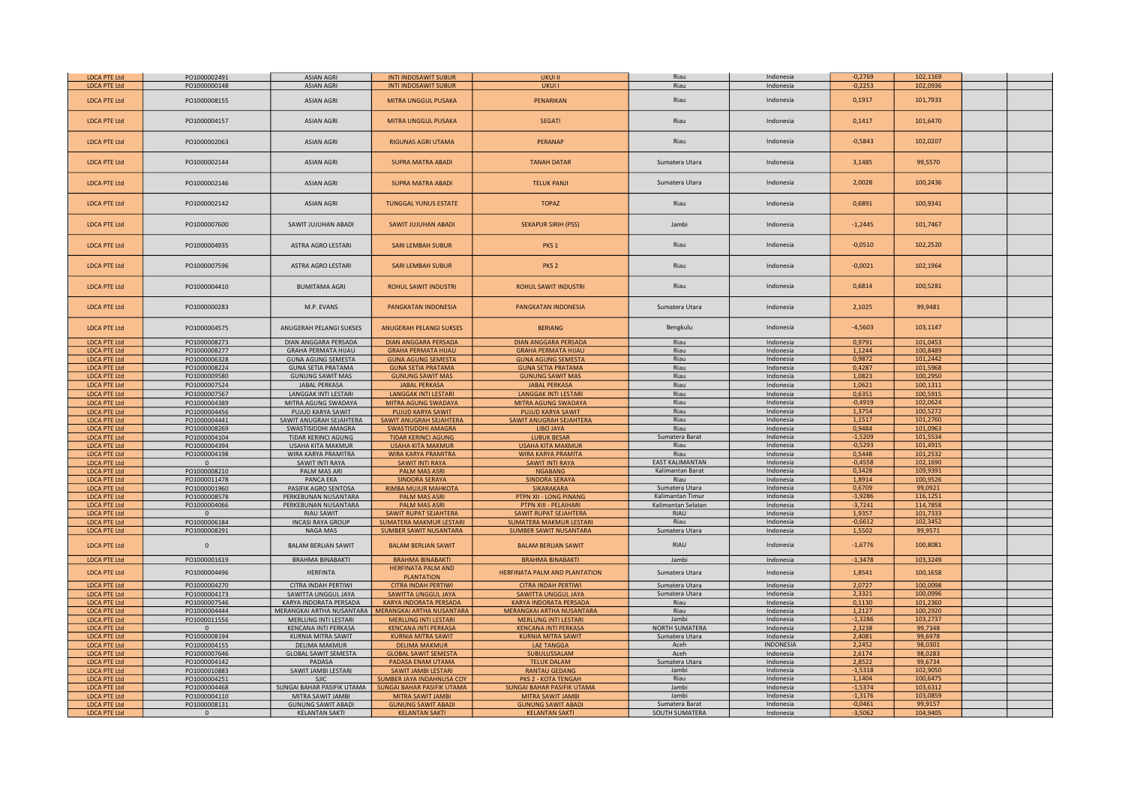| <b>LDCA PTE Ltd</b> | PO1000002491 | <b>ASIAN AGRI</b>           | <b>INTI INDOSAWIT SUBUR</b>                           | <b>UKUI II</b>                   | Riau                   | Indonesia        | $-0,2769$ | 102,1169 |  |
|---------------------|--------------|-----------------------------|-------------------------------------------------------|----------------------------------|------------------------|------------------|-----------|----------|--|
| <b>LDCA PTE Ltd</b> | PO1000000148 | <b>ASIAN AGRI</b>           | <b>INTI INDOSAWIT SUBUR</b>                           | <b>UKUI I</b>                    | Riau                   | Indonesia        | $-0,2253$ | 102,0936 |  |
|                     |              |                             |                                                       |                                  |                        |                  |           |          |  |
| <b>LDCA PTE Ltd</b> | PO1000008155 | <b>ASIAN AGRI</b>           | MITRA UNGGUL PUSAKA                                   | <b>PENARIKAN</b>                 | Riau                   | Indonesia        | 0,1917    | 101,7933 |  |
|                     |              |                             |                                                       |                                  |                        |                  |           |          |  |
|                     |              |                             |                                                       |                                  |                        |                  |           |          |  |
| <b>LDCA PTE Ltd</b> | PO1000004157 | <b>ASIAN AGRI</b>           | MITRA UNGGUL PUSAKA                                   | <b>SEGATI</b>                    | Riau                   | Indonesia        | 0,1417    | 101,6470 |  |
|                     |              |                             |                                                       |                                  |                        |                  |           |          |  |
|                     |              |                             |                                                       |                                  |                        |                  |           |          |  |
| <b>LDCA PTE Ltd</b> | PO1000002063 | <b>ASIAN AGRI</b>           | <b>RIGUNAS AGRI UTAMA</b>                             | <b>PERANAP</b>                   | Riau                   | Indonesia        | $-0,5843$ | 102,0207 |  |
|                     |              |                             |                                                       |                                  |                        |                  |           |          |  |
|                     |              |                             |                                                       |                                  |                        |                  |           |          |  |
| <b>LDCA PTE Ltd</b> | PO1000002144 | <b>ASIAN AGRI</b>           | <b>SUPRA MATRA ABADI</b>                              | <b>TANAH DATAR</b>               | Sumatera Utara         | Indonesia        | 3,1485    | 99,5570  |  |
|                     |              |                             |                                                       |                                  |                        |                  |           |          |  |
|                     |              |                             |                                                       |                                  |                        |                  |           |          |  |
| <b>LDCA PTE Ltd</b> | PO1000002146 | <b>ASIAN AGRI</b>           | <b>SUPRA MATRA ABADI</b>                              | <b>TELUK PANJI</b>               | Sumatera Utara         | Indonesia        | 2,0028    | 100,2436 |  |
|                     |              |                             |                                                       |                                  |                        |                  |           |          |  |
| <b>LDCA PTE Ltd</b> | PO1000002142 | <b>ASIAN AGRI</b>           | <b>TUNGGAL YUNUS ESTATE</b>                           | <b>TOPAZ</b>                     | Riau                   | Indonesia        | 0,6891    | 100,9341 |  |
|                     |              |                             |                                                       |                                  |                        |                  |           |          |  |
|                     |              |                             |                                                       |                                  |                        |                  |           |          |  |
| <b>LDCA PTE Ltd</b> | PO1000007600 | SAWIT JUJUHAN ABADI         | SAWIT JUJUHAN ABADI                                   | <b>SEKAPUR SIRIH (PSS)</b>       | Jambi                  | Indonesia        | $-1,2445$ | 101,7467 |  |
|                     |              |                             |                                                       |                                  |                        |                  |           |          |  |
|                     |              |                             |                                                       |                                  |                        |                  |           |          |  |
| <b>LDCA PTE Ltd</b> | PO1000004935 | ASTRA AGRO LESTARI          | <b>SARI LEMBAH SUBUR</b>                              | PKS <sub>1</sub>                 | Riau                   | Indonesia        | $-0,0510$ | 102,2520 |  |
|                     |              |                             |                                                       |                                  |                        |                  |           |          |  |
|                     |              |                             |                                                       |                                  |                        |                  |           |          |  |
| <b>LDCA PTE Ltd</b> | PO1000007596 | ASTRA AGRO LESTARI          | <b>SARI LEMBAH SUBUR</b>                              | PKS <sub>2</sub>                 | Riau                   | Indonesia        | $-0,0021$ | 102,1964 |  |
|                     |              |                             |                                                       |                                  |                        |                  |           |          |  |
|                     |              |                             |                                                       |                                  | Riau                   | Indonesia        | 0,6814    | 100,5281 |  |
| <b>LDCA PTE Ltd</b> | PO1000004410 | <b>BUMITAMA AGRI</b>        | <b>ROHUL SAWIT INDUSTRI</b>                           | <b>ROHUL SAWIT INDUSTRI</b>      |                        |                  |           |          |  |
|                     |              |                             |                                                       |                                  |                        |                  |           |          |  |
| <b>LDCA PTE Ltd</b> | PO1000000283 | M.P. EVANS                  | PANGKATAN INDONESIA                                   | PANGKATAN INDONESIA              | Sumatera Utara         | Indonesia        | 2,1025    | 99,9481  |  |
|                     |              |                             |                                                       |                                  |                        |                  |           |          |  |
|                     |              |                             |                                                       |                                  |                        |                  |           |          |  |
| <b>LDCA PTE Ltd</b> | PO1000004575 | ANUGERAH PELANGI SUKSES     | ANUGERAH PELANGI SUKSES                               | <b>BERIANG</b>                   | Bengkulu               | Indonesia        | $-4,5603$ | 103,1147 |  |
|                     |              |                             |                                                       |                                  |                        |                  |           |          |  |
| <b>LDCA PTE Ltd</b> | PO1000008273 | DIAN ANGGARA PERSADA        | <b>DIAN ANGGARA PERSADA</b>                           | <b>DIAN ANGGARA PERSADA</b>      | Riau                   | Indonesia        | 0,9791    | 101,0453 |  |
| <b>LDCA PTE Ltd</b> | PO1000008277 | <b>GRAHA PERMATA HIJAU</b>  | <b>GRAHA PERMATA HIJAU</b>                            | <b>GRAHA PERMATA HIJAU</b>       | Riau                   | Indonesia        | 1,1244    | 100,8489 |  |
| <b>LDCA PTE Ltd</b> | PO1000006328 | <b>GUNA AGUNG SEMESTA</b>   | <b>GUNA AGUNG SEMESTA</b>                             | <b>GUNA AGUNG SEMESTA</b>        | Riau                   | Indonesia        | 0,9872    | 101,2442 |  |
| <b>LDCA PTE Ltd</b> | PO1000008224 | <b>GUNA SETIA PRATAMA</b>   | <b>GUNA SETIA PRATAMA</b>                             | <b>GUNA SETIA PRATAMA</b>        | Riau                   | Indonesia        | 0,4287    | 101,5968 |  |
| <b>LDCA PTE Ltd</b> | PO1000009580 | <b>GUNUNG SAWIT MAS</b>     | <b>GUNUNG SAWIT MAS</b>                               | <b>GUNUNG SAWIT MAS</b>          | Riau                   | Indonesia        | 1,0823    | 100,2950 |  |
|                     |              |                             |                                                       |                                  | Riau                   | Indonesia        | 1,0621    | 100,1311 |  |
| <b>LDCA PTE Ltd</b> | PO1000007524 | <b>JABAL PERKASA</b>        | <b>JABAL PERKASA</b>                                  | <b>JABAL PERKASA</b>             |                        |                  |           |          |  |
| <b>LDCA PTE Ltd</b> | PO1000007567 | LANGGAK INTI LESTARI        | <b>LANGGAK INTI LESTARI</b>                           | <b>LANGGAK INTI LESTARI</b>      | Riau                   | Indonesia        | 0,6351    | 100,5915 |  |
| <b>LDCA PTE Ltd</b> | PO1000004389 | MITRA AGUNG SWADAYA         | MITRA AGUNG SWADAYA                                   | MITRA AGUNG SWADAYA              | Riau                   | Indonesia        | $-0,4919$ | 102,0624 |  |
| <b>LDCA PTE Ltd</b> | PO1000004456 | PUJUD KARYA SAWIT           | <b>PUJUD KARYA SAWIT</b>                              | <b>PUJUD KARYA SAWIT</b>         | Riau                   | Indonesia        | 1,3754    | 100,5272 |  |
| <b>LDCA PTE Ltd</b> | PO1000004441 | SAWIT ANUGRAH SEJAHTERA     | SAWIT ANUGRAH SEJAHTERA                               | SAWIT ANUGRAH SEJAHTERA          | Riau                   | Indonesia        | 1,1517    | 101,2760 |  |
| <b>LDCA PTE Ltd</b> | PO1000008269 | SWASTISIDDHI AMAGRA         | SWASTISIDDHI AMAGRA                                   | LIBO JAYA                        | Riau                   | Indonesia        | 0,9484    | 101,0963 |  |
| <b>LDCA PTE Ltd</b> | PO1000004104 | TIDAR KERINCI AGUNG         | <b>TIDAR KERINCI AGUNG</b>                            | <b>LUBUK BESAR</b>               | Sumatera Barat         | Indonesia        | $-1,5209$ | 101,5534 |  |
| <b>LDCA PTE Ltd</b> | PO1000004394 | <b>USAHA KITA MAKMUR</b>    | <b>USAHA KITA MAKMUR</b>                              | <b>USAHA KITA MAKMUR</b>         | Riau                   | Indonesia        | $-0,5293$ | 101,4915 |  |
| <b>LDCA PTE Ltd</b> | PO1000004198 | WIRA KARYA PRAMITRA         | <b>WIRA KARYA PRAMITRA</b>                            | <b>WIRA KARYA PRAMITA</b>        |                        |                  | 0,5448    | 101,2532 |  |
|                     |              |                             |                                                       |                                  | Riau                   | Indonesia        |           |          |  |
| <b>LDCA PTE Ltd</b> | $\mathbf{0}$ | SAWIT INTI RAYA             | <b>SAWIT INTI RAYA</b>                                | <b>SAWIT INTI RAYA</b>           | <b>EAST KALIMANTAN</b> | Indonesia        | $-0,4558$ | 102,1690 |  |
| <b>LDCA PTE Ltd</b> | PO1000008210 | PALM MAS ARI                | <b>PALM MAS ASRI</b>                                  | <b>NGABANG</b>                   | Kalimantan Barat       | Indonesia        | 0,3428    | 109,9391 |  |
| <b>LDCA PTE Ltd</b> | PO1000011478 | PANCA EKA                   | SINDORA SERAYA                                        | SINDORA SERAYA                   | Riau                   | Indonesia        | 1,8914    | 100,9526 |  |
| <b>LDCA PTE Ltd</b> | PO1000001960 | PASIFIK AGRO SENTOSA        | <b>RIMBA MUJUR MAHKOTA</b>                            | <b>SIKARAKARA</b>                | Sumatera Utara         | Indonesia        | 0,6709    | 99,0921  |  |
| <b>LDCA PTE Ltd</b> | PO1000008578 | PERKEBUNAN NUSANTARA        | <b>PALM MAS ASRI</b>                                  | PTPN XII - LONG PINANG           | Kalimantan Timur       | Indonesia        | $-1,9286$ | 116,1251 |  |
| <b>LDCA PTE Ltd</b> | PO1000004066 | PERKEBUNAN NUSANTARA        | <b>PALM MAS ASRI</b>                                  | PTPN XIII - PELAIHARI            | Kalimantan Selatan     | Indonesia        | $-3,7241$ | 114,7858 |  |
| <b>LDCA PTE Ltd</b> | $\Omega$     | <b>RIAU SAWIT</b>           | <b>SAWIT RUPAT SEJAHTERA</b>                          | SAWIT RUPAT SEJAHTERA            | RIAU                   | Indonesia        | 1,9357    | 101,7333 |  |
| <b>LDCA PTE Ltd</b> | PO1000006184 | <b>INCASI RAYA GROUP</b>    | <b>SUMATERA MAKMUR LESTARI</b>                        | <b>SUMATERA MAKMUR LESTARI</b>   | Riau                   | Indonesia        | $-0,6612$ | 102,3452 |  |
| <b>LDCA PTE Ltd</b> | PO1000008291 | NAGA MAS                    | SUMBER SAWIT NUSANTARA                                | <b>SUMBER SAWIT NUSANTARA</b>    | Sumatera Utara         | Indonesia        | 1,5502    | 99,9571  |  |
|                     |              |                             |                                                       |                                  |                        |                  |           |          |  |
| <b>LDCA PTE Ltd</b> | $\Omega$     | <b>BALAM BERLIAN SAWIT</b>  | <b>BALAM BERLIAN SAWIT</b>                            | <b>BALAM BERLIAN SAWIT</b>       | RIAU                   | Indonesia        | $-1,6776$ | 100,8081 |  |
|                     |              |                             |                                                       |                                  |                        |                  |           |          |  |
| <b>LDCA PTE Ltd</b> | PO1000001619 | <b>BRAHMA BINABAKTI</b>     | <b>BRAHMA BINABAKTI</b>                               | <b>BRAHMA BINABAKTI</b>          | Jambi                  | Indonesia        | $-1,3478$ | 103,3249 |  |
|                     |              |                             | <b>HERFINATA PALM AND</b>                             |                                  |                        |                  |           |          |  |
| <b>LDCA PTE Ltd</b> | PO1000004496 | <b>HERFINTA</b>             |                                                       | HERFINATA PALM AND PLANTATION    | Sumatera Utara         | Indonesia        | 1,8541    | 100,1658 |  |
| <b>LDCA PTE Ltd</b> |              | CITRA INDAH PERTIWI         | <b>PLANTATION</b><br><b>CITRA INDAH PERTIWI</b>       | <b>CITRA INDAH PERTIWI</b>       |                        |                  |           | 100,0098 |  |
|                     | PO1000004270 |                             |                                                       |                                  | Sumatera Utara         | Indonesia        | 2,0727    |          |  |
| <b>LDCA PTE Ltd</b> | PO1000004173 | SAWITTA UNGGUL JAYA         | SAWITTA UNGGUL JAYA                                   | SAWITTA UNGGUL JAYA              | Sumatera Utara         | Indonesia        | 2,3321    | 100,0996 |  |
| <b>LDCA PTE Ltd</b> | PO1000007546 | KARYA INDORATA PERSADA      | KARYA INDORATA PERSADA                                | <b>KARYA INDORATA PERSADA</b>    | Riau                   | Indonesia        | 0,1130    | 101,2360 |  |
| <b>LDCA PTE Ltd</b> | PO1000004444 |                             | MERANGKAI ARTHA NUSANTARA   MERANGKAI ARTHA NUSANTARA | <b>MERANGKAI ARTHA NUSANTARA</b> | Riau                   | Indonesia        | 1,2127    | 100,2920 |  |
| <b>LDCA PTE Ltd</b> | PO1000011556 | MERLUNG INTI LESTARI        | <b>MERLUNG INTI LESTARI</b>                           | <b>MERLUNG INTI LESTARI</b>      | Jambi                  | Indonesia        | $-1,3286$ | 103,2737 |  |
| <b>LDCA PTE Ltd</b> | $\Omega$     | <b>KENCANA INTI PERKASA</b> | <b>KENCANA INTI PERKASA</b>                           | <b>KENCANA INTI PERKASA</b>      | NORTH SUMATERA         | Indonesia        | 2,3238    | 99,7348  |  |
| <b>LDCA PTE Ltd</b> | PO1000008194 | <b>KURNIA MITRA SAWIT</b>   | <b>KURNIA MITRA SAWIT</b>                             | <b>KURNIA MITRA SAWIT</b>        | Sumatera Utara         | Indonesia        | 2,4081    | 99,6978  |  |
| <b>LDCA PTE Ltd</b> | PO1000004155 | <b>DELIMA MAKMUR</b>        | <b>DELIMA MAKMUR</b>                                  | <b>LAE TANGGA</b>                | Aceh                   | <b>INDONESIA</b> | 2,2452    | 98,0301  |  |
|                     | PO1000007646 | <b>GLOBAL SAWIT SEMESTA</b> |                                                       |                                  |                        |                  |           |          |  |
| <b>LDCA PTE Ltd</b> |              |                             | <b>GLOBAL SAWIT SEMESTA</b>                           | SUBULUSSALAM                     | Aceh                   | Indonesia        | 2,6174    | 98,0283  |  |
| <b>LDCA PTE Ltd</b> | PO1000004142 | PADASA                      | PADASA ENAM UTAMA                                     | <b>TELUK DALAM</b>               | Sumatera Utara         | Indonesia        | 2,8522    | 99,6734  |  |
| <b>LDCA PTE Ltd</b> | PO1000010883 | SAWIT JAMBI LESTARI         | <b>SAWIT JAMBI LESTARI</b>                            | <b>RANTAU GEDANG</b>             | Jambi                  | Indonesia        | $-1,5318$ | 102,9050 |  |
| <b>LDCA PTE Ltd</b> | PO1000004251 | <b>SJIC</b>                 | <b>SUMBER JAYA INDAHNUSA COY</b>                      | PKS 2 - KOTA TENGAH              | Riau                   | Indonesia        | 1,1404    | 100,6475 |  |
| <b>LDCA PTE Ltd</b> | PO1000004468 | SUNGAI BAHAR PASIFIK UTAMA  | SUNGAI BAHAR PASIFIK UTAMA                            | SUNGAI BAHAR PASIFIK UTAMA       | Jambi                  | Indonesia        | $-1,5374$ | 103,6312 |  |
| <b>LDCA PTE Ltd</b> | PO1000004110 | MITRA SAWIT JAMBI           | MITRA SAWIT JAMBI                                     | <b>MITRA SAWIT JAMBI</b>         | Jambi                  | Indonesia        | $-1,3176$ | 103,0859 |  |
| <b>LDCA PTE Ltd</b> | PO1000008131 | <b>GUNUNG SAWIT ABADI</b>   | <b>GUNUNG SAWIT ABADI</b>                             | <b>GUNUNG SAWIT ABADI</b>        | Sumatera Barat         | Indonesia        | $-0,0461$ | 99,9157  |  |
| <b>LDCA PTE Ltd</b> |              | <b>KELANTAN SAKTI</b>       | <b>KELANTAN SAKTI</b>                                 | <b>KELANTAN SAKTI</b>            | <b>SOUTH SUMATERA</b>  | Indonesia        | $-3,5062$ | 104,9405 |  |
|                     |              |                             |                                                       |                                  |                        |                  |           |          |  |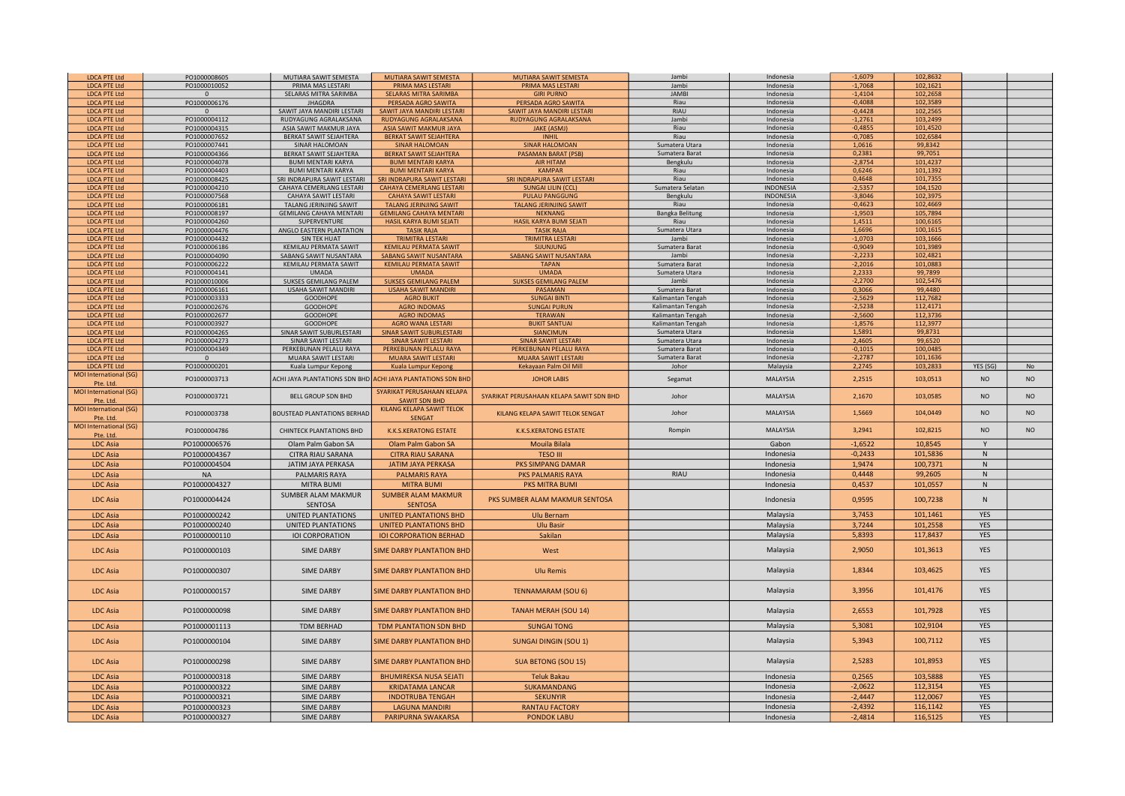| <b>LDCA PTE Ltd</b>                | PO1000008605                 | MUTIARA SAWIT SEMESTA                  | MUTIARA SAWIT SEMESTA                                                    | <b>MUTIARA SAWIT SEMESTA</b>                | Jambi             | Indonesia              | $-1,6079$              | 102,8632             |                |                |
|------------------------------------|------------------------------|----------------------------------------|--------------------------------------------------------------------------|---------------------------------------------|-------------------|------------------------|------------------------|----------------------|----------------|----------------|
| <b>LDCA PTE Ltd</b>                | PO1000010052                 | PRIMA MAS LESTARI                      | PRIMA MAS LESTARI                                                        | PRIMA MAS LESTARI                           | Jambi             | Indonesia              | 1,7068                 | 102,1621             |                |                |
| <b>LDCA PTE Ltd</b>                | $\mathbf{0}$                 | SELARAS MITRA SARIMBA                  | <b>SELARAS MITRA SARIMBA</b>                                             | <b>GIRI PURNO</b>                           | <b>JAMBI</b>      | Indonesia              | $-1,4104$              | 102,2658             |                |                |
| <b>LDCA PTE Ltd</b>                | PO1000006176                 | <b>JHAGDRA</b>                         | PERSADA AGRO SAWITA                                                      | PERSADA AGRO SAWITA                         | Riau              | Indonesia              | $-0,4088$              | 102,3589             |                |                |
| <b>LDCA PTE Ltd</b>                |                              | SAWIT JAYA MANDIRI LESTARI             | SAWIT JAYA MANDIRI LESTARI                                               | SAWIT JAYA MANDIRI LESTARI                  | RIAU              | Indonesia              | $-0,4428$              | 102,2565             |                |                |
| <b>LDCA PTE Ltd</b>                | PO1000004112                 | RUDYAGUNG AGRALAKSANA                  | RUDYAGUNG AGRALAKSANA                                                    | RUDYAGUNG AGRALAKSANA                       | Jambi             | Indonesia              | $-1,2761$              | 103,2499             |                |                |
| <b>LDCA PTE Ltd</b>                | PO1000004315                 | ASIA SAWIT MAKMUR JAYA                 | <b>ASIA SAWIT MAKMUR JAYA</b>                                            | <b>JAKE (ASMJ)</b>                          | Riau              | Indonesia              | $-0,4855$              | 101,4520             |                |                |
| <b>LDCA PTE Ltd</b>                | PO1000007652                 | BERKAT SAWIT SEJAHTERA                 | <b>BERKAT SAWIT SEJAHTERA</b>                                            | INHIL                                       | Riau              | Indonesia              | $-0,7085$              | 102,6584             |                |                |
| <b>LDCA PTE Ltd</b>                | PO1000007441                 | SINAR HALOMOAN                         | <b>SINAR HALOMOAN</b>                                                    | <b>SINAR HALOMOAN</b>                       | Sumatera Utara    | Indonesia              | 1,0616                 | 99,8342              |                |                |
| <b>LDCA PTE Ltd</b>                | PO1000004366                 | BERKAT SAWIT SEJAHTERA                 | <b>BERKAT SAWIT SEJAHTERA</b>                                            | <b>PASAMAN BARAT (PSB</b>                   | Sumatera Barat    | Indonesia              | 0.2381                 | 99,7051              |                |                |
|                                    |                              |                                        |                                                                          |                                             |                   |                        | $-2,8754$              | 101,4237             |                |                |
| <b>LDCA PTE Ltd</b>                | PO1000004078                 | <b>BUMI MENTARI KARYA</b>              | <b>BUMI MENTARI KARYA</b>                                                | <b>AIR HITAM</b>                            | Bengkulu          | Indonesia              |                        |                      |                |                |
| <b>LDCA PTE Ltd</b>                | PO1000004403                 | <b>BUMI MENTARI KARYA</b>              | <b>BUMI MENTARI KARYA</b>                                                | <b>KAMPAR</b>                               | Riau              | Indonesia              | 0,6246                 | 101,1392             |                |                |
| <b>LDCA PTE Ltd</b>                | PO1000008425                 | SRI INDRAPURA SAWIT LESTARI            | SRI INDRAPURA SAWIT LESTARI                                              | SRI INDRAPURA SAWIT LESTARI                 | Riau              | Indonesia              | 0,4648                 | 101,7355             |                |                |
| <b>LDCA PTE Ltd</b>                | PO1000004210                 | CAHAYA CEMERLANG LESTARI               | CAHAYA CEMERLANG LESTARI                                                 | <b>SUNGAI LILIN (CCL)</b>                   | Sumatera Selatan  | <b>INDONESIA</b>       | $-2,5357$              | 104,1520             |                |                |
| <b>LDCA PTE Ltd</b>                | PO1000007568                 | CAHAYA SAWIT LESTARI                   | <b>CAHAYA SAWIT LESTARI</b>                                              | <b>PULAU PANGGUNG</b>                       | Bengkulu          | INDONESIA              | $-3,8046$              | 102,3975             |                |                |
| <b>LDCA PTE Ltd</b>                | PO1000006181                 | TALANG JERINJING SAWIT                 | <b>TALANG JERINJING SAWIT</b>                                            | <b>TALANG JERINJING SAWIT</b>               | Riau              | Indonesia              | $-0,4623$              | 102,4669             |                |                |
| <b>LDCA PTE Ltd</b>                | PO1000008197                 | <b>GEMILANG CAHAYA MENTARI</b>         | <b>GEMILANG CAHAYA MENTARI</b>                                           | <b>NEKNANG</b>                              | Bangka Belitung   | Indonesia              | $-1,9503$              | 105,7894             |                |                |
| <b>LDCA PTE Ltd</b>                | PO1000004260                 | SUPERVENTURE                           | HASIL KARYA BUMI SEJATI                                                  | HASIL KARYA BUMI SEJATI                     | Riau              | Indonesia              | 1,4511                 | 100,6165             |                |                |
| <b>LDCA PTE Ltd</b>                | PO1000004476                 | ANGLO EASTERN PLANTATION               | <b>TASIK RAJA</b>                                                        | <b>TASIK RAJA</b>                           | Sumatera Utara    | Indonesia              | 1,6696                 | 100,1615             |                |                |
| <b>LDCA PTE Ltd</b>                | PO1000004432                 | <b>SIN TEK HUAT</b>                    | <b>TRIMITRA LESTARI</b>                                                  | <b>TRIMITRA LESTARI</b>                     | Jambi             | Indonesia              | $-1,0703$              | 103,1666             |                |                |
| <b>LDCA PTE Ltd</b>                | PO1000006186                 | KEMILAU PERMATA SAWIT                  | KEMILAU PERMATA SAWIT                                                    | SIJUNJUNG                                   | Sumatera Barat    | Indonesia              | $-0,9049$              | 101,3989             |                |                |
| <b>LDCA PTE Ltd</b>                | PO1000004090                 | SABANG SAWIT NUSANTARA                 | SABANG SAWIT NUSANTARA                                                   | SABANG SAWIT NUSANTARA                      | Jambi             | Indonesia              | $-2,2233$              | 102,4821             |                |                |
| <b>LDCA PTE Ltd</b>                | PO1000006222                 | KEMILAU PERMATA SAWIT                  | <b>KEMILAU PERMATA SAWIT</b>                                             | <b>TAPAN</b>                                | Sumatera Barat    | Indonesia              | $-2,2016$              | 101,0883             |                |                |
| <b>LDCA PTE Ltd</b>                | PO1000004141                 | <b>UMADA</b>                           | <b>UMADA</b>                                                             | <b>UMADA</b>                                | Sumatera Utara    | Indonesia              | 2,2333                 | 99,7899              |                |                |
| <b>LDCA PTE Ltd</b>                | PO1000010006                 | SUKSES GEMILANG PALEM                  | <b>SUKSES GEMILANG PALEM</b>                                             | <b>SUKSES GEMILANG PALEM</b>                | Jambi             | Indonesia              | $-2,2700$              | 102,5476             |                |                |
| <b>LDCA PTE Ltd</b>                | PO1000006161                 | USAHA SAWIT MANDIRI                    | <b>USAHA SAWIT MANDIRI</b>                                               | <b>PASAMAN</b>                              | Sumatera Barat    | Indonesia              | 0,3066                 | 99,4480              |                |                |
| <b>LDCA PTE Ltd</b>                | PO1000003333                 | GOODHOPE                               | <b>AGRO BUKIT</b>                                                        | <b>SUNGAI BINTI</b>                         | Kalimantan Tengah | Indonesia              | $-2,5629$              | 112,7682             |                |                |
| <b>LDCA PTE Ltd</b>                | PO1000002676                 | GOODHOPE                               | <b>AGRO INDOMAS</b>                                                      | <b>SUNGAI PURUN</b>                         | Kalimantan Tengah | Indonesia              | $-2,5238$              | 112,4171             |                |                |
| <b>LDCA PTE Ltd</b>                | PO1000002677                 | GOODHOPE                               | <b>AGRO INDOMAS</b>                                                      | <b>TERAWAN</b>                              | Kalimantan Tengah | Indonesia              | $-2,5600$              | 112,3736             |                |                |
| <b>LDCA PTE Ltd</b>                | PO1000003927                 | GOODHOPE                               | <b>AGRO WANA LESTARI</b>                                                 | <b>BUKIT SANTUAL</b>                        | Kalimantan Tengah | Indonesia              | $-1,8576$              | 112,3977             |                |                |
| <b>LDCA PTE Ltd</b>                | PO1000004265                 | SINAR SAWIT SUBURLESTARI               | <b>SINAR SAWIT SUBURLESTARI</b>                                          | SIANCIMUN                                   | Sumatera Utara    | Indonesia              | 1.5891                 | 99,8731              |                |                |
| <b>LDCA PTE Ltd</b>                | PO1000004273                 | SINAR SAWIT LESTARI                    | <b>SINAR SAWIT LESTARI</b>                                               | <b>SINAR SAWIT LESTAR</b>                   | Sumatera Utara    | Indonesia              | 2,4605                 | 99,6520              |                |                |
| <b>LDCA PTE Ltd</b>                | PO1000004349                 | PERKEBUNAN PELALU RAYA                 | PERKEBUNAN PELALU RAYA                                                   | PERKEBUNAN PELALU RAYA                      | Sumatera Barat    | Indonesia              | $-0,1015$              | 100,0485             |                |                |
| <b>LDCA PTE Ltd</b>                |                              | MUARA SAWIT LESTARI                    | MUARA SAWIT LESTARI                                                      | <b>MUARA SAWIT LESTARI</b>                  | Sumatera Barat    | Indonesia              | $-2,2787$              | 101.1636             |                |                |
| <b>LDCA PTE Ltd</b>                | PO1000000201                 |                                        |                                                                          | Kekayaan Palm Oil Mill                      | Johor             | Malaysia               | 2,2745                 | 103,2833             | YES (SG)       | No             |
|                                    |                              | Kuala Lumpur Kepong                    | Kuala Lumpur Kepong                                                      |                                             |                   |                        |                        |                      |                |                |
| <b>MOI</b> International (SG)      | PO1000003713                 |                                        | ACHI JAYA PLANTATIONS SDN BHD <mark>ACHI JAYA PLANTATIONS SDN BHD</mark> | <b>JOHOR LABIS</b>                          | Segamat           | MALAYSIA               | 2,2515                 | 103,0513             | N <sub>O</sub> | <b>NO</b>      |
| Pte. Ltc<br>MOI International (SG) |                              |                                        | SYARIKAT PERUSAHAAN KELAPA                                               |                                             |                   |                        |                        |                      |                |                |
|                                    | PO1000003721                 | <b>BELL GROUP SDN BHD</b>              |                                                                          | SYARIKAT PERUSAHAAN KELAPA SAWIT SDN BHD    | Johor             | MALAYSIA               | 2,1670                 | 103,0585             | <b>NO</b>      | NO             |
| Pte. Ltd                           |                              |                                        |                                                                          |                                             |                   |                        |                        |                      |                |                |
|                                    |                              |                                        | <b>SAWIT SDN BHD</b>                                                     |                                             |                   |                        |                        |                      |                |                |
| MOI International (SG)             |                              |                                        | <b>KILANG KELAPA SAWIT TELOK</b>                                         | KILANG KELAPA SAWIT TELOK SENGAT            | Johor             | MALAYSIA               | 1,5669                 | 104,0449             | N <sub>O</sub> | N <sub>O</sub> |
| Pte. Ltd                           | PO1000003738                 | <b>BOUSTEAD PLANTATIONS BERHAD</b>     | <b>SENGAT</b>                                                            |                                             |                   |                        |                        |                      |                |                |
| <b>MOI</b> International (SG)      |                              |                                        |                                                                          |                                             |                   |                        |                        |                      |                | N <sub>O</sub> |
| Pte. Ltd                           | PO1000004786                 | <b>CHINTECK PLANTATIONS BHD</b>        | K.K.S.KERATONG ESTATE                                                    | <b>K.K.S.KERATONG ESTATE</b>                | Rompin            | MALAYSIA               | 3,2941                 | 102,8215             | <b>NO</b>      |                |
| <b>LDC Asia</b>                    | PO1000006576                 | Olam Palm Gabon SA                     | Olam Palm Gabon SA                                                       | Mouila Bilala                               |                   | Gabon                  | $-1,6522$              | 10.8545              | Y              |                |
| <b>LDC</b> Asia                    | PO1000004367                 | <b>CITRA RIAU SARANA</b>               | <b>CITRA RIAU SARANA</b>                                                 | <b>TESO III</b>                             |                   | Indonesia              | $-0,2433$              | 101,5836             | N              |                |
|                                    |                              |                                        |                                                                          |                                             |                   |                        |                        |                      | N              |                |
| <b>LDC Asia</b>                    | PO1000004504                 | JATIM JAYA PERKASA                     | JATIM JAYA PERKASA                                                       | PKS SIMPANG DAMAR                           |                   | Indonesia              | 1,9474                 | 100,7371             |                |                |
| <b>LDC Asia</b>                    | <b>NA</b>                    | <b>PALMARIS RAYA</b>                   | <b>PALMARIS RAYA</b>                                                     | PKS PALMARIS RAYA                           | <b>RIAU</b>       | Indonesia              | 0,4448                 | 99,2605              | N              |                |
| LDC Asia                           | PO1000004327                 | <b>MITRA BUMI</b>                      | <b>MITRA BUMI</b>                                                        | PKS MITRA BUMI                              |                   | Indonesia              | 0,4537                 | 101,0557             | N              |                |
|                                    |                              | SUMBER ALAM MAKMUR                     | <b>SUMBER ALAM MAKMUR</b>                                                |                                             |                   |                        |                        |                      |                |                |
| <b>LDC</b> Asia                    | PO1000004424                 | <b>SENTOSA</b>                         | <b>SENTOSA</b>                                                           | PKS SUMBER ALAM MAKMUR SENTOSA              |                   | Indonesia              | 0,9595                 | 100,7238             | N              |                |
|                                    |                              |                                        |                                                                          |                                             |                   |                        |                        |                      | <b>YES</b>     |                |
| <b>LDC</b> Asia                    | PO1000000242                 | <b>UNITED PLANTATIONS</b>              | UNITED PLANTATIONS BHD                                                   | <b>Ulu Bernam</b>                           |                   | Malaysia               | 3,7453                 | 101,1461             |                |                |
| <b>LDC Asia</b>                    | PO1000000240                 | UNITED PLANTATIONS                     | UNITED PLANTATIONS BHD                                                   | <b>Ulu Basir</b>                            |                   | Malaysia               | 3,7244                 | 101,2558             | <b>YES</b>     |                |
| LDC Asia                           | PO1000000110                 | <b>IOI CORPORATION</b>                 | <b>IOI CORPORATION BERHAD</b>                                            | Sakilan                                     |                   | Malaysia               | 5,8393                 | 117,8437             | <b>YES</b>     |                |
|                                    |                              |                                        |                                                                          |                                             |                   |                        |                        |                      |                |                |
| <b>LDC Asia</b>                    | PO1000000103                 | <b>SIME DARBY</b>                      | SIME DARBY PLANTATION BHD                                                | West                                        |                   | Malaysia               | 2,9050                 | 101,3613             | YES            |                |
|                                    |                              |                                        |                                                                          |                                             |                   |                        |                        |                      |                |                |
| <b>LDC Asia</b>                    | PO1000000307                 | <b>SIME DARBY</b>                      | SIME DARBY PLANTATION BHD                                                | <b>Ulu Remis</b>                            |                   | Malaysia               | 1,8344                 | 103,4625             | YES            |                |
|                                    |                              |                                        |                                                                          |                                             |                   |                        |                        |                      |                |                |
|                                    |                              |                                        |                                                                          |                                             |                   |                        |                        |                      |                |                |
| <b>LDC Asia</b>                    | PO1000000157                 | <b>SIME DARBY</b>                      | SIME DARBY PLANTATION BHD                                                | <b>TENNAMARAM (SOU 6)</b>                   |                   | Malaysia               | 3,3956                 | 101,4176             | <b>YES</b>     |                |
|                                    |                              |                                        |                                                                          |                                             |                   |                        |                        |                      |                |                |
| <b>LDC Asia</b>                    | PO1000000098                 | <b>SIME DARBY</b>                      | SIME DARBY PLANTATION BHD                                                | <b>TANAH MERAH (SOU 14)</b>                 |                   | Malaysia               | 2,6553                 | 101,7928             | YES            |                |
|                                    |                              |                                        |                                                                          |                                             |                   |                        |                        |                      |                |                |
| <b>LDC Asia</b>                    | PO1000001113                 | TDM BERHAD                             | TDM PLANTATION SDN BHD                                                   | <b>SUNGAI TONG</b>                          |                   | Malaysia               | 5,3081                 | 102,9104             | <b>YES</b>     |                |
|                                    |                              |                                        |                                                                          |                                             |                   |                        |                        |                      | <b>YES</b>     |                |
| <b>LDC Asia</b>                    | PO1000000104                 | <b>SIME DARBY</b>                      | <b>SIME DARBY PLANTATION BHD</b>                                         | <b>SUNGAI DINGIN (SOU 1)</b>                |                   | Malaysia               | 5,3943                 | 100,7112             |                |                |
|                                    |                              |                                        |                                                                          |                                             |                   |                        |                        |                      |                |                |
| LDC Asia                           | PO1000000298                 | <b>SIME DARBY</b>                      | SIME DARBY PLANTATION BHD                                                | <b>SUA BETONG (SOU 15)</b>                  |                   | Malaysia               | 2,5283                 | 101,8953             | YES            |                |
|                                    |                              |                                        |                                                                          |                                             |                   |                        |                        |                      |                |                |
| LDC Asia                           | PO1000000318                 | <b>SIME DARBY</b>                      | <b>BHUMIREKSA NUSA SEJATI</b>                                            | <b>Teluk Bakau</b>                          |                   | Indonesia              | 0,2565                 | 103,5888             | <b>YES</b>     |                |
| <b>LDC</b> Asia                    | PO1000000322                 | <b>SIME DARBY</b>                      | <b>KRIDATAMA LANCAR</b>                                                  | SUKAMANDANG                                 |                   | Indonesia              | $-2,0622$              | 112,3154             | YES            |                |
| <b>LDC Asia</b>                    | PO1000000321                 | <b>SIME DARBY</b>                      | <b>INDOTRUBA TENGAH</b>                                                  | <b>SEKUNYIR</b>                             |                   | Indonesia              | $-2,4447$              | 112,0067             | <b>YES</b>     |                |
|                                    |                              |                                        |                                                                          |                                             |                   |                        |                        |                      | <b>YES</b>     |                |
| <b>LDC Asia</b><br><b>LDC Asia</b> | PO1000000323<br>PO1000000327 | <b>SIME DARBY</b><br><b>SIME DARBY</b> | <b>LAGUNA MANDIRI</b><br>PARIPURNA SWAKARSA                              | <b>RANTAU FACTORY</b><br><b>PONDOK LABU</b> |                   | Indonesia<br>Indonesia | $-2,4392$<br>$-2,4814$ | 116,1142<br>116,5125 | <b>YES</b>     |                |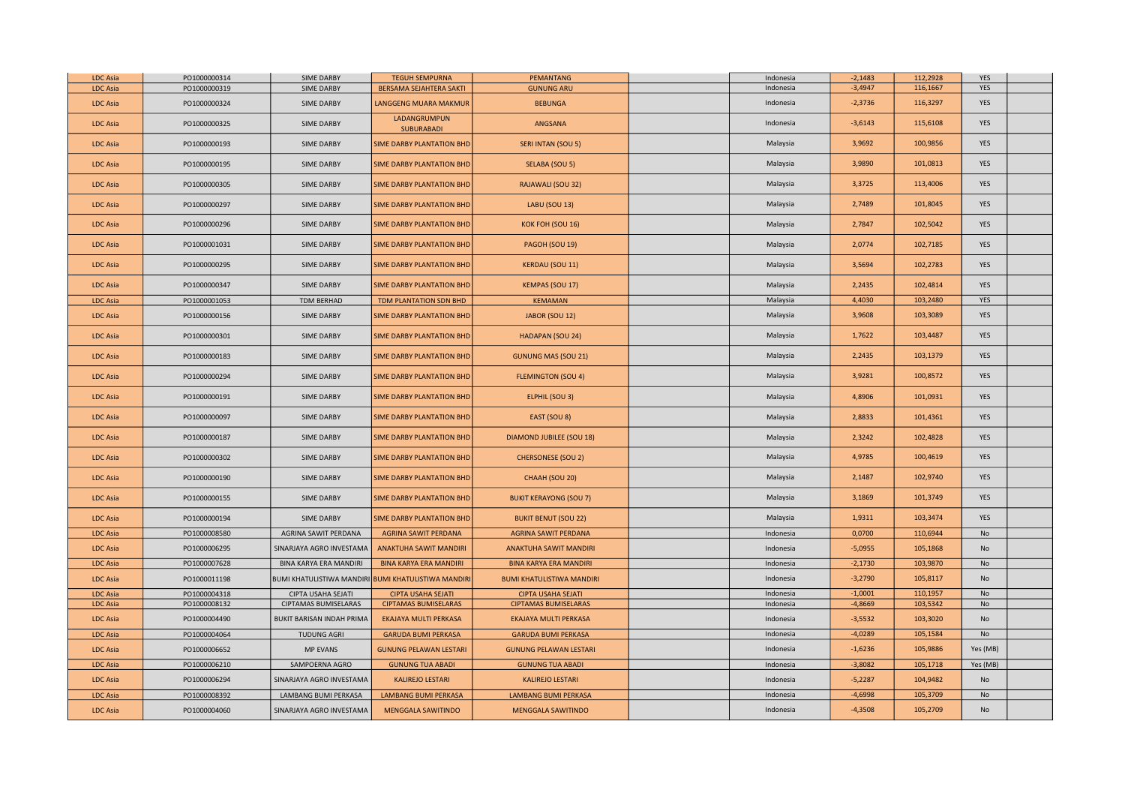| <b>LDC Asia</b> | PO1000000314 | <b>SIME DARBY</b>         | <b>TEGUH SEMPURNA</b>                                            | <b>PEMANTANG</b>                 | Indonesia | $-2,1483$ | 112,2928 | YES        |  |
|-----------------|--------------|---------------------------|------------------------------------------------------------------|----------------------------------|-----------|-----------|----------|------------|--|
| <b>LDC</b> Asia | PO1000000319 | <b>SIME DARBY</b>         | BERSAMA SEJAHTERA SAKTI                                          | <b>GUNUNG ARU</b>                | Indonesia | $-3,4947$ | 116,1667 | YES        |  |
| <b>LDC Asia</b> | PO1000000324 | <b>SIME DARBY</b>         | LANGGENG MUARA MAKMUR                                            | <b>BEBUNGA</b>                   | Indonesia | $-2,3736$ | 116,3297 | YES        |  |
| <b>LDC Asia</b> | PO1000000325 | <b>SIME DARBY</b>         | LADANGRUMPUN<br>SUBURABADI                                       | ANGSANA                          | Indonesia | $-3,6143$ | 115,6108 | <b>YES</b> |  |
| <b>LDC Asia</b> | PO1000000193 | <b>SIME DARBY</b>         | SIME DARBY PLANTATION BHD                                        | SERI INTAN (SOU 5)               | Malaysia  | 3,9692    | 100,9856 | YES        |  |
| <b>LDC Asia</b> | PO1000000195 | <b>SIME DARBY</b>         | <b>SIME DARBY PLANTATION BHD</b>                                 | SELABA (SOU 5)                   | Malaysia  | 3,9890    | 101,0813 | YES        |  |
| <b>LDC Asia</b> | PO1000000305 | <b>SIME DARBY</b>         | <b>SIME DARBY PLANTATION BHD</b>                                 | RAJAWALI (SOU 32)                | Malaysia  | 3,3725    | 113,4006 | <b>YES</b> |  |
| <b>LDC Asia</b> | PO1000000297 | <b>SIME DARBY</b>         | SIME DARBY PLANTATION BHD                                        | LABU (SOU 13)                    | Malaysia  | 2,7489    | 101,8045 | YES        |  |
| <b>LDC Asia</b> | PO1000000296 | <b>SIME DARBY</b>         | <b>SIME DARBY PLANTATION BHD</b>                                 | KOK FOH (SOU 16)                 | Malaysia  | 2,7847    | 102,5042 | YES        |  |
| <b>LDC Asia</b> | PO1000001031 | <b>SIME DARBY</b>         | <b>SIME DARBY PLANTATION BHD</b>                                 | PAGOH (SOU 19)                   | Malaysia  | 2,0774    | 102,7185 | YES        |  |
| <b>LDC Asia</b> | PO1000000295 | <b>SIME DARBY</b>         | SIME DARBY PLANTATION BHD                                        | <b>KERDAU (SOU 11)</b>           | Malaysia  | 3,5694    | 102,2783 | YES        |  |
| <b>LDC Asia</b> | PO1000000347 | <b>SIME DARBY</b>         | SIME DARBY PLANTATION BHD                                        | <b>KEMPAS (SOU 17)</b>           | Malaysia  | 2,2435    | 102,4814 | YES        |  |
| <b>LDC Asia</b> | PO1000001053 | TDM BERHAD                | TDM PLANTATION SDN BHD                                           | <b>KEMAMAN</b>                   | Malaysia  | 4,4030    | 103,2480 | YES        |  |
| <b>LDC Asia</b> | PO1000000156 | <b>SIME DARBY</b>         | SIME DARBY PLANTATION BHD                                        | JABOR (SOU 12)                   | Malaysia  | 3,9608    | 103,3089 | YES        |  |
| <b>LDC Asia</b> | PO1000000301 | <b>SIME DARBY</b>         | <b>SIME DARBY PLANTATION BHD</b>                                 | HADAPAN (SOU 24)                 | Malaysia  | 1,7622    | 103,4487 | YES        |  |
| <b>LDC Asia</b> | PO1000000183 | <b>SIME DARBY</b>         | <b>SIME DARBY PLANTATION BHD</b>                                 | <b>GUNUNG MAS (SOU 21)</b>       | Malaysia  | 2,2435    | 103,1379 | YES        |  |
| <b>LDC Asia</b> | PO1000000294 | <b>SIME DARBY</b>         | SIME DARBY PLANTATION BHD                                        | <b>FLEMINGTON (SOU 4)</b>        | Malaysia  | 3,9281    | 100,8572 | YES        |  |
| <b>LDC Asia</b> | PO1000000191 | <b>SIME DARBY</b>         | <b>SIME DARBY PLANTATION BHD</b>                                 | ELPHIL (SOU 3)                   | Malaysia  | 4,8906    | 101,0931 | YES        |  |
| <b>LDC Asia</b> | PO1000000097 | <b>SIME DARBY</b>         | <b>SIME DARBY PLANTATION BHD</b>                                 | EAST (SOU 8)                     | Malaysia  | 2,8833    | 101,4361 | <b>YES</b> |  |
| <b>LDC Asia</b> | PO1000000187 | <b>SIME DARBY</b>         | SIME DARBY PLANTATION BHD                                        | <b>DIAMOND JUBILEE (SOU 18)</b>  | Malaysia  | 2,3242    | 102,4828 | YES        |  |
| <b>LDC Asia</b> | PO1000000302 | <b>SIME DARBY</b>         | SIME DARBY PLANTATION BHD                                        | <b>CHERSONESE (SOU 2)</b>        | Malaysia  | 4,9785    | 100,4619 | <b>YES</b> |  |
| <b>LDC Asia</b> | PO1000000190 | <b>SIME DARBY</b>         | SIME DARBY PLANTATION BHD                                        | CHAAH (SOU 20)                   | Malaysia  | 2,1487    | 102,9740 | <b>YES</b> |  |
| <b>LDC Asia</b> | PO1000000155 | SIME DARBY                | SIME DARBY PLANTATION BHD                                        | <b>BUKIT KERAYONG (SOU 7)</b>    | Malaysia  | 3,1869    | 101,3749 | YES        |  |
| <b>LDC Asia</b> | PO1000000194 | <b>SIME DARBY</b>         | SIME DARBY PLANTATION BHD                                        | <b>BUKIT BENUT (SOU 22)</b>      | Malaysia  | 1,9311    | 103,3474 | YES        |  |
| <b>LDC Asia</b> | PO1000008580 | AGRINA SAWIT PERDANA      | AGRINA SAWIT PERDANA                                             | <b>AGRINA SAWIT PERDANA</b>      | Indonesia | 0,0700    | 110,6944 | No         |  |
| <b>LDC Asia</b> | PO1000006295 | SINARJAYA AGRO INVESTAMA  | <b>ANAKTUHA SAWIT MANDIRI</b>                                    | <b>ANAKTUHA SAWIT MANDIRI</b>    | Indonesia | $-5,0955$ | 105,1868 | No         |  |
| <b>LDC Asia</b> | PO1000007628 | BINA KARYA ERA MANDIRI    | <b>BINA KARYA ERA MANDIRI</b>                                    | <b>BINA KARYA ERA MANDIRI</b>    | Indonesia | $-2,1730$ | 103,9870 | No         |  |
| <b>LDC Asia</b> | PO1000011198 |                           | BUMI KHATULISTIWA MANDIRI <mark>BUMI KHATULISTIWA MANDIRI</mark> | <b>BUMI KHATULISTIWA MANDIRI</b> | Indonesia | $-3,2790$ | 105,8117 | No         |  |
| <b>LDC Asia</b> | PO1000004318 | CIPTA USAHA SEJATI        | <b>CIPTA USAHA SEJATI</b>                                        | <b>CIPTA USAHA SEJATI</b>        | Indonesia | $-1,0001$ | 110,1957 | No         |  |
| <b>LDC Asia</b> | PO1000008132 | CIPTAMAS BUMISELARAS      | <b>CIPTAMAS BUMISELARAS</b>                                      | <b>CIPTAMAS BUMISELARAS</b>      | Indonesia | $-4,8669$ | 103,5342 | No         |  |
| <b>LDC</b> Asia | PO1000004490 | BUKIT BARISAN INDAH PRIMA | EKAJAYA MULTI PERKASA                                            | EKAJAYA MULTI PERKASA            | Indonesia | $-3,5532$ | 103,3020 | No         |  |
| <b>LDC Asia</b> | PO1000004064 | <b>TUDUNG AGRI</b>        | <b>GARUDA BUMI PERKASA</b>                                       | <b>GARUDA BUMI PERKASA</b>       | Indonesia | $-4,0289$ | 105,1584 | No         |  |
| <b>LDC Asia</b> | PO1000006652 | <b>MP EVANS</b>           | <b>GUNUNG PELAWAN LESTARI</b>                                    | <b>GUNUNG PELAWAN LESTARI</b>    | Indonesia | $-1,6236$ | 105,9886 | Yes (MB)   |  |
| <b>LDC Asia</b> | PO1000006210 | SAMPOERNA AGRO            | <b>GUNUNG TUA ABADI</b>                                          | <b>GUNUNG TUA ABADI</b>          | Indonesia | $-3,8082$ | 105,1718 | Yes (MB)   |  |
| <b>LDC Asia</b> | PO1000006294 | SINARJAYA AGRO INVESTAMA  | <b>KALIREJO LESTARI</b>                                          | <b>KALIREJO LESTARI</b>          | Indonesia | $-5,2287$ | 104,9482 | No         |  |
| LDC Asia        | PO1000008392 | LAMBANG BUMI PERKASA      | <b>LAMBANG BUMI PERKASA</b>                                      | <b>LAMBANG BUMI PERKASA</b>      | Indonesia | $-4,6998$ | 105,3709 | No         |  |
| <b>LDC Asia</b> | PO1000004060 | SINARJAYA AGRO INVESTAMA  | <b>MENGGALA SAWITINDO</b>                                        | <b>MENGGALA SAWITINDO</b>        | Indonesia | $-4,3508$ | 105,2709 | No         |  |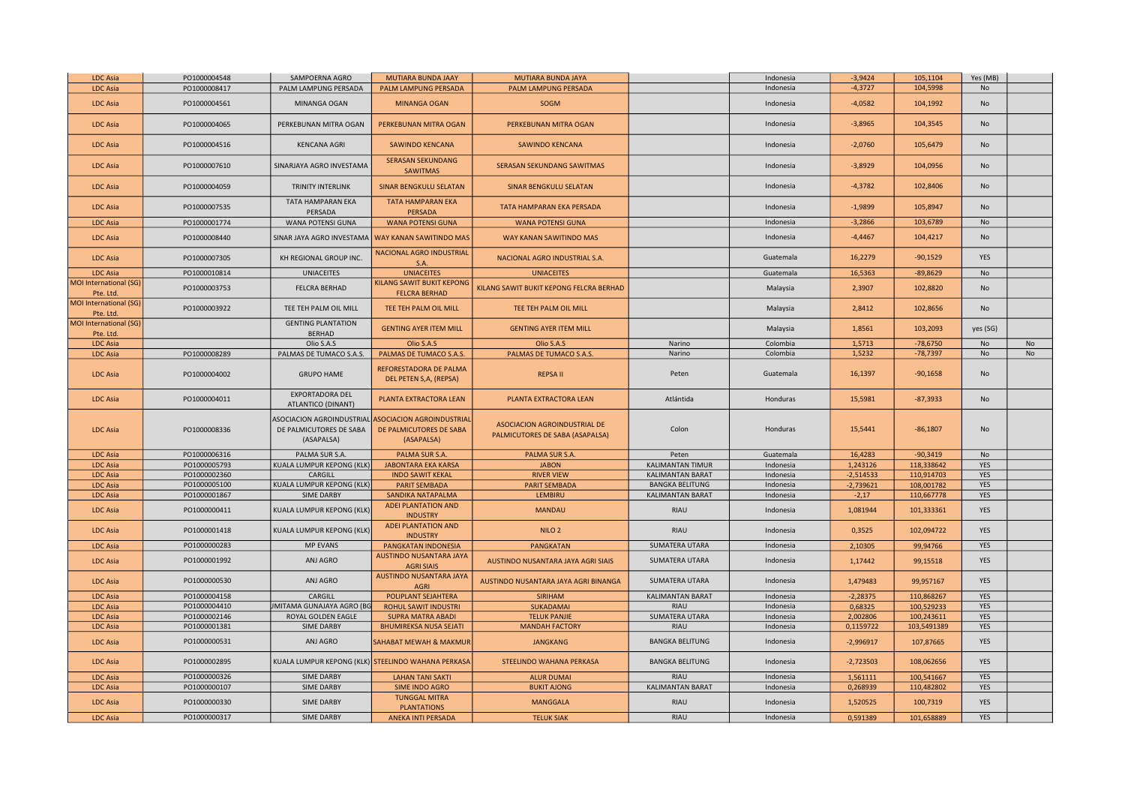| <b>LDC Asia</b>                     | PO1000004548 | SAMPOERNA AGRO                                                            | <b>MUTIARA BUNDA JAAY</b>                                                 | MUTIARA BUNDA JAYA                                              |                         | Indonesia | $-3,9424$   | 105,1104    | Yes (MB)   |    |
|-------------------------------------|--------------|---------------------------------------------------------------------------|---------------------------------------------------------------------------|-----------------------------------------------------------------|-------------------------|-----------|-------------|-------------|------------|----|
| <b>LDC Asia</b>                     | PO1000008417 | PALM LAMPUNG PERSADA                                                      | PALM LAMPUNG PERSADA                                                      | PALM LAMPUNG PERSADA                                            |                         | Indonesia | $-4,3727$   | 104,5998    | No         |    |
| <b>LDC Asia</b>                     | PO1000004561 | MINANGA OGAN                                                              | <b>MINANGA OGAN</b>                                                       | SOGM                                                            |                         | Indonesia | $-4,0582$   | 104,1992    | No         |    |
| LDC Asia                            | PO1000004065 | PERKEBUNAN MITRA OGAN                                                     | PERKEBUNAN MITRA OGAN                                                     | PERKEBUNAN MITRA OGAN                                           |                         | Indonesia | $-3,8965$   | 104,3545    | <b>No</b>  |    |
| <b>LDC Asia</b>                     | PO1000004516 | <b>KENCANA AGRI</b>                                                       | <b>SAWINDO KENCANA</b>                                                    | <b>SAWINDO KENCANA</b>                                          |                         | Indonesia | $-2,0760$   | 105,6479    | No         |    |
| <b>LDC Asia</b>                     | PO1000007610 | SINARJAYA AGRO INVESTAMA                                                  | <b>SERASAN SEKUNDANG</b><br>SAWITMAS                                      | SERASAN SEKUNDANG SAWITMAS                                      |                         | Indonesia | $-3,8929$   | 104,0956    | <b>No</b>  |    |
| <b>LDC Asia</b>                     | PO1000004059 | TRINITY INTERLINK                                                         | <b>SINAR BENGKULU SELATAN</b>                                             | <b>SINAR BENGKULU SELATAN</b>                                   |                         | Indonesia | $-4,3782$   | 102,8406    | No         |    |
| <b>LDC Asia</b>                     | PO1000007535 | TATA HAMPARAN EKA<br>PERSADA                                              | <b>TATA HAMPARAN EKA</b><br>PERSADA                                       | TATA HAMPARAN EKA PERSADA                                       |                         | Indonesia | $-1,9899$   | 105,8947    | <b>No</b>  |    |
| <b>LDC Asia</b>                     | PO1000001774 | WANA POTENSI GUNA                                                         | <b>WANA POTENSI GUNA</b>                                                  | <b>WANA POTENSI GUNA</b>                                        |                         | Indonesia | $-3,2866$   | 103,6789    | No         |    |
| <b>LDC Asia</b>                     | PO1000008440 | SINAR JAYA AGRO INVESTAMA                                                 | WAY KANAN SAWITINDO MAS                                                   | WAY KANAN SAWITINDO MAS                                         |                         | Indonesia | $-4,4467$   | 104,4217    | <b>No</b>  |    |
| <b>LDC Asia</b>                     | PO1000007305 | KH REGIONAL GROUP INC.                                                    | NACIONAL AGRO INDUSTRIAL<br>S.A                                           | NACIONAL AGRO INDUSTRIAL S.A.                                   |                         | Guatemala | 16,2279     | $-90,1529$  | <b>YES</b> |    |
| <b>LDC Asia</b>                     | PO1000010814 | <b>UNIACEITES</b>                                                         | <b>UNIACEITES</b>                                                         | <b>UNIACEITES</b>                                               |                         | Guatemala | 16,5363     | $-89,8629$  | No         |    |
| MOI International (SG)<br>Pte. Ltd. | PO1000003753 | <b>FELCRA BERHAD</b>                                                      | KILANG SAWIT BUKIT KEPONG<br><b>FELCRA BERHAD</b>                         | KILANG SAWIT BUKIT KEPONG FELCRA BERHAD                         |                         | Malaysia  | 2,3907      | 102,8820    | No         |    |
| MOI International (SG)<br>Pte. Ltd  | PO1000003922 | TEE TEH PALM OIL MILL                                                     | TEE TEH PALM OIL MILL                                                     | TEE TEH PALM OIL MILL                                           |                         | Malaysia  | 2,8412      | 102,8656    | <b>No</b>  |    |
| MOI International (SG)<br>Pte. Ltd. |              | <b>GENTING PLANTATION</b><br><b>BERHAD</b>                                | <b>GENTING AYER ITEM MILL</b>                                             | <b>GENTING AYER ITEM MILL</b>                                   |                         | Malaysia  | 1,8561      | 103,2093    | yes (SG)   |    |
| <b>LDC Asia</b>                     |              | Olio S.A.S                                                                | Olio S.A.S                                                                | Olio S.A.S                                                      | Narino                  | Colombia  | 1,5713      | $-78,6750$  | No         | No |
| <b>LDC Asia</b>                     | PO1000008289 | PALMAS DE TUMACO S.A.S.                                                   | PALMAS DE TUMACO S.A.S.                                                   | PALMAS DE TUMACO S.A.S.                                         | Narino                  | Colombia  | 1,5232      | $-78,7397$  | No         | No |
| <b>LDC Asia</b>                     | PO1000004002 | <b>GRUPO HAME</b>                                                         | REFORESTADORA DE PALMA<br>DEL PETEN S,A, (REPSA)                          | <b>REPSA II</b>                                                 | Peten                   | Guatemala | 16,1397     | $-90,1658$  | No         |    |
| <b>LDC Asia</b>                     | PO1000004011 | EXPORTADORA DEL<br>ATLANTICO (DINANT)                                     | PLANTA EXTRACTORA LEAN                                                    | PLANTA EXTRACTORA LEAN                                          | Atlántida               | Honduras  | 15,5981     | $-87,3933$  | No         |    |
| <b>LDC Asia</b>                     | PO1000008336 | <b>ASOCIACION AGROINDUSTRIAL</b><br>DE PALMICUTORES DE SABA<br>(ASAPALSA) | <b>ASOCIACION AGROINDUSTRIAL</b><br>DE PALMICUTORES DE SABA<br>(ASAPALSA) | ASOCIACION AGROINDUSTRIAL DE<br>PALMICUTORES DE SABA (ASAPALSA) | Colon                   | Honduras  | 15,5441     | $-86,1807$  | <b>No</b>  |    |
| <b>LDC Asia</b>                     | PO1000006316 | PALMA SUR S.A                                                             | PALMA SUR S.A.                                                            | PALMA SUR S.A.                                                  | Peten                   | Guatemala | 16,4283     | $-90,3419$  | No         |    |
| <b>LDC Asia</b>                     | PO1000005793 | KUALA LUMPUR KEPONG (KLK)                                                 | <b>JABONTARA EKA KARSA</b>                                                | <b>JABON</b>                                                    | <b>KALIMANTAN TIMUR</b> | Indonesia | 1,243126    | 118,338642  | <b>YES</b> |    |
| <b>LDC Asia</b>                     | PO1000002360 | CARGILL                                                                   | <b>INDO SAWIT KEKAL</b>                                                   | <b>RIVER VIEW</b>                                               | KALIMANTAN BARAT        | Indonesia | $-2,514533$ | 110,914703  | YES        |    |
| <b>LDC Asia</b>                     | PO1000005100 | KUALA LUMPUR KEPONG (KLK)                                                 | <b>PARIT SEMBADA</b>                                                      | <b>PARIT SEMBADA</b>                                            | <b>BANGKA BELITUNG</b>  | Indonesia | $-2,739621$ | 108,001782  | YES        |    |
| <b>LDC Asia</b>                     | PO1000001867 | SIME DARBY                                                                | SANDIKA NATAPALMA                                                         | <b>LEMBIRU</b>                                                  | KALIMANTAN BARAT        | Indonesia | $-2,17$     | 110,667778  | YES        |    |
| <b>LDC Asia</b>                     | PO1000000411 | KUALA LUMPUR KEPONG (KLK)                                                 | ADEI PLANTATION AND<br><b>INDUSTRY</b>                                    | <b>MANDAU</b>                                                   | RIAU                    | Indonesia | 1,081944    | 101,333361  | YES        |    |
| <b>LDC Asia</b>                     | PO1000001418 | KUALA LUMPUR KEPONG (KLK                                                  | ADEI PLANTATION AND<br><b>INDUSTRY</b>                                    | NILO <sub>2</sub>                                               | <b>RIAU</b>             | Indonesia | 0,3525      | 102,094722  | <b>YES</b> |    |
| <b>LDC Asia</b>                     | PO1000000283 | <b>MP EVANS</b>                                                           | PANGKATAN INDONESIA                                                       | <b>PANGKATAN</b>                                                | <b>SUMATERA UTARA</b>   | Indonesia | 2,10305     | 99,94766    | <b>YES</b> |    |
| <b>LDC Asia</b>                     | PO1000001992 | ANJ AGRO                                                                  | AUSTINDO NUSANTARA JAYA<br><b>AGRI SIAIS</b>                              | AUSTINDO NUSANTARA JAYA AGRI SIAIS                              | SUMATERA UTARA          | Indonesia | 1,17442     | 99.15518    | YES        |    |
| <b>LDC Asia</b>                     | PO1000000530 | ANJ AGRO                                                                  | AUSTINDO NUSANTARA JAYA<br><b>AGRI</b>                                    | AUSTINDO NUSANTARA JAYA AGRI BINANGA                            | SUMATERA UTARA          | Indonesia | 1,479483    | 99,957167   | <b>YES</b> |    |
| <b>LDC Asia</b>                     | PO1000004158 | CARGILL                                                                   | POLIPLANT SEJAHTERA                                                       | <b>SIRIHAM</b>                                                  | KALIMANTAN BARAT        | Indonesia | $-2,28375$  | 110,868267  | YES        |    |
| <b>LDC Asia</b>                     | PO1000004410 | JMITAMA GUNAJAYA AGRO (BG                                                 | ROHUL SAWIT INDUSTRI                                                      | <b>SUKADAMAI</b>                                                | <b>RIAU</b>             | Indonesia | 0,68325     | 100,529233  | YES        |    |
| <b>LDC</b> Asia                     | PO1000002146 | ROYAL GOLDEN EAGLE                                                        | <b>SUPRA MATRA ABADI</b>                                                  | <b>TELUK PANJIE</b>                                             | SUMATERA UTARA          | Indonesia | 2,002806    | 100,243611  | YES        |    |
| <b>LDC Asia</b>                     | PO1000001381 | <b>SIME DARBY</b>                                                         | <b>BHUMIREKSA NUSA SEJATI</b>                                             | <b>MANDAH FACTORY</b>                                           | RIAU                    | Indonesia | 0,1159722   | 103,5491389 | YES        |    |
| <b>LDC Asia</b>                     | PO1000000531 | ANJ AGRO                                                                  | SAHABAT MEWAH & MAKMUR                                                    | <b>JANGKANG</b>                                                 | <b>BANGKA BELITUNG</b>  | Indonesia | $-2,996917$ | 107,87665   | <b>YES</b> |    |
| <b>LDC Asia</b>                     | PO1000002895 |                                                                           | KUALA LUMPUR KEPONG (KLK) <mark>STEELINDO WAHANA PERKASA</mark>           | STEELINDO WAHANA PERKASA                                        | <b>BANGKA BELITUNG</b>  | Indonesia | $-2,723503$ | 108,062656  | YES        |    |
| LDC Asia                            | PO1000000326 | <b>SIME DARBY</b>                                                         | <b>LAHAN TANI SAKTI</b>                                                   | <b>ALUR DUMAI</b>                                               | <b>RIAU</b>             | Indonesia | 1,561111    | 100,541667  | YES        |    |
| <b>LDC Asia</b>                     | PO1000000107 | <b>SIME DARBY</b>                                                         | <b>SIME INDO AGRO</b>                                                     | <b>BUKIT AJONG</b>                                              | <b>KALIMANTAN BARAT</b> | Indonesia | 0,268939    | 110,482802  | <b>YES</b> |    |
| <b>LDC Asia</b>                     | PO1000000330 | <b>SIME DARBY</b>                                                         | <b>TUNGGAL MITRA</b><br><b>PLANTATIONS</b>                                | <b>MANGGALA</b>                                                 | <b>RIAU</b>             | Indonesia | 1,520525    | 100,7319    | <b>YES</b> |    |
| <b>LDC Asia</b>                     | PO1000000317 | <b>SIME DARBY</b>                                                         | <b>ANEKA INTI PERSADA</b>                                                 | <b>TELUK SIAK</b>                                               | RIAU                    | Indonesia | 0,591389    | 101,658889  | YES        |    |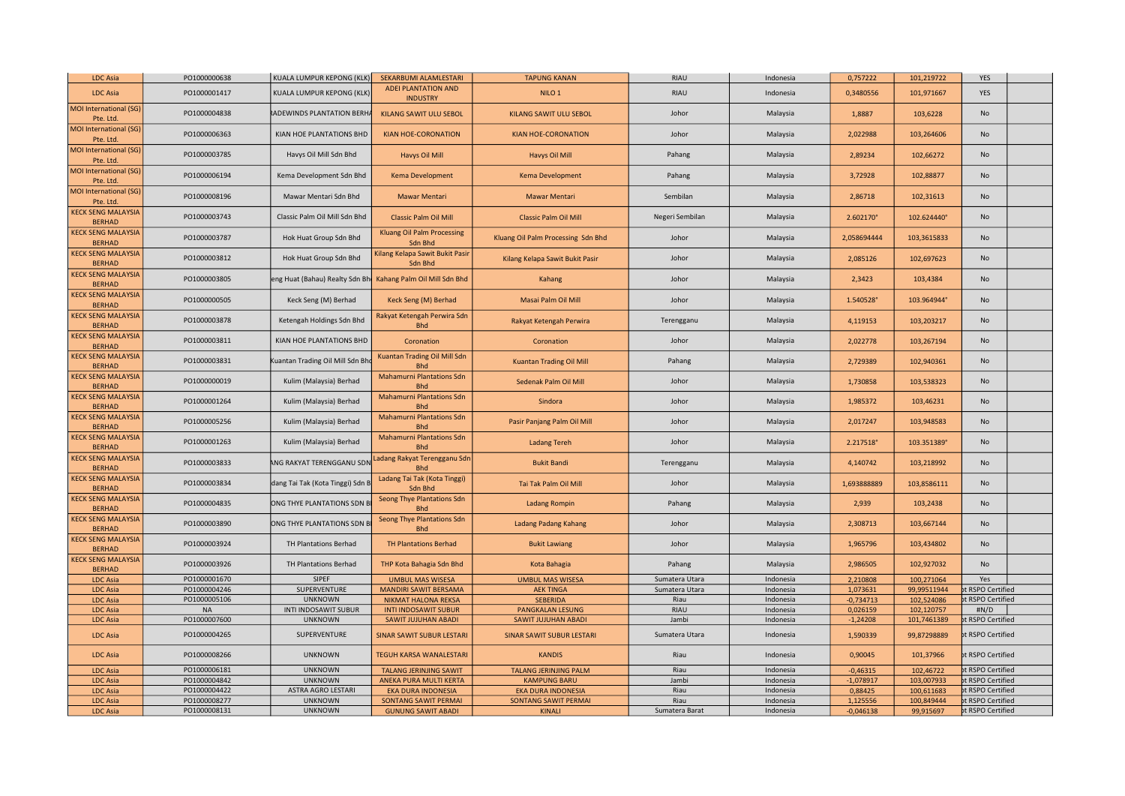| <b>LDC Asia</b>                            | PO1000000638 | KUALA LUMPUR KEPONG (KLK              | SEKARBUMI ALAMLESTARI                          | <b>TAPUNG KANAN</b>                | <b>RIAU</b>     | Indonesia | 0,757222    | 101,219722  | YES               |  |
|--------------------------------------------|--------------|---------------------------------------|------------------------------------------------|------------------------------------|-----------------|-----------|-------------|-------------|-------------------|--|
| <b>LDC</b> Asia                            | PO1000001417 | KUALA LUMPUR KEPONG (KLK              | <b>ADEI PLANTATION AND</b><br><b>INDUSTRY</b>  | NILO <sub>1</sub>                  | <b>RIAU</b>     | Indonesia | 0,3480556   | 101,971667  | <b>YES</b>        |  |
| MOI International (SG)<br>Pte. Ltd.        | PO1000004838 | <b>ADEWINDS PLANTATION BERH</b>       | KILANG SAWIT ULU SEBOL                         | KILANG SAWIT ULU SEBOL             | Johor           | Malaysia  | 1,8887      | 103,6228    | No                |  |
| <b>MOI International (SG)</b><br>Pte. Ltd. | PO1000006363 | KIAN HOE PLANTATIONS BHD              | <b>KIAN HOE-CORONATION</b>                     | KIAN HOE-CORONATION                | Johor           | Malaysia  | 2,022988    | 103,264606  | No                |  |
| MOI International (SG)<br>Pte. Ltd.        | PO1000003785 | Havys Oil Mill Sdn Bhd                | Havys Oil Mill                                 | Havys Oil Mill                     | Pahang          | Malaysia  | 2,89234     | 102,66272   | No                |  |
| MOI International (SG)<br>Pte. Ltd.        | PO1000006194 | Kema Development Sdn Bhd              | Kema Development                               | <b>Kema Development</b>            | Pahang          | Malaysia  | 3,72928     | 102,88877   | No                |  |
| MOI International (SG)<br>Pte. Ltd.        | PO1000008196 | Mawar Mentari Sdn Bhd                 | <b>Mawar Mentari</b>                           | <b>Mawar Mentari</b>               | Sembilan        | Malaysia  | 2,86718     | 102,31613   | No                |  |
| <b>KECK SENG MALAYSIA</b><br><b>BERHAD</b> | PO1000003743 | Classic Palm Oil Mill Sdn Bhd         | <b>Classic Palm Oil Mill</b>                   | <b>Classic Palm Oil Mill</b>       | Negeri Sembilan | Malaysia  | 2.602170°   | 102.624440° | No                |  |
| <b>KECK SENG MALAYSIA</b><br><b>BERHAD</b> | PO1000003787 | Hok Huat Group Sdn Bhd                | <b>Kluang Oil Palm Processing</b><br>Sdn Bhd   | Kluang Oil Palm Processing Sdn Bhd | Johor           | Malaysia  | 2,058694444 | 103,3615833 | <b>No</b>         |  |
| <b>KECK SENG MALAYSIA</b><br><b>BERHAD</b> | PO1000003812 | Hok Huat Group Sdn Bhd                | Kilang Kelapa Sawit Bukit Pasir<br>Sdn Bhd     | Kilang Kelapa Sawit Bukit Pasir    | Johor           | Malaysia  | 2,085126    | 102,697623  | No                |  |
| <b>KECK SENG MALAYSIA</b><br><b>BERHAD</b> | PO1000003805 | eng Huat (Bahau) Realty Sdn Bh        | Kahang Palm Oil Mill Sdn Bhd                   | Kahang                             | Johor           | Malaysia  | 2,3423      | 103,4384    | No                |  |
| <b>KECK SENG MALAYSIA</b><br><b>BERHAD</b> | PO1000000505 | Keck Seng (M) Berhad                  | Keck Seng (M) Berhad                           | Masai Palm Oil Mill                | Johor           | Malaysia  | 1.540528°   | 103.964944° | No                |  |
| <b>KECK SENG MALAYSIA</b><br><b>BERHAD</b> | PO1000003878 | Ketengah Holdings Sdn Bhd             | Rakyat Ketengah Perwira Sdn<br><b>Bhd</b>      | Rakyat Ketengah Perwira            | Terengganu      | Malaysia  | 4,119153    | 103,203217  | No                |  |
| <b>KECK SENG MALAYSIA</b><br><b>BERHAD</b> | PO1000003811 | KIAN HOE PLANTATIONS BHD              | Coronation                                     | Coronation                         | Johor           | Malaysia  | 2,022778    | 103,267194  | No                |  |
| <b>KECK SENG MALAYSIA</b><br><b>BERHAD</b> | PO1000003831 | Kuantan Trading Oil Mill Sdn Bh       | Kuantan Trading Oil Mill Sdn<br><b>Bhd</b>     | <b>Kuantan Trading Oil Mill</b>    | Pahang          | Malaysia  | 2,729389    | 102,940361  | No                |  |
| <b>KECK SENG MALAYSIA</b><br><b>BERHAD</b> | PO1000000019 | Kulim (Malaysia) Berhad               | <b>Mahamurni Plantations Sdn</b><br><b>Bhd</b> | Sedenak Palm Oil Mill              | Johor           | Malaysia  | 1,730858    | 103,538323  | No                |  |
| <b>KECK SENG MALAYSIA</b><br><b>BERHAD</b> | PO1000001264 | Kulim (Malaysia) Berhad               | <b>Mahamurni Plantations Sdn</b><br><b>Bhd</b> | Sindora                            | Johor           | Malaysia  | 1.985372    | 103,46231   | <b>No</b>         |  |
| <b>KECK SENG MALAYSIA</b><br><b>BERHAD</b> | PO1000005256 | Kulim (Malaysia) Berhad               | <b>Mahamurni Plantations Sdn</b><br><b>Bhd</b> | Pasir Panjang Palm Oil Mill        | Johor           | Malaysia  | 2,017247    | 103,948583  | No                |  |
| <b>KECK SENG MALAYSIA</b><br><b>BERHAD</b> | PO1000001263 | Kulim (Malaysia) Berhad               | <b>Mahamurni Plantations Sdn</b><br><b>Bhd</b> | <b>Ladang Tereh</b>                | Johor           | Malaysia  | 2.217518°   | 103.351389° | <b>No</b>         |  |
| <b>KECK SENG MALAYSIA</b><br><b>BERHAD</b> | PO1000003833 | ANG RAKYAT TERENGGANU SDN             | adang Rakyat Terengganu Sdn<br><b>Bhd</b>      | <b>Bukit Bandi</b>                 | Terengganu      | Malaysia  | 4,140742    | 103,218992  | No                |  |
| <b>KECK SENG MALAYSIA</b><br><b>BERHAD</b> | PO1000003834 | dang Tai Tak (Kota Tinggi) Sdn E      | Ladang Tai Tak (Kota Tinggi)<br>Sdn Bhd        | Tai Tak Palm Oil Mill              | Johor           | Malaysia  | 1,693888889 | 103,8586111 | <b>No</b>         |  |
| <b>KECK SENG MALAYSIA</b><br><b>BERHAD</b> | PO1000004835 | ONG THYE PLANTATIONS SDN E            | Seong Thye Plantations Sdn<br><b>Bhd</b>       | <b>Ladang Rompin</b>               | Pahang          | Malaysia  | 2,939       | 103,2438    | No                |  |
| <b>KECK SENG MALAYSIA</b><br><b>BERHAD</b> | PO1000003890 | ONG THYE PLANTATIONS SDN E            | Seong Thye Plantations Sdn<br><b>Bhd</b>       | <b>Ladang Padang Kahang</b>        | Johor           | Malaysia  | 2,308713    | 103,667144  | No                |  |
| <b>KECK SENG MALAYSIA</b><br><b>BERHAD</b> | PO1000003924 | TH Plantations Berhad                 | <b>TH Plantations Berhad</b>                   | <b>Bukit Lawiang</b>               | Johor           | Malaysia  | 1,965796    | 103,434802  | <b>No</b>         |  |
| <b>KECK SENG MALAYSIA</b><br><b>BERHAD</b> | PO1000003926 | <b>TH Plantations Berhad</b><br>SIPEF | THP Kota Bahagia Sdn Bhd                       | Kota Bahagia                       | Pahang          | Malaysia  | 2,986505    | 102,927032  | No                |  |
| <b>LDC Asia</b>                            | PO1000001670 |                                       | <b>UMBUL MAS WISESA</b>                        | <b>UMBUL MAS WISESA</b>            | Sumatera Utara  | Indonesia | 2,210808    | 100,271064  | Yes               |  |
| <b>LDC Asia</b>                            | PO1000004246 | SUPERVENTURE                          | <b>MANDIRI SAWIT BERSAMA</b>                   | <b>AEK TINGA</b>                   | Sumatera Utara  | Indonesia | 1,073631    | 99,99511944 | t RSPO Certified  |  |
| <b>LDC Asia</b>                            | PO1000005106 | <b>UNKNOWN</b>                        | <b>NIKMAT HALONA REKSA</b>                     | <b>SEBERIDA</b>                    | Riau            | Indonesia | $-0,734713$ | 102,524086  | t RSPO Certified  |  |
| <b>LDC Asia</b>                            | <b>NA</b>    | INTI INDOSAWIT SUBUR                  | <b>INTI INDOSAWIT SUBUR</b>                    | PANGKALAN LESUNG                   | <b>RIAU</b>     | Indonesia | 0,026159    | 102,120757  | #N/D              |  |
| <b>LDC Asia</b>                            | PO1000007600 | <b>UNKNOWN</b>                        | SAWIT JUJUHAN ABADI                            | SAWIT JUJUHAN ABADI                | Jambi           | Indonesia | $-1,24208$  | 101,7461389 | t RSPO Certified  |  |
| <b>LDC Asia</b>                            | PO1000004265 | SUPERVENTURE                          | <b>SINAR SAWIT SUBUR LESTARI</b>               | <b>SINAR SAWIT SUBUR LESTARI</b>   | Sumatera Utara  | Indonesia | 1,590339    | 99,87298889 | t RSPO Certified  |  |
| <b>LDC Asia</b>                            | PO1000008266 | <b>UNKNOWN</b>                        | <b>TEGUH KARSA WANALESTARI</b>                 | <b>KANDIS</b>                      | Riau            | Indonesia | 0,90045     | 101,37966   | ot RSPO Certified |  |
| <b>LDC Asia</b>                            | PO1000006181 | <b>UNKNOWN</b>                        | <b>TALANG JERINJING SAWIT</b>                  | <b>TALANG JERINJING PALM</b>       | Riau            | Indonesia | $-0,46315$  | 102,46722   | t RSPO Certified  |  |
| <b>LDC</b> Asia                            | PO1000004842 | <b>UNKNOWN</b>                        | ANEKA PURA MULTI KERTA                         | <b>KAMPUNG BARU</b>                | Jambi           | Indonesia | $-1,078917$ | 103,007933  | t RSPO Certified  |  |
| <b>LDC</b> Asia                            | PO1000004422 | ASTRA AGRO LESTARI                    | <b>EKA DURA INDONESIA</b>                      | <b>EKA DURA INDONESIA</b>          | Riau            | Indonesia | 0,88425     | 100,611683  | ot RSPO Certified |  |
| <b>LDC Asia</b>                            | PO1000008277 | <b>UNKNOWN</b>                        | <b>SONTANG SAWIT PERMAI</b>                    | SONTANG SAWIT PERMAI               | Riau            | Indonesia | 1,125556    | 100,849444  | t RSPO Certified  |  |
| <b>LDC Asia</b>                            | PO1000008131 | <b>UNKNOWN</b>                        | <b>GUNUNG SAWIT ABADI</b>                      | <b>KINALI</b>                      | Sumatera Barat  | Indonesia | $-0,046138$ | 99,915697   | bt RSPO Certified |  |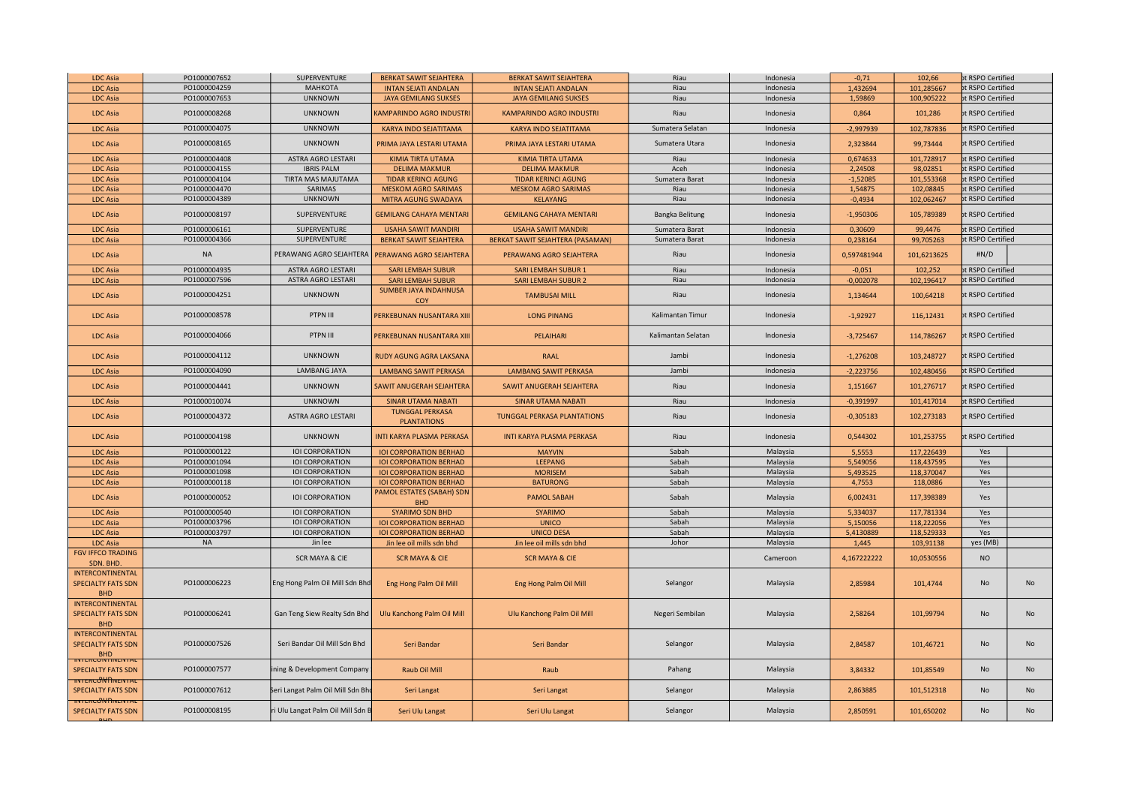| <b>LDC Asia</b><br>PO1000004259<br><b>МАНКОТА</b><br><b>INTAN SEJATI ANDALAN</b><br><b>INTAN SEJATI ANDALAN</b><br>Riau<br>1,432694<br>101,285667<br>Indonesia<br>PO1000007653<br><b>UNKNOWN</b><br><b>JAYA GEMILANG SUKSES</b><br><b>JAYA GEMILANG SUKSES</b><br>Riau<br>Indonesia<br>1,59869<br>100,905222<br><b>LDC Asia</b><br>PO1000008268<br><b>UNKNOWN</b><br>Riau<br><b>LDC Asia</b><br>KAMPARINDO AGRO INDUSTRI<br><b>KAMPARINDO AGRO INDUSTRI</b><br>Indonesia<br>0,864<br>101,286<br>PO1000004075<br><b>UNKNOWN</b><br>KARYA INDO SEJATITAMA<br>KARYA INDO SEJATITAMA<br>Sumatera Selatan<br>$-2,997939$<br>102,787836<br><b>LDC Asia</b><br>Indonesia<br>PO1000008165<br>99,73444<br><b>LDC</b> Asia<br><b>UNKNOWN</b><br>PRIMA JAYA LESTARI UTAMA<br>PRIMA JAYA LESTARI UTAMA<br>Sumatera Utara<br>Indonesia<br>2,323844<br>PO1000004408<br><b>ASTRA AGRO LESTARI</b><br><b>KIMIA TIRTA UTAMA</b><br>KIMIA TIRTA UTAMA<br>Riau<br>Indonesia<br>0,674633<br>101,728917<br><b>LDC Asia</b><br>PO1000004155<br><b>IBRIS PALM</b><br>Aceh<br>Indonesia<br>98,02851<br><b>LDC Asia</b><br><b>DELIMA MAKMUR</b><br><b>DELIMA MAKMUR</b><br>2,24508<br>PO1000004104<br>TIRTA MAS MAJUTAMA<br><b>TIDAR KERINCI AGUNG</b><br><b>TIDAR KERINCI AGUNG</b><br>Sumatera Barat<br>Indonesia<br>$-1,52085$<br>101,553368<br><b>LDC Asia</b><br><b>LDC Asia</b><br>PO1000004470<br>SARIMAS<br><b>MESKOM AGRO SARIMAS</b><br><b>MESKOM AGRO SARIMAS</b><br>Riau<br>1,54875<br>102,08845<br>Indonesia<br>PO1000004389<br><b>UNKNOWN</b><br>Riau<br>102,062467<br>MITRA AGUNG SWADAYA<br><b>KELAYANG</b><br>$-0,4934$<br>LDC Asia<br>Indonesia<br><b>LDC Asia</b><br>PO1000008197<br>SUPERVENTURE<br><b>GEMILANG CAHAYA MENTARI</b><br><b>GEMILANG CAHAYA MENTARI</b><br>$-1,950306$<br>105,789389<br>Bangka Belitung<br>Indonesia<br>PO1000006161<br>SUPERVENTURE<br><b>USAHA SAWIT MANDIRI</b><br>Sumatera Barat<br>0,30609<br>99,4476<br><b>USAHA SAWIT MANDIRI</b><br>Indonesia<br><b>LDC Asia</b><br>PO1000004366<br>SUPERVENTURE<br>Sumatera Barat<br><b>LDC Asia</b><br><b>BERKAT SAWIT SEJAHTERA</b><br>BERKAT SAWIT SEJAHTERA (PASAMAN)<br>Indonesia<br>0,238164<br>99,705263<br><b>NA</b><br>PERAWANG AGRO SEJAHTERA<br>PERAWANG AGRO SEJAHTERA<br>Riau<br>0,597481944<br>101,6213625<br><b>LDC Asia</b><br>PERAWANG AGRO SEJAHTERA<br>Indonesia<br><b>LDC Asia</b><br>PO1000004935<br><b>ASTRA AGRO LESTARI</b><br><b>SARI LEMBAH SUBUR</b><br><b>SARI LEMBAH SUBUR 1</b><br>Riau<br>$-0,051$<br>102,252<br>Indonesia<br>PO1000007596<br>ASTRA AGRO LESTARI<br>Riau<br><b>SARI LEMBAH SUBUR 2</b><br>102,196417<br><b>LDC Asia</b><br><b>SARI LEMBAH SUBUR</b><br>Indonesia<br>$-0,002078$<br><b>SUMBER JAYA INDAHNUSA</b><br>PO1000004251<br><b>UNKNOWN</b><br>Riau<br><b>TAMBUSAI MILL</b><br>1,134644<br>100,64218<br><b>LDC</b> Asia<br>Indonesia<br><b>COY</b><br>PTPN III<br><b>LDC Asia</b><br>PO1000008578<br>PERKEBUNAN NUSANTARA XIII<br><b>LONG PINANG</b><br>Kalimantan Timur<br>Indonesia<br>$-1,92927$<br>116,12431<br>PTPN III<br><b>LDC Asia</b><br>PO1000004066<br>PERKEBUNAN NUSANTARA XIII<br>PELAIHARI<br>Kalimantan Selatan<br>Indonesia<br>$-3,725467$<br>114,786267<br>PO1000004112<br><b>UNKNOWN</b><br>Jambi<br><b>RUDY AGUNG AGRA LAKSANA</b><br><b>RAAL</b><br>Indonesia<br>$-1,276208$<br>103,248727<br><b>LDC Asia</b><br>PO1000004090<br><b>LAMBANG JAYA</b><br><b>LAMBANG SAWIT PERKASA</b><br><b>LAMBANG SAWIT PERKASA</b><br>$-2,223756$<br>102,480456<br><b>LDC Asia</b><br>Jambi<br>Indonesia<br>PO1000004441<br><b>UNKNOWN</b><br>Riau<br>1,151667<br>101,276717<br><b>LDC Asia</b><br>SAWIT ANUGERAH SEJAHTERA<br>SAWIT ANUGERAH SEJAHTERA<br>Indonesia<br>PO1000010074<br><b>UNKNOWN</b><br><b>SINAR UTAMA NABATI</b><br><b>SINAR UTAMA NABATI</b><br>Riau<br>Indonesia<br>101,417014<br><b>LDC Asia</b><br>$-0,391997$<br><b>TUNGGAL PERKASA</b><br>PO1000004372<br><b>ASTRA AGRO LESTARI</b><br>Riau<br>Indonesia<br>102,273183<br><b>LDC Asia</b><br><b>TUNGGAL PERKASA PLANTATIONS</b><br>$-0,305183$<br><b>PLANTATIONS</b><br>PO1000004198<br><b>UNKNOWN</b><br>Riau<br>INTI KARYA PLASMA PERKASA<br>INTI KARYA PLASMA PERKASA<br>0,544302<br>101,253755<br>LDC Asia<br>Indonesia<br>PO1000000122<br><b>IOI CORPORATION</b><br><b>IOI CORPORATION BERHAD</b><br><b>MAYVIN</b><br>Sabah<br>5,5553<br>117,226439<br>LDC Asia<br>Malaysia<br>PO1000001094<br><b>IOI CORPORATION</b><br>Sabah<br><b>LDC</b> Asia<br><b>IOI CORPORATION BERHAD</b><br>LEEPANG<br>Malaysia<br>5,549056<br>118,437595<br>PO1000001098<br><b>IOI CORPORATION</b><br>Sabah<br>Malaysia<br><b>LDC Asia</b><br><b>IOI CORPORATION BERHAD</b><br><b>MORISEM</b><br>5,493525<br>118,370047<br>PO1000000118<br><b>IOI CORPORATION</b><br>Sabah<br>Malaysia<br><b>IOI CORPORATION BERHAD</b><br>4,7553<br>118,0886<br>LDC Asia<br><b>BATURONG</b><br>PAMOL ESTATES (SABAH) SDN<br>PO1000000052<br><b>IOI CORPORATION</b><br>Sabah<br>LDC Asia<br><b>PAMOL SABAH</b><br>Malaysia<br>6,002431<br>117,398389<br><b>BHD</b> | ot RSPO Certified<br>ot RSPO Certified<br>t RSPO Certified<br>ot RSPO Certified<br>t RSPO Certified<br>ot RSPO Certified<br>t RSPO Certified<br>ot RSPO Certified<br>t RSPO Certified<br>t RSPO Certified<br>t RSPO Certified<br>t RSPO Certified<br>ot RSPO Certified<br>#N/D<br>ot RSPO Certified<br>ot RSPO Certified<br>t RSPO Certified<br>ot RSPO Certified<br>ot RSPO Certified |           |  |
|------------------------------------------------------------------------------------------------------------------------------------------------------------------------------------------------------------------------------------------------------------------------------------------------------------------------------------------------------------------------------------------------------------------------------------------------------------------------------------------------------------------------------------------------------------------------------------------------------------------------------------------------------------------------------------------------------------------------------------------------------------------------------------------------------------------------------------------------------------------------------------------------------------------------------------------------------------------------------------------------------------------------------------------------------------------------------------------------------------------------------------------------------------------------------------------------------------------------------------------------------------------------------------------------------------------------------------------------------------------------------------------------------------------------------------------------------------------------------------------------------------------------------------------------------------------------------------------------------------------------------------------------------------------------------------------------------------------------------------------------------------------------------------------------------------------------------------------------------------------------------------------------------------------------------------------------------------------------------------------------------------------------------------------------------------------------------------------------------------------------------------------------------------------------------------------------------------------------------------------------------------------------------------------------------------------------------------------------------------------------------------------------------------------------------------------------------------------------------------------------------------------------------------------------------------------------------------------------------------------------------------------------------------------------------------------------------------------------------------------------------------------------------------------------------------------------------------------------------------------------------------------------------------------------------------------------------------------------------------------------------------------------------------------------------------------------------------------------------------------------------------------------------------------------------------------------------------------------------------------------------------------------------------------------------------------------------------------------------------------------------------------------------------------------------------------------------------------------------------------------------------------------------------------------------------------------------------------------------------------------------------------------------------------------------------------------------------------------------------------------------------------------------------------------------------------------------------------------------------------------------------------------------------------------------------------------------------------------------------------------------------------------------------------------------------------------------------------------------------------------------------------------------------------------------------------------------------------------------------------------------------------------------------------------------------------------------------------------------------------------------------------------------------------------------------------------------------------------------------------------------------------------------------------------------------------------------------------------------------------------------------------------------------------------------------------------------------------------------------------------------------------------------------------------------------------------------------------------------------------------------------------------------------------------------------------------------------------------------------------------------------------------------------------|----------------------------------------------------------------------------------------------------------------------------------------------------------------------------------------------------------------------------------------------------------------------------------------------------------------------------------------------------------------------------------------|-----------|--|
|                                                                                                                                                                                                                                                                                                                                                                                                                                                                                                                                                                                                                                                                                                                                                                                                                                                                                                                                                                                                                                                                                                                                                                                                                                                                                                                                                                                                                                                                                                                                                                                                                                                                                                                                                                                                                                                                                                                                                                                                                                                                                                                                                                                                                                                                                                                                                                                                                                                                                                                                                                                                                                                                                                                                                                                                                                                                                                                                                                                                                                                                                                                                                                                                                                                                                                                                                                                                                                                                                                                                                                                                                                                                                                                                                                                                                                                                                                                                                                                                                                                                                                                                                                                                                                                                                                                                                                                                                                                                                                                                                                                                                                                                                                                                                                                                                                                                                                                                                                                                                                          |                                                                                                                                                                                                                                                                                                                                                                                        |           |  |
|                                                                                                                                                                                                                                                                                                                                                                                                                                                                                                                                                                                                                                                                                                                                                                                                                                                                                                                                                                                                                                                                                                                                                                                                                                                                                                                                                                                                                                                                                                                                                                                                                                                                                                                                                                                                                                                                                                                                                                                                                                                                                                                                                                                                                                                                                                                                                                                                                                                                                                                                                                                                                                                                                                                                                                                                                                                                                                                                                                                                                                                                                                                                                                                                                                                                                                                                                                                                                                                                                                                                                                                                                                                                                                                                                                                                                                                                                                                                                                                                                                                                                                                                                                                                                                                                                                                                                                                                                                                                                                                                                                                                                                                                                                                                                                                                                                                                                                                                                                                                                                          |                                                                                                                                                                                                                                                                                                                                                                                        |           |  |
|                                                                                                                                                                                                                                                                                                                                                                                                                                                                                                                                                                                                                                                                                                                                                                                                                                                                                                                                                                                                                                                                                                                                                                                                                                                                                                                                                                                                                                                                                                                                                                                                                                                                                                                                                                                                                                                                                                                                                                                                                                                                                                                                                                                                                                                                                                                                                                                                                                                                                                                                                                                                                                                                                                                                                                                                                                                                                                                                                                                                                                                                                                                                                                                                                                                                                                                                                                                                                                                                                                                                                                                                                                                                                                                                                                                                                                                                                                                                                                                                                                                                                                                                                                                                                                                                                                                                                                                                                                                                                                                                                                                                                                                                                                                                                                                                                                                                                                                                                                                                                                          |                                                                                                                                                                                                                                                                                                                                                                                        |           |  |
|                                                                                                                                                                                                                                                                                                                                                                                                                                                                                                                                                                                                                                                                                                                                                                                                                                                                                                                                                                                                                                                                                                                                                                                                                                                                                                                                                                                                                                                                                                                                                                                                                                                                                                                                                                                                                                                                                                                                                                                                                                                                                                                                                                                                                                                                                                                                                                                                                                                                                                                                                                                                                                                                                                                                                                                                                                                                                                                                                                                                                                                                                                                                                                                                                                                                                                                                                                                                                                                                                                                                                                                                                                                                                                                                                                                                                                                                                                                                                                                                                                                                                                                                                                                                                                                                                                                                                                                                                                                                                                                                                                                                                                                                                                                                                                                                                                                                                                                                                                                                                                          |                                                                                                                                                                                                                                                                                                                                                                                        |           |  |
|                                                                                                                                                                                                                                                                                                                                                                                                                                                                                                                                                                                                                                                                                                                                                                                                                                                                                                                                                                                                                                                                                                                                                                                                                                                                                                                                                                                                                                                                                                                                                                                                                                                                                                                                                                                                                                                                                                                                                                                                                                                                                                                                                                                                                                                                                                                                                                                                                                                                                                                                                                                                                                                                                                                                                                                                                                                                                                                                                                                                                                                                                                                                                                                                                                                                                                                                                                                                                                                                                                                                                                                                                                                                                                                                                                                                                                                                                                                                                                                                                                                                                                                                                                                                                                                                                                                                                                                                                                                                                                                                                                                                                                                                                                                                                                                                                                                                                                                                                                                                                                          |                                                                                                                                                                                                                                                                                                                                                                                        |           |  |
|                                                                                                                                                                                                                                                                                                                                                                                                                                                                                                                                                                                                                                                                                                                                                                                                                                                                                                                                                                                                                                                                                                                                                                                                                                                                                                                                                                                                                                                                                                                                                                                                                                                                                                                                                                                                                                                                                                                                                                                                                                                                                                                                                                                                                                                                                                                                                                                                                                                                                                                                                                                                                                                                                                                                                                                                                                                                                                                                                                                                                                                                                                                                                                                                                                                                                                                                                                                                                                                                                                                                                                                                                                                                                                                                                                                                                                                                                                                                                                                                                                                                                                                                                                                                                                                                                                                                                                                                                                                                                                                                                                                                                                                                                                                                                                                                                                                                                                                                                                                                                                          |                                                                                                                                                                                                                                                                                                                                                                                        |           |  |
|                                                                                                                                                                                                                                                                                                                                                                                                                                                                                                                                                                                                                                                                                                                                                                                                                                                                                                                                                                                                                                                                                                                                                                                                                                                                                                                                                                                                                                                                                                                                                                                                                                                                                                                                                                                                                                                                                                                                                                                                                                                                                                                                                                                                                                                                                                                                                                                                                                                                                                                                                                                                                                                                                                                                                                                                                                                                                                                                                                                                                                                                                                                                                                                                                                                                                                                                                                                                                                                                                                                                                                                                                                                                                                                                                                                                                                                                                                                                                                                                                                                                                                                                                                                                                                                                                                                                                                                                                                                                                                                                                                                                                                                                                                                                                                                                                                                                                                                                                                                                                                          |                                                                                                                                                                                                                                                                                                                                                                                        |           |  |
|                                                                                                                                                                                                                                                                                                                                                                                                                                                                                                                                                                                                                                                                                                                                                                                                                                                                                                                                                                                                                                                                                                                                                                                                                                                                                                                                                                                                                                                                                                                                                                                                                                                                                                                                                                                                                                                                                                                                                                                                                                                                                                                                                                                                                                                                                                                                                                                                                                                                                                                                                                                                                                                                                                                                                                                                                                                                                                                                                                                                                                                                                                                                                                                                                                                                                                                                                                                                                                                                                                                                                                                                                                                                                                                                                                                                                                                                                                                                                                                                                                                                                                                                                                                                                                                                                                                                                                                                                                                                                                                                                                                                                                                                                                                                                                                                                                                                                                                                                                                                                                          |                                                                                                                                                                                                                                                                                                                                                                                        |           |  |
|                                                                                                                                                                                                                                                                                                                                                                                                                                                                                                                                                                                                                                                                                                                                                                                                                                                                                                                                                                                                                                                                                                                                                                                                                                                                                                                                                                                                                                                                                                                                                                                                                                                                                                                                                                                                                                                                                                                                                                                                                                                                                                                                                                                                                                                                                                                                                                                                                                                                                                                                                                                                                                                                                                                                                                                                                                                                                                                                                                                                                                                                                                                                                                                                                                                                                                                                                                                                                                                                                                                                                                                                                                                                                                                                                                                                                                                                                                                                                                                                                                                                                                                                                                                                                                                                                                                                                                                                                                                                                                                                                                                                                                                                                                                                                                                                                                                                                                                                                                                                                                          |                                                                                                                                                                                                                                                                                                                                                                                        |           |  |
|                                                                                                                                                                                                                                                                                                                                                                                                                                                                                                                                                                                                                                                                                                                                                                                                                                                                                                                                                                                                                                                                                                                                                                                                                                                                                                                                                                                                                                                                                                                                                                                                                                                                                                                                                                                                                                                                                                                                                                                                                                                                                                                                                                                                                                                                                                                                                                                                                                                                                                                                                                                                                                                                                                                                                                                                                                                                                                                                                                                                                                                                                                                                                                                                                                                                                                                                                                                                                                                                                                                                                                                                                                                                                                                                                                                                                                                                                                                                                                                                                                                                                                                                                                                                                                                                                                                                                                                                                                                                                                                                                                                                                                                                                                                                                                                                                                                                                                                                                                                                                                          |                                                                                                                                                                                                                                                                                                                                                                                        |           |  |
|                                                                                                                                                                                                                                                                                                                                                                                                                                                                                                                                                                                                                                                                                                                                                                                                                                                                                                                                                                                                                                                                                                                                                                                                                                                                                                                                                                                                                                                                                                                                                                                                                                                                                                                                                                                                                                                                                                                                                                                                                                                                                                                                                                                                                                                                                                                                                                                                                                                                                                                                                                                                                                                                                                                                                                                                                                                                                                                                                                                                                                                                                                                                                                                                                                                                                                                                                                                                                                                                                                                                                                                                                                                                                                                                                                                                                                                                                                                                                                                                                                                                                                                                                                                                                                                                                                                                                                                                                                                                                                                                                                                                                                                                                                                                                                                                                                                                                                                                                                                                                                          |                                                                                                                                                                                                                                                                                                                                                                                        |           |  |
|                                                                                                                                                                                                                                                                                                                                                                                                                                                                                                                                                                                                                                                                                                                                                                                                                                                                                                                                                                                                                                                                                                                                                                                                                                                                                                                                                                                                                                                                                                                                                                                                                                                                                                                                                                                                                                                                                                                                                                                                                                                                                                                                                                                                                                                                                                                                                                                                                                                                                                                                                                                                                                                                                                                                                                                                                                                                                                                                                                                                                                                                                                                                                                                                                                                                                                                                                                                                                                                                                                                                                                                                                                                                                                                                                                                                                                                                                                                                                                                                                                                                                                                                                                                                                                                                                                                                                                                                                                                                                                                                                                                                                                                                                                                                                                                                                                                                                                                                                                                                                                          |                                                                                                                                                                                                                                                                                                                                                                                        |           |  |
|                                                                                                                                                                                                                                                                                                                                                                                                                                                                                                                                                                                                                                                                                                                                                                                                                                                                                                                                                                                                                                                                                                                                                                                                                                                                                                                                                                                                                                                                                                                                                                                                                                                                                                                                                                                                                                                                                                                                                                                                                                                                                                                                                                                                                                                                                                                                                                                                                                                                                                                                                                                                                                                                                                                                                                                                                                                                                                                                                                                                                                                                                                                                                                                                                                                                                                                                                                                                                                                                                                                                                                                                                                                                                                                                                                                                                                                                                                                                                                                                                                                                                                                                                                                                                                                                                                                                                                                                                                                                                                                                                                                                                                                                                                                                                                                                                                                                                                                                                                                                                                          |                                                                                                                                                                                                                                                                                                                                                                                        |           |  |
|                                                                                                                                                                                                                                                                                                                                                                                                                                                                                                                                                                                                                                                                                                                                                                                                                                                                                                                                                                                                                                                                                                                                                                                                                                                                                                                                                                                                                                                                                                                                                                                                                                                                                                                                                                                                                                                                                                                                                                                                                                                                                                                                                                                                                                                                                                                                                                                                                                                                                                                                                                                                                                                                                                                                                                                                                                                                                                                                                                                                                                                                                                                                                                                                                                                                                                                                                                                                                                                                                                                                                                                                                                                                                                                                                                                                                                                                                                                                                                                                                                                                                                                                                                                                                                                                                                                                                                                                                                                                                                                                                                                                                                                                                                                                                                                                                                                                                                                                                                                                                                          |                                                                                                                                                                                                                                                                                                                                                                                        |           |  |
|                                                                                                                                                                                                                                                                                                                                                                                                                                                                                                                                                                                                                                                                                                                                                                                                                                                                                                                                                                                                                                                                                                                                                                                                                                                                                                                                                                                                                                                                                                                                                                                                                                                                                                                                                                                                                                                                                                                                                                                                                                                                                                                                                                                                                                                                                                                                                                                                                                                                                                                                                                                                                                                                                                                                                                                                                                                                                                                                                                                                                                                                                                                                                                                                                                                                                                                                                                                                                                                                                                                                                                                                                                                                                                                                                                                                                                                                                                                                                                                                                                                                                                                                                                                                                                                                                                                                                                                                                                                                                                                                                                                                                                                                                                                                                                                                                                                                                                                                                                                                                                          |                                                                                                                                                                                                                                                                                                                                                                                        |           |  |
|                                                                                                                                                                                                                                                                                                                                                                                                                                                                                                                                                                                                                                                                                                                                                                                                                                                                                                                                                                                                                                                                                                                                                                                                                                                                                                                                                                                                                                                                                                                                                                                                                                                                                                                                                                                                                                                                                                                                                                                                                                                                                                                                                                                                                                                                                                                                                                                                                                                                                                                                                                                                                                                                                                                                                                                                                                                                                                                                                                                                                                                                                                                                                                                                                                                                                                                                                                                                                                                                                                                                                                                                                                                                                                                                                                                                                                                                                                                                                                                                                                                                                                                                                                                                                                                                                                                                                                                                                                                                                                                                                                                                                                                                                                                                                                                                                                                                                                                                                                                                                                          |                                                                                                                                                                                                                                                                                                                                                                                        |           |  |
|                                                                                                                                                                                                                                                                                                                                                                                                                                                                                                                                                                                                                                                                                                                                                                                                                                                                                                                                                                                                                                                                                                                                                                                                                                                                                                                                                                                                                                                                                                                                                                                                                                                                                                                                                                                                                                                                                                                                                                                                                                                                                                                                                                                                                                                                                                                                                                                                                                                                                                                                                                                                                                                                                                                                                                                                                                                                                                                                                                                                                                                                                                                                                                                                                                                                                                                                                                                                                                                                                                                                                                                                                                                                                                                                                                                                                                                                                                                                                                                                                                                                                                                                                                                                                                                                                                                                                                                                                                                                                                                                                                                                                                                                                                                                                                                                                                                                                                                                                                                                                                          |                                                                                                                                                                                                                                                                                                                                                                                        |           |  |
|                                                                                                                                                                                                                                                                                                                                                                                                                                                                                                                                                                                                                                                                                                                                                                                                                                                                                                                                                                                                                                                                                                                                                                                                                                                                                                                                                                                                                                                                                                                                                                                                                                                                                                                                                                                                                                                                                                                                                                                                                                                                                                                                                                                                                                                                                                                                                                                                                                                                                                                                                                                                                                                                                                                                                                                                                                                                                                                                                                                                                                                                                                                                                                                                                                                                                                                                                                                                                                                                                                                                                                                                                                                                                                                                                                                                                                                                                                                                                                                                                                                                                                                                                                                                                                                                                                                                                                                                                                                                                                                                                                                                                                                                                                                                                                                                                                                                                                                                                                                                                                          |                                                                                                                                                                                                                                                                                                                                                                                        |           |  |
|                                                                                                                                                                                                                                                                                                                                                                                                                                                                                                                                                                                                                                                                                                                                                                                                                                                                                                                                                                                                                                                                                                                                                                                                                                                                                                                                                                                                                                                                                                                                                                                                                                                                                                                                                                                                                                                                                                                                                                                                                                                                                                                                                                                                                                                                                                                                                                                                                                                                                                                                                                                                                                                                                                                                                                                                                                                                                                                                                                                                                                                                                                                                                                                                                                                                                                                                                                                                                                                                                                                                                                                                                                                                                                                                                                                                                                                                                                                                                                                                                                                                                                                                                                                                                                                                                                                                                                                                                                                                                                                                                                                                                                                                                                                                                                                                                                                                                                                                                                                                                                          |                                                                                                                                                                                                                                                                                                                                                                                        |           |  |
|                                                                                                                                                                                                                                                                                                                                                                                                                                                                                                                                                                                                                                                                                                                                                                                                                                                                                                                                                                                                                                                                                                                                                                                                                                                                                                                                                                                                                                                                                                                                                                                                                                                                                                                                                                                                                                                                                                                                                                                                                                                                                                                                                                                                                                                                                                                                                                                                                                                                                                                                                                                                                                                                                                                                                                                                                                                                                                                                                                                                                                                                                                                                                                                                                                                                                                                                                                                                                                                                                                                                                                                                                                                                                                                                                                                                                                                                                                                                                                                                                                                                                                                                                                                                                                                                                                                                                                                                                                                                                                                                                                                                                                                                                                                                                                                                                                                                                                                                                                                                                                          |                                                                                                                                                                                                                                                                                                                                                                                        |           |  |
|                                                                                                                                                                                                                                                                                                                                                                                                                                                                                                                                                                                                                                                                                                                                                                                                                                                                                                                                                                                                                                                                                                                                                                                                                                                                                                                                                                                                                                                                                                                                                                                                                                                                                                                                                                                                                                                                                                                                                                                                                                                                                                                                                                                                                                                                                                                                                                                                                                                                                                                                                                                                                                                                                                                                                                                                                                                                                                                                                                                                                                                                                                                                                                                                                                                                                                                                                                                                                                                                                                                                                                                                                                                                                                                                                                                                                                                                                                                                                                                                                                                                                                                                                                                                                                                                                                                                                                                                                                                                                                                                                                                                                                                                                                                                                                                                                                                                                                                                                                                                                                          | t RSPO Certified                                                                                                                                                                                                                                                                                                                                                                       |           |  |
|                                                                                                                                                                                                                                                                                                                                                                                                                                                                                                                                                                                                                                                                                                                                                                                                                                                                                                                                                                                                                                                                                                                                                                                                                                                                                                                                                                                                                                                                                                                                                                                                                                                                                                                                                                                                                                                                                                                                                                                                                                                                                                                                                                                                                                                                                                                                                                                                                                                                                                                                                                                                                                                                                                                                                                                                                                                                                                                                                                                                                                                                                                                                                                                                                                                                                                                                                                                                                                                                                                                                                                                                                                                                                                                                                                                                                                                                                                                                                                                                                                                                                                                                                                                                                                                                                                                                                                                                                                                                                                                                                                                                                                                                                                                                                                                                                                                                                                                                                                                                                                          | ot RSPO Certified                                                                                                                                                                                                                                                                                                                                                                      |           |  |
|                                                                                                                                                                                                                                                                                                                                                                                                                                                                                                                                                                                                                                                                                                                                                                                                                                                                                                                                                                                                                                                                                                                                                                                                                                                                                                                                                                                                                                                                                                                                                                                                                                                                                                                                                                                                                                                                                                                                                                                                                                                                                                                                                                                                                                                                                                                                                                                                                                                                                                                                                                                                                                                                                                                                                                                                                                                                                                                                                                                                                                                                                                                                                                                                                                                                                                                                                                                                                                                                                                                                                                                                                                                                                                                                                                                                                                                                                                                                                                                                                                                                                                                                                                                                                                                                                                                                                                                                                                                                                                                                                                                                                                                                                                                                                                                                                                                                                                                                                                                                                                          | t RSPO Certified                                                                                                                                                                                                                                                                                                                                                                       |           |  |
|                                                                                                                                                                                                                                                                                                                                                                                                                                                                                                                                                                                                                                                                                                                                                                                                                                                                                                                                                                                                                                                                                                                                                                                                                                                                                                                                                                                                                                                                                                                                                                                                                                                                                                                                                                                                                                                                                                                                                                                                                                                                                                                                                                                                                                                                                                                                                                                                                                                                                                                                                                                                                                                                                                                                                                                                                                                                                                                                                                                                                                                                                                                                                                                                                                                                                                                                                                                                                                                                                                                                                                                                                                                                                                                                                                                                                                                                                                                                                                                                                                                                                                                                                                                                                                                                                                                                                                                                                                                                                                                                                                                                                                                                                                                                                                                                                                                                                                                                                                                                                                          | pt RSPO Certified                                                                                                                                                                                                                                                                                                                                                                      |           |  |
|                                                                                                                                                                                                                                                                                                                                                                                                                                                                                                                                                                                                                                                                                                                                                                                                                                                                                                                                                                                                                                                                                                                                                                                                                                                                                                                                                                                                                                                                                                                                                                                                                                                                                                                                                                                                                                                                                                                                                                                                                                                                                                                                                                                                                                                                                                                                                                                                                                                                                                                                                                                                                                                                                                                                                                                                                                                                                                                                                                                                                                                                                                                                                                                                                                                                                                                                                                                                                                                                                                                                                                                                                                                                                                                                                                                                                                                                                                                                                                                                                                                                                                                                                                                                                                                                                                                                                                                                                                                                                                                                                                                                                                                                                                                                                                                                                                                                                                                                                                                                                                          | ot RSPO Certified                                                                                                                                                                                                                                                                                                                                                                      |           |  |
|                                                                                                                                                                                                                                                                                                                                                                                                                                                                                                                                                                                                                                                                                                                                                                                                                                                                                                                                                                                                                                                                                                                                                                                                                                                                                                                                                                                                                                                                                                                                                                                                                                                                                                                                                                                                                                                                                                                                                                                                                                                                                                                                                                                                                                                                                                                                                                                                                                                                                                                                                                                                                                                                                                                                                                                                                                                                                                                                                                                                                                                                                                                                                                                                                                                                                                                                                                                                                                                                                                                                                                                                                                                                                                                                                                                                                                                                                                                                                                                                                                                                                                                                                                                                                                                                                                                                                                                                                                                                                                                                                                                                                                                                                                                                                                                                                                                                                                                                                                                                                                          | ot RSPO Certified                                                                                                                                                                                                                                                                                                                                                                      |           |  |
|                                                                                                                                                                                                                                                                                                                                                                                                                                                                                                                                                                                                                                                                                                                                                                                                                                                                                                                                                                                                                                                                                                                                                                                                                                                                                                                                                                                                                                                                                                                                                                                                                                                                                                                                                                                                                                                                                                                                                                                                                                                                                                                                                                                                                                                                                                                                                                                                                                                                                                                                                                                                                                                                                                                                                                                                                                                                                                                                                                                                                                                                                                                                                                                                                                                                                                                                                                                                                                                                                                                                                                                                                                                                                                                                                                                                                                                                                                                                                                                                                                                                                                                                                                                                                                                                                                                                                                                                                                                                                                                                                                                                                                                                                                                                                                                                                                                                                                                                                                                                                                          | Yes                                                                                                                                                                                                                                                                                                                                                                                    |           |  |
|                                                                                                                                                                                                                                                                                                                                                                                                                                                                                                                                                                                                                                                                                                                                                                                                                                                                                                                                                                                                                                                                                                                                                                                                                                                                                                                                                                                                                                                                                                                                                                                                                                                                                                                                                                                                                                                                                                                                                                                                                                                                                                                                                                                                                                                                                                                                                                                                                                                                                                                                                                                                                                                                                                                                                                                                                                                                                                                                                                                                                                                                                                                                                                                                                                                                                                                                                                                                                                                                                                                                                                                                                                                                                                                                                                                                                                                                                                                                                                                                                                                                                                                                                                                                                                                                                                                                                                                                                                                                                                                                                                                                                                                                                                                                                                                                                                                                                                                                                                                                                                          | Yes                                                                                                                                                                                                                                                                                                                                                                                    |           |  |
|                                                                                                                                                                                                                                                                                                                                                                                                                                                                                                                                                                                                                                                                                                                                                                                                                                                                                                                                                                                                                                                                                                                                                                                                                                                                                                                                                                                                                                                                                                                                                                                                                                                                                                                                                                                                                                                                                                                                                                                                                                                                                                                                                                                                                                                                                                                                                                                                                                                                                                                                                                                                                                                                                                                                                                                                                                                                                                                                                                                                                                                                                                                                                                                                                                                                                                                                                                                                                                                                                                                                                                                                                                                                                                                                                                                                                                                                                                                                                                                                                                                                                                                                                                                                                                                                                                                                                                                                                                                                                                                                                                                                                                                                                                                                                                                                                                                                                                                                                                                                                                          | Yes                                                                                                                                                                                                                                                                                                                                                                                    |           |  |
|                                                                                                                                                                                                                                                                                                                                                                                                                                                                                                                                                                                                                                                                                                                                                                                                                                                                                                                                                                                                                                                                                                                                                                                                                                                                                                                                                                                                                                                                                                                                                                                                                                                                                                                                                                                                                                                                                                                                                                                                                                                                                                                                                                                                                                                                                                                                                                                                                                                                                                                                                                                                                                                                                                                                                                                                                                                                                                                                                                                                                                                                                                                                                                                                                                                                                                                                                                                                                                                                                                                                                                                                                                                                                                                                                                                                                                                                                                                                                                                                                                                                                                                                                                                                                                                                                                                                                                                                                                                                                                                                                                                                                                                                                                                                                                                                                                                                                                                                                                                                                                          | Yes                                                                                                                                                                                                                                                                                                                                                                                    |           |  |
|                                                                                                                                                                                                                                                                                                                                                                                                                                                                                                                                                                                                                                                                                                                                                                                                                                                                                                                                                                                                                                                                                                                                                                                                                                                                                                                                                                                                                                                                                                                                                                                                                                                                                                                                                                                                                                                                                                                                                                                                                                                                                                                                                                                                                                                                                                                                                                                                                                                                                                                                                                                                                                                                                                                                                                                                                                                                                                                                                                                                                                                                                                                                                                                                                                                                                                                                                                                                                                                                                                                                                                                                                                                                                                                                                                                                                                                                                                                                                                                                                                                                                                                                                                                                                                                                                                                                                                                                                                                                                                                                                                                                                                                                                                                                                                                                                                                                                                                                                                                                                                          | Yes                                                                                                                                                                                                                                                                                                                                                                                    |           |  |
| <b>LDC Asia</b><br>PO1000000540<br><b>IOI CORPORATION</b><br><b>SYARIMO SDN BHD</b><br>SYARIMO<br>Sabah<br>Malaysia<br>5,334037<br>117,781334                                                                                                                                                                                                                                                                                                                                                                                                                                                                                                                                                                                                                                                                                                                                                                                                                                                                                                                                                                                                                                                                                                                                                                                                                                                                                                                                                                                                                                                                                                                                                                                                                                                                                                                                                                                                                                                                                                                                                                                                                                                                                                                                                                                                                                                                                                                                                                                                                                                                                                                                                                                                                                                                                                                                                                                                                                                                                                                                                                                                                                                                                                                                                                                                                                                                                                                                                                                                                                                                                                                                                                                                                                                                                                                                                                                                                                                                                                                                                                                                                                                                                                                                                                                                                                                                                                                                                                                                                                                                                                                                                                                                                                                                                                                                                                                                                                                                                            | Yes                                                                                                                                                                                                                                                                                                                                                                                    |           |  |
| PO1000003796<br><b>IOI CORPORATION</b><br><b>IOI CORPORATION BERHAD</b><br><b>UNICO</b><br>Sabah<br>Malaysia<br>118.222056<br><b>LDC Asia</b><br>5.150056                                                                                                                                                                                                                                                                                                                                                                                                                                                                                                                                                                                                                                                                                                                                                                                                                                                                                                                                                                                                                                                                                                                                                                                                                                                                                                                                                                                                                                                                                                                                                                                                                                                                                                                                                                                                                                                                                                                                                                                                                                                                                                                                                                                                                                                                                                                                                                                                                                                                                                                                                                                                                                                                                                                                                                                                                                                                                                                                                                                                                                                                                                                                                                                                                                                                                                                                                                                                                                                                                                                                                                                                                                                                                                                                                                                                                                                                                                                                                                                                                                                                                                                                                                                                                                                                                                                                                                                                                                                                                                                                                                                                                                                                                                                                                                                                                                                                                | Yes                                                                                                                                                                                                                                                                                                                                                                                    |           |  |
| PO1000003797<br>IOI CORPORATION<br>Sabah<br>Malaysia<br><b>IOI CORPORATION BERHAD</b><br>5,4130889<br>118,529333<br><b>LDC Asia</b><br><b>UNICO DESA</b>                                                                                                                                                                                                                                                                                                                                                                                                                                                                                                                                                                                                                                                                                                                                                                                                                                                                                                                                                                                                                                                                                                                                                                                                                                                                                                                                                                                                                                                                                                                                                                                                                                                                                                                                                                                                                                                                                                                                                                                                                                                                                                                                                                                                                                                                                                                                                                                                                                                                                                                                                                                                                                                                                                                                                                                                                                                                                                                                                                                                                                                                                                                                                                                                                                                                                                                                                                                                                                                                                                                                                                                                                                                                                                                                                                                                                                                                                                                                                                                                                                                                                                                                                                                                                                                                                                                                                                                                                                                                                                                                                                                                                                                                                                                                                                                                                                                                                 | Yes                                                                                                                                                                                                                                                                                                                                                                                    |           |  |
| <b>NA</b><br>Jin lee<br>Jin lee oil mills sdn bhd<br>Johor<br>Malaysia<br>1,445<br>103,91138<br><b>LDC</b> Asia<br>Jin lee oil mills sdn bhd                                                                                                                                                                                                                                                                                                                                                                                                                                                                                                                                                                                                                                                                                                                                                                                                                                                                                                                                                                                                                                                                                                                                                                                                                                                                                                                                                                                                                                                                                                                                                                                                                                                                                                                                                                                                                                                                                                                                                                                                                                                                                                                                                                                                                                                                                                                                                                                                                                                                                                                                                                                                                                                                                                                                                                                                                                                                                                                                                                                                                                                                                                                                                                                                                                                                                                                                                                                                                                                                                                                                                                                                                                                                                                                                                                                                                                                                                                                                                                                                                                                                                                                                                                                                                                                                                                                                                                                                                                                                                                                                                                                                                                                                                                                                                                                                                                                                                             | yes (MB)                                                                                                                                                                                                                                                                                                                                                                               |           |  |
| <b>FGV IFFCO TRADING</b><br><b>SCR MAYA &amp; CIE</b><br><b>SCR MAYA &amp; CIE</b><br><b>SCR MAYA &amp; CIE</b><br>Cameroon<br>4,167222222<br>10,0530556<br>SDN. BHD                                                                                                                                                                                                                                                                                                                                                                                                                                                                                                                                                                                                                                                                                                                                                                                                                                                                                                                                                                                                                                                                                                                                                                                                                                                                                                                                                                                                                                                                                                                                                                                                                                                                                                                                                                                                                                                                                                                                                                                                                                                                                                                                                                                                                                                                                                                                                                                                                                                                                                                                                                                                                                                                                                                                                                                                                                                                                                                                                                                                                                                                                                                                                                                                                                                                                                                                                                                                                                                                                                                                                                                                                                                                                                                                                                                                                                                                                                                                                                                                                                                                                                                                                                                                                                                                                                                                                                                                                                                                                                                                                                                                                                                                                                                                                                                                                                                                     | <b>NO</b>                                                                                                                                                                                                                                                                                                                                                                              |           |  |
| INTERCONTINENTAL<br>PO1000006223<br><b>SPECIALTY FATS SDN</b><br>Eng Hong Palm Oil Mill Sdn Bhd<br>Selangor<br>Malaysia<br>2,85984<br>101,4744<br>Eng Hong Palm Oil Mill<br>Eng Hong Palm Oil Mill<br><b>BHD</b>                                                                                                                                                                                                                                                                                                                                                                                                                                                                                                                                                                                                                                                                                                                                                                                                                                                                                                                                                                                                                                                                                                                                                                                                                                                                                                                                                                                                                                                                                                                                                                                                                                                                                                                                                                                                                                                                                                                                                                                                                                                                                                                                                                                                                                                                                                                                                                                                                                                                                                                                                                                                                                                                                                                                                                                                                                                                                                                                                                                                                                                                                                                                                                                                                                                                                                                                                                                                                                                                                                                                                                                                                                                                                                                                                                                                                                                                                                                                                                                                                                                                                                                                                                                                                                                                                                                                                                                                                                                                                                                                                                                                                                                                                                                                                                                                                         | No                                                                                                                                                                                                                                                                                                                                                                                     | No        |  |
| INTERCONTINENTAL<br><b>SPECIALTY FATS SDN</b><br>PO1000006241<br>Gan Teng Siew Realty Sdn Bhd<br>Malaysia<br>Ulu Kanchong Palm Oil Mill<br>Ulu Kanchong Palm Oil Mill<br>Negeri Sembilan<br>2,58264<br>101,99794<br><b>BHD</b>                                                                                                                                                                                                                                                                                                                                                                                                                                                                                                                                                                                                                                                                                                                                                                                                                                                                                                                                                                                                                                                                                                                                                                                                                                                                                                                                                                                                                                                                                                                                                                                                                                                                                                                                                                                                                                                                                                                                                                                                                                                                                                                                                                                                                                                                                                                                                                                                                                                                                                                                                                                                                                                                                                                                                                                                                                                                                                                                                                                                                                                                                                                                                                                                                                                                                                                                                                                                                                                                                                                                                                                                                                                                                                                                                                                                                                                                                                                                                                                                                                                                                                                                                                                                                                                                                                                                                                                                                                                                                                                                                                                                                                                                                                                                                                                                           | <b>No</b>                                                                                                                                                                                                                                                                                                                                                                              | No        |  |
| INTERCONTINENTAL<br>PO1000007526<br>Seri Bandar Oil Mill Sdn Bhd<br><b>SPECIALTY FATS SDN</b><br>Selangor<br>Seri Bandar<br>Seri Bandar<br>Malaysia<br>2,84587<br>101,46721<br><b>BHD</b><br><b>INTERCONTINENTAL</b>                                                                                                                                                                                                                                                                                                                                                                                                                                                                                                                                                                                                                                                                                                                                                                                                                                                                                                                                                                                                                                                                                                                                                                                                                                                                                                                                                                                                                                                                                                                                                                                                                                                                                                                                                                                                                                                                                                                                                                                                                                                                                                                                                                                                                                                                                                                                                                                                                                                                                                                                                                                                                                                                                                                                                                                                                                                                                                                                                                                                                                                                                                                                                                                                                                                                                                                                                                                                                                                                                                                                                                                                                                                                                                                                                                                                                                                                                                                                                                                                                                                                                                                                                                                                                                                                                                                                                                                                                                                                                                                                                                                                                                                                                                                                                                                                                     | No                                                                                                                                                                                                                                                                                                                                                                                     | No        |  |
| PO1000007577<br>Raub Oil Mill<br>Pahang<br>Malaysia<br><b>SPECIALTY FATS SDN</b><br>ining & Development Company<br>Raub<br>3,84332<br>101,85549                                                                                                                                                                                                                                                                                                                                                                                                                                                                                                                                                                                                                                                                                                                                                                                                                                                                                                                                                                                                                                                                                                                                                                                                                                                                                                                                                                                                                                                                                                                                                                                                                                                                                                                                                                                                                                                                                                                                                                                                                                                                                                                                                                                                                                                                                                                                                                                                                                                                                                                                                                                                                                                                                                                                                                                                                                                                                                                                                                                                                                                                                                                                                                                                                                                                                                                                                                                                                                                                                                                                                                                                                                                                                                                                                                                                                                                                                                                                                                                                                                                                                                                                                                                                                                                                                                                                                                                                                                                                                                                                                                                                                                                                                                                                                                                                                                                                                          | <b>No</b>                                                                                                                                                                                                                                                                                                                                                                              | <b>No</b> |  |
| <u> πντεκς ΟΝ Πινεινται</u><br>PO1000007612<br>Seri Langat Palm Oil Mill Sdn Bh<br>Selangor<br>Malaysia<br>2,863885<br>101,512318<br><b>SPECIALTY FATS SDN</b><br>Seri Langat<br>Seri Langat                                                                                                                                                                                                                                                                                                                                                                                                                                                                                                                                                                                                                                                                                                                                                                                                                                                                                                                                                                                                                                                                                                                                                                                                                                                                                                                                                                                                                                                                                                                                                                                                                                                                                                                                                                                                                                                                                                                                                                                                                                                                                                                                                                                                                                                                                                                                                                                                                                                                                                                                                                                                                                                                                                                                                                                                                                                                                                                                                                                                                                                                                                                                                                                                                                                                                                                                                                                                                                                                                                                                                                                                                                                                                                                                                                                                                                                                                                                                                                                                                                                                                                                                                                                                                                                                                                                                                                                                                                                                                                                                                                                                                                                                                                                                                                                                                                             | No                                                                                                                                                                                                                                                                                                                                                                                     | No        |  |
| <del>interconthental</del><br>PO1000008195<br><b>SPECIALTY FATS SDN</b><br>ri Ulu Langat Palm Oil Mill Sdn B<br>Selangor<br>Malaysia<br>2,850591<br>101,650202<br>Seri Ulu Langat<br>Seri Ulu Langat                                                                                                                                                                                                                                                                                                                                                                                                                                                                                                                                                                                                                                                                                                                                                                                                                                                                                                                                                                                                                                                                                                                                                                                                                                                                                                                                                                                                                                                                                                                                                                                                                                                                                                                                                                                                                                                                                                                                                                                                                                                                                                                                                                                                                                                                                                                                                                                                                                                                                                                                                                                                                                                                                                                                                                                                                                                                                                                                                                                                                                                                                                                                                                                                                                                                                                                                                                                                                                                                                                                                                                                                                                                                                                                                                                                                                                                                                                                                                                                                                                                                                                                                                                                                                                                                                                                                                                                                                                                                                                                                                                                                                                                                                                                                                                                                                                     | No                                                                                                                                                                                                                                                                                                                                                                                     | No        |  |